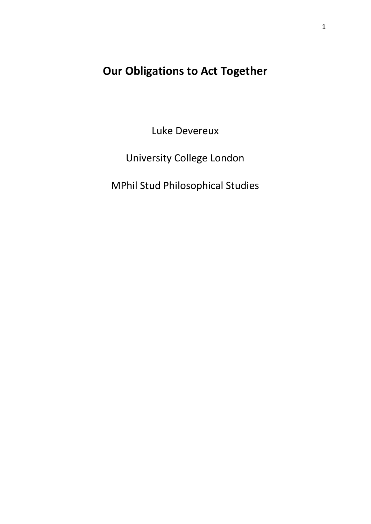# **Our Obligations to Act Together**

Luke Devereux

University College London

MPhil Stud Philosophical Studies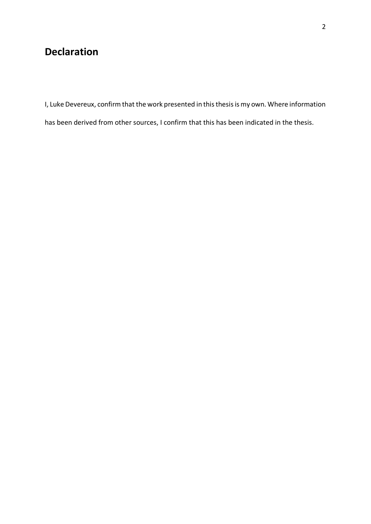## **Declaration**

I, Luke Devereux, confirm that the work presented in this thesis is my own. Where information

has been derived from other sources, I confirm that this has been indicated in the thesis.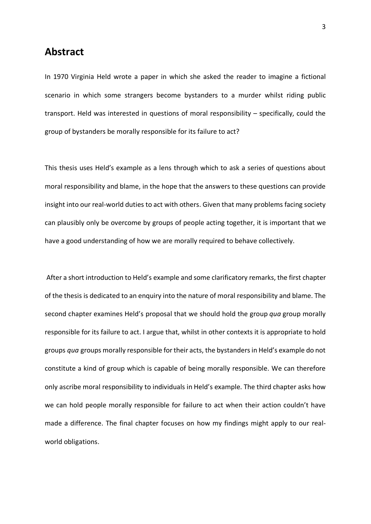### **Abstract**

In 1970 Virginia Held wrote a paper in which she asked the reader to imagine a fictional scenario in which some strangers become bystanders to a murder whilst riding public transport. Held was interested in questions of moral responsibility – specifically, could the group of bystanders be morally responsible for its failure to act?

This thesis uses Held's example as a lens through which to ask a series of questions about moral responsibility and blame, in the hope that the answers to these questions can provide insight into our real-world duties to act with others. Given that many problems facing society can plausibly only be overcome by groups of people acting together, it is important that we have a good understanding of how we are morally required to behave collectively.

After a short introduction to Held's example and some clarificatory remarks, the first chapter of the thesis is dedicated to an enquiry into the nature of moral responsibility and blame. The second chapter examines Held's proposal that we should hold the group *qua* group morally responsible for its failure to act. I argue that, whilst in other contexts it is appropriate to hold groups *qua* groups morally responsible for their acts, the bystanders in Held's example do not constitute a kind of group which is capable of being morally responsible. We can therefore only ascribe moral responsibility to individuals in Held's example. The third chapter asks how we can hold people morally responsible for failure to act when their action couldn't have made a difference. The final chapter focuses on how my findings might apply to our realworld obligations.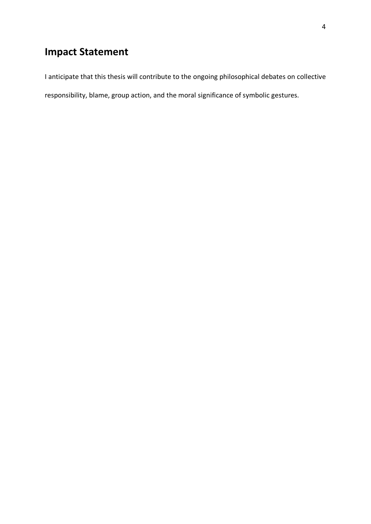## **Impact Statement**

I anticipate that this thesis will contribute to the ongoing philosophical debates on collective responsibility, blame, group action, and the moral significance of symbolic gestures.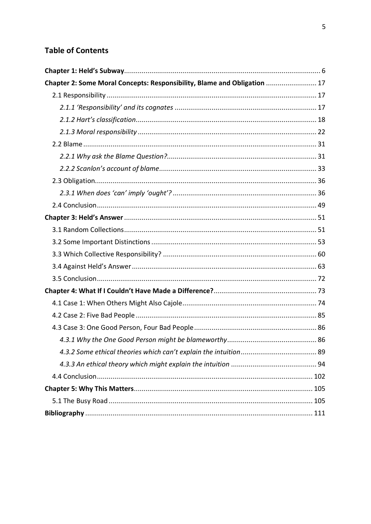### **Table of Contents**

| Chapter 2: Some Moral Concepts: Responsibility, Blame and Obligation  17 |  |
|--------------------------------------------------------------------------|--|
|                                                                          |  |
|                                                                          |  |
|                                                                          |  |
|                                                                          |  |
|                                                                          |  |
|                                                                          |  |
|                                                                          |  |
|                                                                          |  |
|                                                                          |  |
|                                                                          |  |
|                                                                          |  |
|                                                                          |  |
|                                                                          |  |
|                                                                          |  |
|                                                                          |  |
|                                                                          |  |
|                                                                          |  |
|                                                                          |  |
|                                                                          |  |
|                                                                          |  |
|                                                                          |  |
|                                                                          |  |
|                                                                          |  |
|                                                                          |  |
|                                                                          |  |
|                                                                          |  |
|                                                                          |  |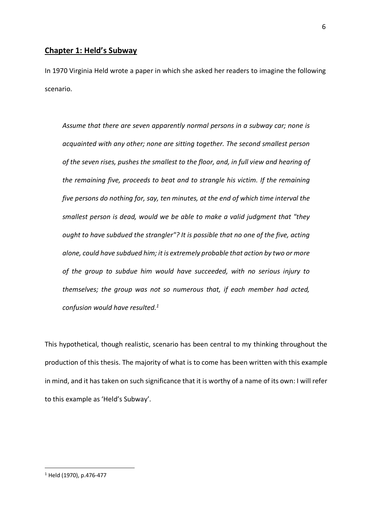#### **Chapter 1: Held's Subway**

In 1970 Virginia Held wrote a paper in which she asked her readers to imagine the following scenario.

*Assume that there are seven apparently normal persons in a subway car; none is acquainted with any other; none are sitting together. The second smallest person of the seven rises, pushes the smallest to the floor, and, in full view and hearing of the remaining five, proceeds to beat and to strangle his victim. If the remaining five persons do nothing for, say, ten minutes, at the end of which time interval the smallest person is dead, would we be able to make a valid judgment that "they ought to have subdued the strangler"? It is possible that no one of the five, acting alone, could have subdued him; it is extremely probable that action by two or more of the group to subdue him would have succeeded, with no serious injury to themselves; the group was not so numerous that, if each member had acted, confusion would have resulted.1*

This hypothetical, though realistic, scenario has been central to my thinking throughout the production of this thesis. The majority of what is to come has been written with this example in mind, and it has taken on such significance that it is worthy of a name of its own: I will refer to this example as 'Held's Subway'.

 <sup>1</sup> Held (1970), p.476-477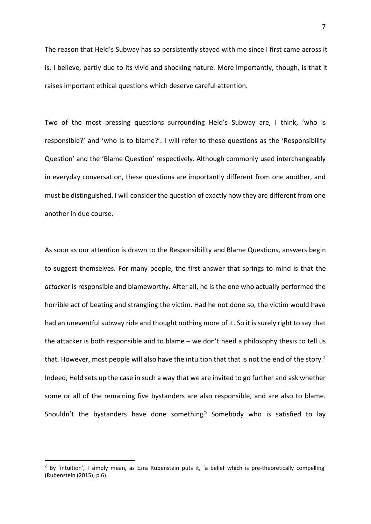The reason that Held's Subway has so persistently stayed with me since I first came across it is, I believe, partly due to its vivid and shocking nature. More importantly, though, is that it raises important ethical questions which deserve careful attention.

Two of the most pressing questions surrounding Held's Subway are, I think, 'who is responsible?' and 'who is to blame?'. I will refer to these questions as the 'Responsibility Question' and the 'Blame Question' respectively. Although commonly used interchangeably in everyday conversation, these questions are importantly different from one another, and must be distinguished. I will consider the question of exactly how they are different from one another in due course.

As soon as our attention is drawn to the Responsibility and Blame Questions, answers begin to suggest themselves. For many people, the first answer that springs to mind is that the *attacker* is responsible and blameworthy. After all, he is the one who actually performed the horrible act of beating and strangling the victim. Had he not done so, the victim would have had an uneventful subway ride and thought nothing more of it. So it is surely right to say that the attacker is both responsible and to blame – we don't need a philosophy thesis to tell us that. However, most people will also have the intuition that that is not the end of the story.<sup>2</sup> Indeed, Held sets up the case in such a way that we are invited to go further and ask whether some or all of the remaining five bystanders are also responsible, and are also to blame. Shouldn't the bystanders have done something? Somebody who is satisfied to lay

<sup>&</sup>lt;sup>2</sup> By 'intuition', I simply mean, as Ezra Rubenstein puts it, 'a belief which is pre-theoretically compelling' (Rubenstein (2015), p.6).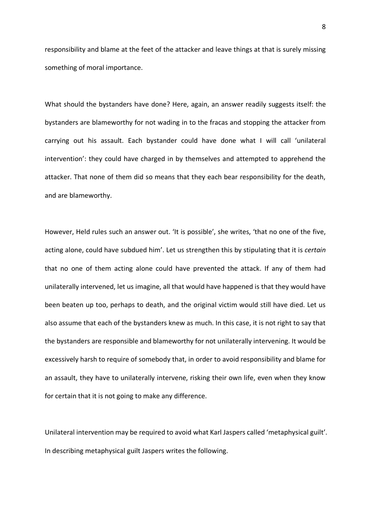responsibility and blame at the feet of the attacker and leave things at that is surely missing something of moral importance.

What should the bystanders have done? Here, again, an answer readily suggests itself: the bystanders are blameworthy for not wading in to the fracas and stopping the attacker from carrying out his assault. Each bystander could have done what I will call 'unilateral intervention': they could have charged in by themselves and attempted to apprehend the attacker. That none of them did so means that they each bear responsibility for the death, and are blameworthy.

However, Held rules such an answer out. 'It is possible', she writes, 'that no one of the five, acting alone, could have subdued him'. Let us strengthen this by stipulating that it is *certain* that no one of them acting alone could have prevented the attack. If any of them had unilaterally intervened, let us imagine, all that would have happened is that they would have been beaten up too, perhaps to death, and the original victim would still have died. Let us also assume that each of the bystanders knew as much. In this case, it is not right to say that the bystanders are responsible and blameworthy for not unilaterally intervening. It would be excessively harsh to require of somebody that, in order to avoid responsibility and blame for an assault, they have to unilaterally intervene, risking their own life, even when they know for certain that it is not going to make any difference.

Unilateral intervention may be required to avoid what Karl Jaspers called 'metaphysical guilt'. In describing metaphysical guilt Jaspers writes the following.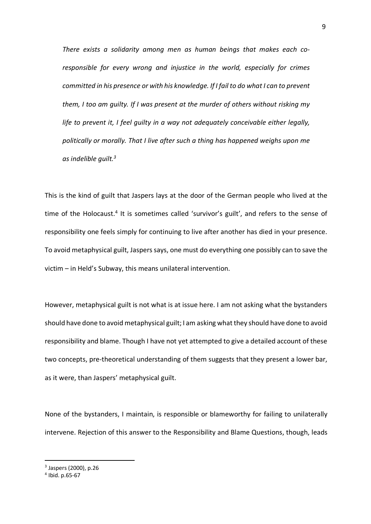*There exists a solidarity among men as human beings that makes each coresponsible for every wrong and injustice in the world, especially for crimes committed in his presence or with his knowledge. If I fail to do what I can to prevent them, I too am guilty. If I was present at the murder of others without risking my life to prevent it, I feel guilty in a way not adequately conceivable either legally, politically or morally. That I live after such a thing has happened weighs upon me as indelible guilt.3*

This is the kind of guilt that Jaspers lays at the door of the German people who lived at the time of the Holocaust.<sup>4</sup> It is sometimes called 'survivor's guilt', and refers to the sense of responsibility one feels simply for continuing to live after another has died in your presence. To avoid metaphysical guilt, Jaspers says, one must do everything one possibly can to save the victim – in Held's Subway, this means unilateral intervention.

However, metaphysical guilt is not what is at issue here. I am not asking what the bystanders should have done to avoid metaphysical guilt; I am asking what they should have done to avoid responsibility and blame. Though I have not yet attempted to give a detailed account of these two concepts, pre-theoretical understanding of them suggests that they present a lower bar, as it were, than Jaspers' metaphysical guilt.

None of the bystanders, I maintain, is responsible or blameworthy for failing to unilaterally intervene. Rejection of this answer to the Responsibility and Blame Questions, though, leads

 <sup>3</sup> Jaspers (2000), p.26

<sup>4</sup> Ibid. p.65-67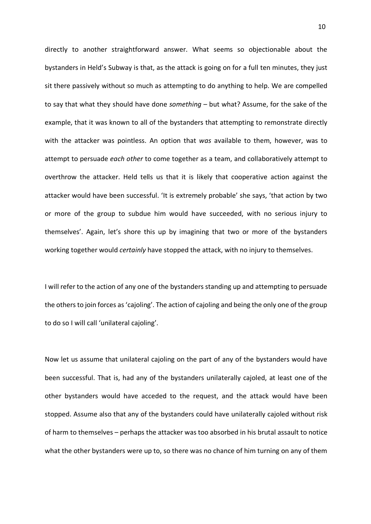directly to another straightforward answer. What seems so objectionable about the bystanders in Held's Subway is that, as the attack is going on for a full ten minutes, they just sit there passively without so much as attempting to do anything to help. We are compelled to say that what they should have done *something* – but what? Assume, for the sake of the example, that it was known to all of the bystanders that attempting to remonstrate directly with the attacker was pointless. An option that *was* available to them, however, was to attempt to persuade *each other* to come together as a team, and collaboratively attempt to overthrow the attacker. Held tells us that it is likely that cooperative action against the attacker would have been successful. 'It is extremely probable' she says, 'that action by two or more of the group to subdue him would have succeeded, with no serious injury to themselves'. Again, let's shore this up by imagining that two or more of the bystanders working together would *certainly* have stopped the attack, with no injury to themselves.

I will refer to the action of any one of the bystanders standing up and attempting to persuade the others to join forces as 'cajoling'. The action of cajoling and being the only one of the group to do so I will call 'unilateral cajoling'.

Now let us assume that unilateral cajoling on the part of any of the bystanders would have been successful. That is, had any of the bystanders unilaterally cajoled, at least one of the other bystanders would have acceded to the request, and the attack would have been stopped. Assume also that any of the bystanders could have unilaterally cajoled without risk of harm to themselves – perhaps the attacker was too absorbed in his brutal assault to notice what the other bystanders were up to, so there was no chance of him turning on any of them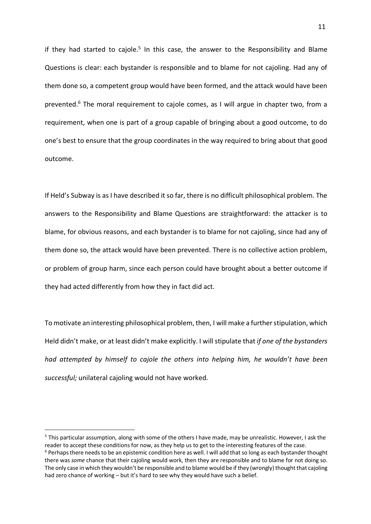if they had started to cajole.<sup>5</sup> In this case, the answer to the Responsibility and Blame Questions is clear: each bystander is responsible and to blame for not cajoling. Had any of them done so, a competent group would have been formed, and the attack would have been prevented.<sup>6</sup> The moral requirement to cajole comes, as I will argue in chapter two, from a requirement, when one is part of a group capable of bringing about a good outcome, to do one's best to ensure that the group coordinates in the way required to bring about that good outcome.

If Held's Subway is as I have described it so far, there is no difficult philosophical problem. The answers to the Responsibility and Blame Questions are straightforward: the attacker is to blame, for obvious reasons, and each bystander is to blame for not cajoling, since had any of them done so, the attack would have been prevented. There is no collective action problem, or problem of group harm, since each person could have brought about a better outcome if they had acted differently from how they in fact did act.

To motivate an interesting philosophical problem, then, I will make a further stipulation, which Held didn't make, or at least didn't make explicitly. I will stipulate that *if one of the bystanders had attempted by himself to cajole the others into helping him, he wouldn't have been successful;* unilateral cajoling would not have worked.

<sup>&</sup>lt;sup>5</sup> This particular assumption, along with some of the others I have made, may be unrealistic. However, I ask the reader to accept these conditions for now, as they help us to get to the interesting features of the case.

 $6$  Perhaps there needs to be an epistemic condition here as well. I will add that so long as each bystander thought there was *some* chance that their cajoling would work, then they are responsible and to blame for not doing so. The only case in which they wouldn't be responsible and to blame would be if they (wrongly) thought that cajoling had zero chance of working – but it's hard to see why they would have such a belief.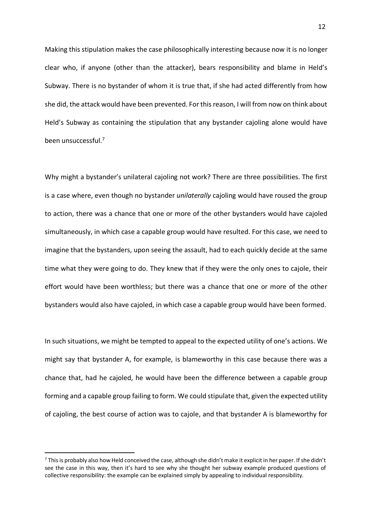Making this stipulation makes the case philosophically interesting because now it is no longer clear who, if anyone (other than the attacker), bears responsibility and blame in Held's Subway. There is no bystander of whom it is true that, if she had acted differently from how she did, the attack would have been prevented. For this reason, I will from now on think about Held's Subway as containing the stipulation that any bystander cajoling alone would have been unsuccessful. 7

Why might a bystander's unilateral cajoling not work? There are three possibilities. The first is a case where, even though no bystander *unilaterally* cajoling would have roused the group to action, there was a chance that one or more of the other bystanders would have cajoled simultaneously, in which case a capable group would have resulted. For this case, we need to imagine that the bystanders, upon seeing the assault, had to each quickly decide at the same time what they were going to do. They knew that if they were the only ones to cajole, their effort would have been worthless; but there was a chance that one or more of the other bystanders would also have cajoled, in which case a capable group would have been formed.

In such situations, we might be tempted to appeal to the expected utility of one's actions. We might say that bystander A, for example, is blameworthy in this case because there was a chance that, had he cajoled, he would have been the difference between a capable group forming and a capable group failing to form. We could stipulate that, given the expected utility of cajoling, the best course of action was to cajole, and that bystander A is blameworthy for

 $^7$  This is probably also how Held conceived the case, although she didn't make it explicit in her paper. If she didn't see the case in this way, then it's hard to see why she thought her subway example produced questions of collective responsibility: the example can be explained simply by appealing to individual responsibility.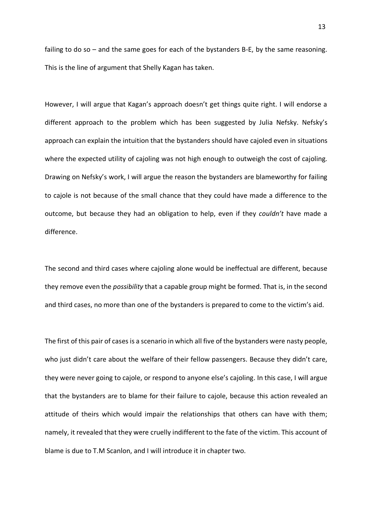failing to do so – and the same goes for each of the bystanders B-E, by the same reasoning. This is the line of argument that Shelly Kagan has taken.

However, I will argue that Kagan's approach doesn't get things quite right. I will endorse a different approach to the problem which has been suggested by Julia Nefsky. Nefsky's approach can explain the intuition that the bystanders should have cajoled even in situations where the expected utility of cajoling was not high enough to outweigh the cost of cajoling*.* Drawing on Nefsky's work, I will argue the reason the bystanders are blameworthy for failing to cajole is not because of the small chance that they could have made a difference to the outcome, but because they had an obligation to help, even if they *couldn't* have made a difference.

The second and third cases where cajoling alone would be ineffectual are different, because they remove even the *possibility* that a capable group might be formed. That is, in the second and third cases, no more than one of the bystanders is prepared to come to the victim's aid.

The first of this pair of cases is a scenario in which all five of the bystanders were nasty people, who just didn't care about the welfare of their fellow passengers. Because they didn't care, they were never going to cajole, or respond to anyone else's cajoling. In this case, I will argue that the bystanders are to blame for their failure to cajole, because this action revealed an attitude of theirs which would impair the relationships that others can have with them; namely, it revealed that they were cruelly indifferent to the fate of the victim. This account of blame is due to T.M Scanlon, and I will introduce it in chapter two.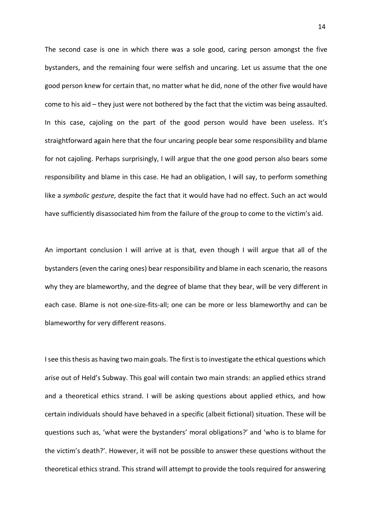The second case is one in which there was a sole good, caring person amongst the five bystanders, and the remaining four were selfish and uncaring. Let us assume that the one good person knew for certain that, no matter what he did, none of the other five would have come to his aid – they just were not bothered by the fact that the victim was being assaulted. In this case, cajoling on the part of the good person would have been useless. It's straightforward again here that the four uncaring people bear some responsibility and blame for not cajoling. Perhaps surprisingly, I will argue that the one good person also bears some responsibility and blame in this case. He had an obligation, I will say, to perform something like a *symbolic gesture*, despite the fact that it would have had no effect. Such an act would have sufficiently disassociated him from the failure of the group to come to the victim's aid.

An important conclusion I will arrive at is that, even though I will argue that all of the bystanders (even the caring ones) bear responsibility and blame in each scenario, the reasons why they are blameworthy, and the degree of blame that they bear, will be very different in each case. Blame is not one-size-fits-all; one can be more or less blameworthy and can be blameworthy for very different reasons.

I see this thesis as having two main goals. The first is to investigate the ethical questions which arise out of Held's Subway. This goal will contain two main strands: an applied ethics strand and a theoretical ethics strand. I will be asking questions about applied ethics, and how certain individuals should have behaved in a specific (albeit fictional) situation. These will be questions such as, 'what were the bystanders' moral obligations?' and 'who is to blame for the victim's death?'. However, it will not be possible to answer these questions without the theoretical ethics strand. This strand will attempt to provide the tools required for answering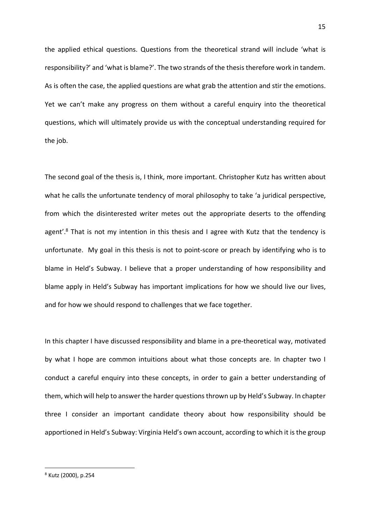the applied ethical questions. Questions from the theoretical strand will include 'what is responsibility?' and 'what is blame?'. The two strands of the thesis therefore work in tandem. As is often the case, the applied questions are what grab the attention and stir the emotions. Yet we can't make any progress on them without a careful enquiry into the theoretical questions, which will ultimately provide us with the conceptual understanding required for the job.

The second goal of the thesis is, I think, more important. Christopher Kutz has written about what he calls the unfortunate tendency of moral philosophy to take 'a juridical perspective, from which the disinterested writer metes out the appropriate deserts to the offending agent'. $8$  That is not my intention in this thesis and I agree with Kutz that the tendency is unfortunate. My goal in this thesis is not to point-score or preach by identifying who is to blame in Held's Subway. I believe that a proper understanding of how responsibility and blame apply in Held's Subway has important implications for how we should live our lives, and for how we should respond to challenges that we face together.

In this chapter I have discussed responsibility and blame in a pre-theoretical way, motivated by what I hope are common intuitions about what those concepts are. In chapter two I conduct a careful enquiry into these concepts, in order to gain a better understanding of them, which will help to answer the harder questions thrown up by Held's Subway. In chapter three I consider an important candidate theory about how responsibility should be apportioned in Held's Subway: Virginia Held's own account, according to which it is the group

 <sup>8</sup> Kutz (2000), p.254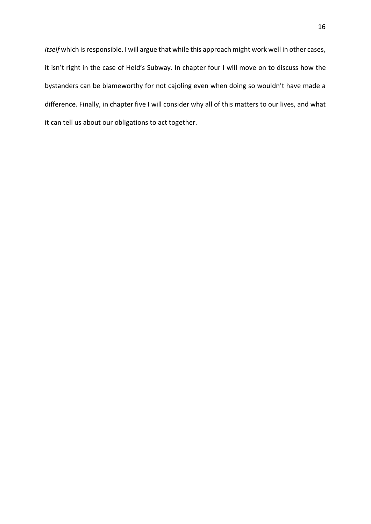*itself* which is responsible. I will argue that while this approach might work well in other cases, it isn't right in the case of Held's Subway. In chapter four I will move on to discuss how the bystanders can be blameworthy for not cajoling even when doing so wouldn't have made a difference. Finally, in chapter five I will consider why all of this matters to our lives, and what it can tell us about our obligations to act together.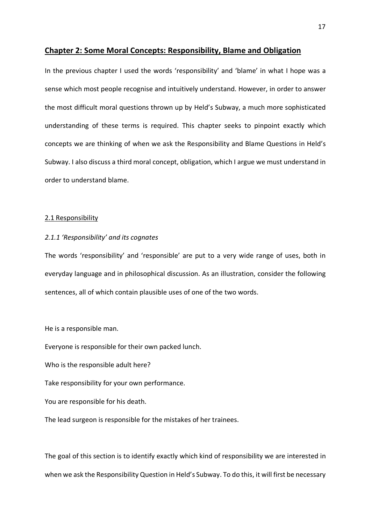#### **Chapter 2: Some Moral Concepts: Responsibility, Blame and Obligation**

In the previous chapter I used the words 'responsibility' and 'blame' in what I hope was a sense which most people recognise and intuitively understand. However, in order to answer the most difficult moral questions thrown up by Held's Subway, a much more sophisticated understanding of these terms is required. This chapter seeks to pinpoint exactly which concepts we are thinking of when we ask the Responsibility and Blame Questions in Held's Subway. I also discuss a third moral concept, obligation, which I argue we must understand in order to understand blame.

#### 2.1 Responsibility

#### *2.1.1 'Responsibility' and its cognates*

The words 'responsibility' and 'responsible' are put to a very wide range of uses, both in everyday language and in philosophical discussion. As an illustration, consider the following sentences, all of which contain plausible uses of one of the two words.

He is a responsible man.

Everyone is responsible for their own packed lunch.

Who is the responsible adult here?

Take responsibility for your own performance.

You are responsible for his death.

The lead surgeon is responsible for the mistakes of her trainees.

The goal of this section is to identify exactly which kind of responsibility we are interested in when we ask the Responsibility Question in Held's Subway. To do this, it will first be necessary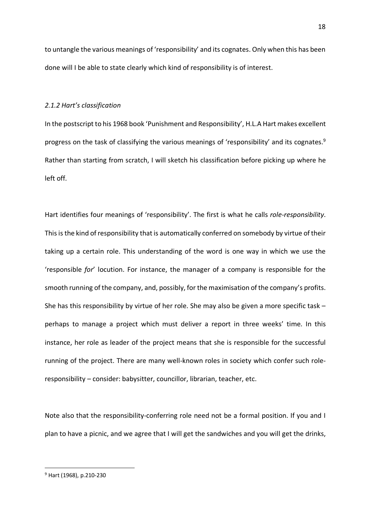to untangle the various meanings of 'responsibility' and its cognates. Only when this has been done will I be able to state clearly which kind of responsibility is of interest.

#### *2.1.2 Hart's classification*

In the postscript to his 1968 book 'Punishment and Responsibility', H.L.A Hart makes excellent progress on the task of classifying the various meanings of 'responsibility' and its cognates.<sup>9</sup> Rather than starting from scratch, I will sketch his classification before picking up where he left off.

Hart identifies four meanings of 'responsibility'. The first is what he calls *role-responsibility*. This is the kind of responsibility that is automatically conferred on somebody by virtue of their taking up a certain role. This understanding of the word is one way in which we use the 'responsible *for*' locution. For instance, the manager of a company is responsible for the smooth running of the company, and, possibly, for the maximisation of the company's profits. She has this responsibility by virtue of her role. She may also be given a more specific task – perhaps to manage a project which must deliver a report in three weeks' time. In this instance, her role as leader of the project means that she is responsible for the successful running of the project. There are many well-known roles in society which confer such roleresponsibility – consider: babysitter, councillor, librarian, teacher, etc.

Note also that the responsibility-conferring role need not be a formal position. If you and I plan to have a picnic, and we agree that I will get the sandwiches and you will get the drinks,

 <sup>9</sup> Hart (1968), p.210-230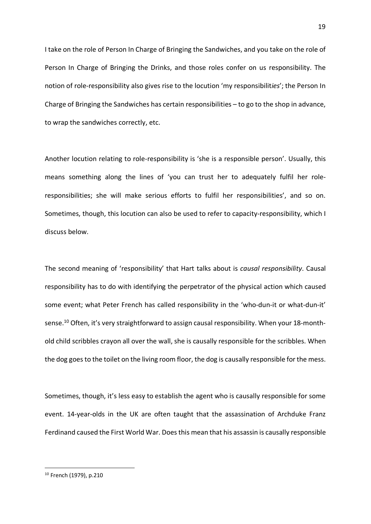I take on the role of Person In Charge of Bringing the Sandwiches, and you take on the role of Person In Charge of Bringing the Drinks, and those roles confer on us responsibility. The notion of role-responsibility also gives rise to the locution 'my responsibilit*ies*'; the Person In Charge of Bringing the Sandwiches has certain responsibilities – to go to the shop in advance, to wrap the sandwiches correctly, etc.

Another locution relating to role-responsibility is 'she is a responsible person'. Usually, this means something along the lines of 'you can trust her to adequately fulfil her roleresponsibilities; she will make serious efforts to fulfil her responsibilities', and so on. Sometimes, though, this locution can also be used to refer to capacity-responsibility, which I discuss below.

The second meaning of 'responsibility' that Hart talks about is *causal responsibility*. Causal responsibility has to do with identifying the perpetrator of the physical action which caused some event; what Peter French has called responsibility in the 'who-dun-it or what-dun-it' sense.10 Often, it's very straightforward to assign causal responsibility. When your 18-monthold child scribbles crayon all over the wall, she is causally responsible for the scribbles. When the dog goes to the toilet on the living room floor, the dog is causally responsible forthe mess.

Sometimes, though, it's less easy to establish the agent who is causally responsible for some event. 14-year-olds in the UK are often taught that the assassination of Archduke Franz Ferdinand caused the First World War. Does this mean that his assassin is causally responsible

 <sup>10</sup> French (1979), p.210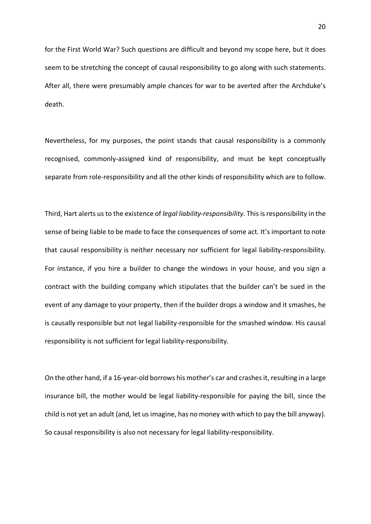for the First World War? Such questions are difficult and beyond my scope here, but it does seem to be stretching the concept of causal responsibility to go along with such statements. After all, there were presumably ample chances for war to be averted after the Archduke's death.

Nevertheless, for my purposes, the point stands that causal responsibility is a commonly recognised, commonly-assigned kind of responsibility, and must be kept conceptually separate from role-responsibility and all the other kinds of responsibility which are to follow.

Third, Hart alerts us to the existence of *legal liability-responsibility*. This is responsibility in the sense of being liable to be made to face the consequences of some act. It's important to note that causal responsibility is neither necessary nor sufficient for legal liability-responsibility. For instance, if you hire a builder to change the windows in your house, and you sign a contract with the building company which stipulates that the builder can't be sued in the event of any damage to your property, then if the builder drops a window and it smashes, he is causally responsible but not legal liability-responsible for the smashed window. His causal responsibility is not sufficient for legal liability-responsibility.

On the other hand, if a 16-year-old borrows his mother's car and crashes it, resulting in a large insurance bill, the mother would be legal liability-responsible for paying the bill, since the child is not yet an adult (and, let us imagine, has no money with which to pay the bill anyway). So causal responsibility is also not necessary for legal liability-responsibility.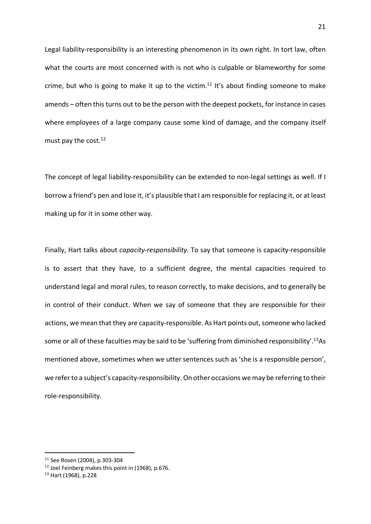Legal liability-responsibility is an interesting phenomenon in its own right. In tort law, often what the courts are most concerned with is not who is culpable or blameworthy for some crime, but who is going to make it up to the victim.<sup>11</sup> It's about finding someone to make amends – often this turns out to be the person with the deepest pockets, for instance in cases where employees of a large company cause some kind of damage, and the company itself must pay the cost. $12$ 

The concept of legal liability-responsibility can be extended to non-legal settings as well. If I borrow a friend's pen and lose it, it's plausible that I am responsible for replacing it, or at least making up for it in some other way.

Finally, Hart talks about *capacity-responsibility*. To say that someone is capacity-responsible is to assert that they have, to a sufficient degree, the mental capacities required to understand legal and moral rules, to reason correctly, to make decisions, and to generally be in control of their conduct. When we say of someone that they are responsible for their actions, we mean that they are capacity-responsible. As Hart points out, someone who lacked some or all of these faculties may be said to be 'suffering from diminished responsibility'.<sup>13</sup>As mentioned above, sometimes when we utter sentences such as 'she is a responsible person', we refer to a subject's capacity-responsibility. On other occasions we may be referring to their role-responsibility.

 <sup>11</sup> See Rosen (2004), p.303-304

<sup>12</sup> Joel Feinberg makes this point in (1968), p.676.

<sup>13</sup> Hart (1968), p.228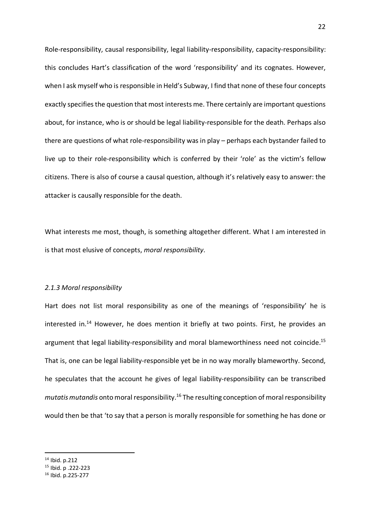Role-responsibility, causal responsibility, legal liability-responsibility, capacity-responsibility: this concludes Hart's classification of the word 'responsibility' and its cognates. However, when I ask myself who is responsible in Held's Subway, I find that none of these four concepts exactly specifies the question that most interests me. There certainly are important questions about, for instance, who is or should be legal liability-responsible for the death. Perhaps also there are questions of what role-responsibility was in play – perhaps each bystander failed to live up to their role-responsibility which is conferred by their 'role' as the victim's fellow citizens. There is also of course a causal question, although it's relatively easy to answer: the attacker is causally responsible for the death.

What interests me most, though, is something altogether different. What I am interested in is that most elusive of concepts, *moral responsibility*.

#### *2.1.3 Moral responsibility*

Hart does not list moral responsibility as one of the meanings of 'responsibility' he is interested in.<sup>14</sup> However, he does mention it briefly at two points. First, he provides an argument that legal liability-responsibility and moral blameworthiness need not coincide.<sup>15</sup> That is, one can be legal liability-responsible yet be in no way morally blameworthy. Second, he speculates that the account he gives of legal liability-responsibility can be transcribed *mutatis mutandis* onto moral responsibility.16 The resulting conception of moral responsibility would then be that 'to say that a person is morally responsible for something he has done or

 <sup>14</sup> Ibid. p.212

<sup>15</sup> Ibid. p .222-223

<sup>16</sup> Ibid. p.225-277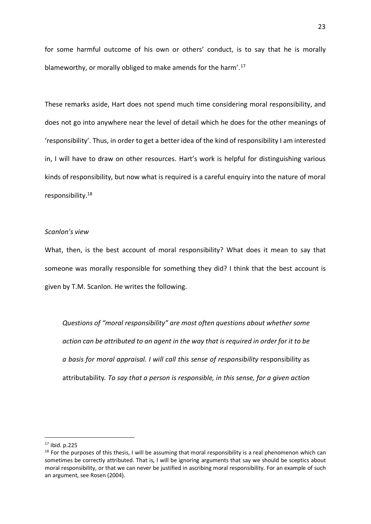for some harmful outcome of his own or others' conduct, is to say that he is morally blameworthy, or morally obliged to make amends for the harm'.17

These remarks aside, Hart does not spend much time considering moral responsibility, and does not go into anywhere near the level of detail which he does for the other meanings of 'responsibility'. Thus, in order to get a better idea of the kind of responsibility I am interested in, I will have to draw on other resources. Hart's work is helpful for distinguishing various kinds of responsibility, but now what is required is a careful enquiry into the nature of moral responsibility.18

#### *Scanlon's view*

What, then, is the best account of moral responsibility? What does it mean to say that someone was morally responsible for something they did? I think that the best account is given by T.M. Scanlon. He writes the following.

*Questions of "moral responsibility" are most often questions about whether some action can be attributed to an agent in the way that is required in order for it to be a basis for moral appraisal. I will call this sense of responsibility* responsibility as attributability*. To say that a person is responsible, in this sense, for a given action* 

 <sup>17</sup> Ibid. p.225

<sup>&</sup>lt;sup>18</sup> For the purposes of this thesis, I will be assuming that moral responsibility is a real phenomenon which can sometimes be correctly attributed. That is, I will be ignoring arguments that say we should be sceptics about moral responsibility, or that we can never be justified in ascribing moral responsibility. For an example of such an argument, see Rosen (2004).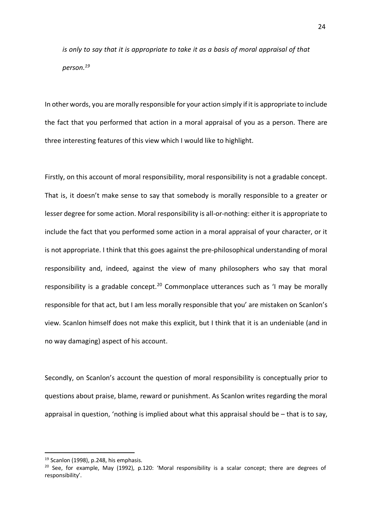*is only to say that it is appropriate to take it as a basis of moral appraisal of that person.19*

In other words, you are morally responsible for your action simply if it is appropriate to include the fact that you performed that action in a moral appraisal of you as a person. There are three interesting features of this view which I would like to highlight.

Firstly, on this account of moral responsibility, moral responsibility is not a gradable concept. That is, it doesn't make sense to say that somebody is morally responsible to a greater or lesser degree for some action. Moral responsibility is all-or-nothing: either it is appropriate to include the fact that you performed some action in a moral appraisal of your character, or it is not appropriate. I think that this goes against the pre-philosophical understanding of moral responsibility and, indeed, against the view of many philosophers who say that moral responsibility is a gradable concept.<sup>20</sup> Commonplace utterances such as 'I may be morally responsible for that act, but I am less morally responsible that you' are mistaken on Scanlon's view. Scanlon himself does not make this explicit, but I think that it is an undeniable (and in no way damaging) aspect of his account.

Secondly, on Scanlon's account the question of moral responsibility is conceptually prior to questions about praise, blame, reward or punishment. As Scanlon writes regarding the moral appraisal in question, 'nothing is implied about what this appraisal should be – that is to say,

<sup>&</sup>lt;sup>19</sup> Scanlon (1998), p.248, his emphasis.

<sup>&</sup>lt;sup>20</sup> See, for example, May (1992), p.120: 'Moral responsibility is a scalar concept; there are degrees of responsibility'.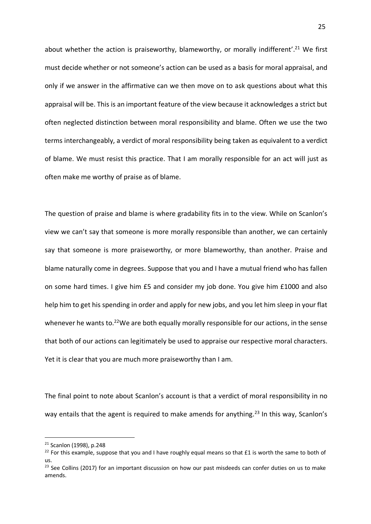about whether the action is praiseworthy, blameworthy, or morally indifferent'.<sup>21</sup> We first must decide whether or not someone's action can be used as a basis for moral appraisal, and only if we answer in the affirmative can we then move on to ask questions about what this appraisal will be. This is an important feature of the view because it acknowledges a strict but often neglected distinction between moral responsibility and blame. Often we use the two terms interchangeably, a verdict of moral responsibility being taken as equivalent to a verdict of blame. We must resist this practice. That I am morally responsible for an act will just as often make me worthy of praise as of blame.

The question of praise and blame is where gradability fits in to the view. While on Scanlon's view we can't say that someone is more morally responsible than another, we can certainly say that someone is more praiseworthy, or more blameworthy, than another. Praise and blame naturally come in degrees. Suppose that you and I have a mutual friend who has fallen on some hard times. I give him £5 and consider my job done. You give him £1000 and also help him to get his spending in order and apply for new jobs, and you let him sleep in your flat whenever he wants to.<sup>22</sup>We are both equally morally responsible for our actions, in the sense that both of our actions can legitimately be used to appraise our respective moral characters. Yet it is clear that you are much more praiseworthy than I am.

The final point to note about Scanlon's account is that a verdict of moral responsibility in no way entails that the agent is required to make amends for anything.<sup>23</sup> In this way, Scanlon's

 <sup>21</sup> Scanlon (1998), p.248

<sup>&</sup>lt;sup>22</sup> For this example, suppose that you and I have roughly equal means so that £1 is worth the same to both of us.

<sup>&</sup>lt;sup>23</sup> See Collins (2017) for an important discussion on how our past misdeeds can confer duties on us to make amends.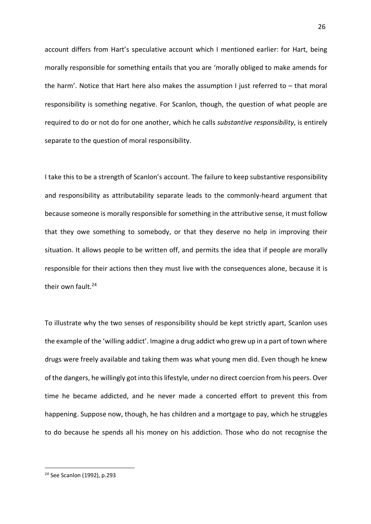account differs from Hart's speculative account which I mentioned earlier: for Hart, being morally responsible for something entails that you are 'morally obliged to make amends for the harm'. Notice that Hart here also makes the assumption I just referred to – that moral responsibility is something negative. For Scanlon, though, the question of what people are required to do or not do for one another, which he calls *substantive responsibility*, is entirely separate to the question of moral responsibility.

I take this to be a strength of Scanlon's account. The failure to keep substantive responsibility and responsibility as attributability separate leads to the commonly-heard argument that because someone is morally responsible for something in the attributive sense, it must follow that they owe something to somebody, or that they deserve no help in improving their situation. It allows people to be written off, and permits the idea that if people are morally responsible for their actions then they must live with the consequences alone, because it is their own fault.<sup>24</sup>

To illustrate why the two senses of responsibility should be kept strictly apart, Scanlon uses the example of the 'willing addict'. Imagine a drug addict who grew up in a part of town where drugs were freely available and taking them was what young men did. Even though he knew of the dangers, he willingly got into this lifestyle, under no direct coercion from his peers. Over time he became addicted, and he never made a concerted effort to prevent this from happening. Suppose now, though, he has children and a mortgage to pay, which he struggles to do because he spends all his money on his addiction. Those who do not recognise the

 <sup>24</sup> See Scanlon (1992), p.293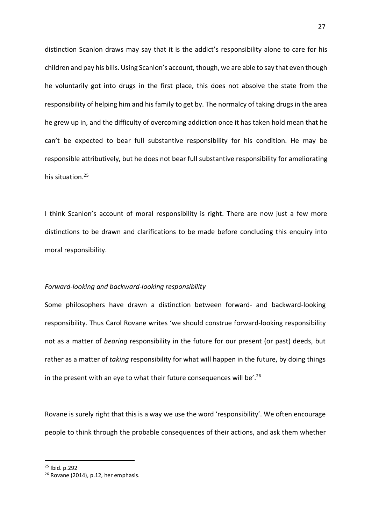distinction Scanlon draws may say that it is the addict's responsibility alone to care for his children and pay his bills. Using Scanlon's account, though, we are able to say that even though he voluntarily got into drugs in the first place, this does not absolve the state from the responsibility of helping him and his family to get by. The normalcy of taking drugs in the area he grew up in, and the difficulty of overcoming addiction once it has taken hold mean that he can't be expected to bear full substantive responsibility for his condition. He may be responsible attributively, but he does not bear full substantive responsibility for ameliorating his situation.<sup>25</sup>

I think Scanlon's account of moral responsibility is right. There are now just a few more distinctions to be drawn and clarifications to be made before concluding this enquiry into moral responsibility.

#### *Forward-looking and backward-looking responsibility*

Some philosophers have drawn a distinction between forward- and backward-looking responsibility. Thus Carol Rovane writes 'we should construe forward-looking responsibility not as a matter of *bearing* responsibility in the future for our present (or past) deeds, but rather as a matter of *taking* responsibility for what will happen in the future, by doing things in the present with an eye to what their future consequences will be'.<sup>26</sup>

Rovane is surely right that this is a way we use the word 'responsibility'. We often encourage people to think through the probable consequences of their actions, and ask them whether

 <sup>25</sup> Ibid. p.292

<sup>26</sup> Rovane (2014), p.12, her emphasis.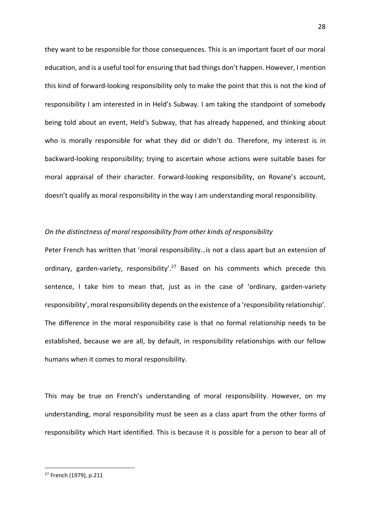they want to be responsible for those consequences. This is an important facet of our moral education, and is a useful tool for ensuring that bad things don't happen. However, I mention this kind of forward-looking responsibility only to make the point that this is not the kind of responsibility I am interested in in Held's Subway. I am taking the standpoint of somebody being told about an event, Held's Subway, that has already happened, and thinking about who is morally responsible for what they did or didn't do. Therefore, my interest is in backward-looking responsibility; trying to ascertain whose actions were suitable bases for moral appraisal of their character. Forward-looking responsibility, on Rovane's account, doesn't qualify as moral responsibility in the way I am understanding moral responsibility.

#### *On the distinctness of moral responsibility from other kinds of responsibility*

Peter French has written that 'moral responsibility…is not a class apart but an extension of ordinary, garden-variety, responsibility<sup>'.27</sup> Based on his comments which precede this sentence, I take him to mean that, just as in the case of 'ordinary, garden-variety responsibility', moral responsibility depends on the existence of a 'responsibility relationship'. The difference in the moral responsibility case is that no formal relationship needs to be established, because we are all, by default, in responsibility relationships with our fellow humans when it comes to moral responsibility.

This may be true on French's understanding of moral responsibility. However, on my understanding, moral responsibility must be seen as a class apart from the other forms of responsibility which Hart identified. This is because it is possible for a person to bear all of

 <sup>27</sup> French (1979), p.211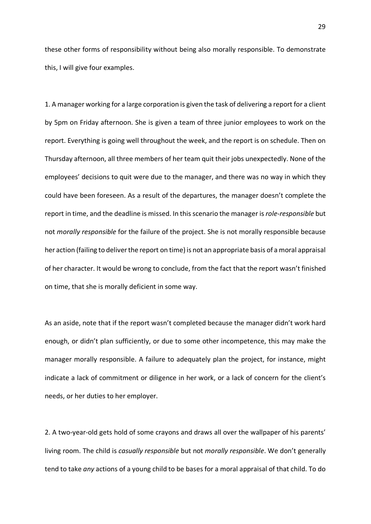these other forms of responsibility without being also morally responsible. To demonstrate this, I will give four examples.

1. A manager working for a large corporation is given the task of delivering a report for a client by 5pm on Friday afternoon. She is given a team of three junior employees to work on the report. Everything is going well throughout the week, and the report is on schedule. Then on Thursday afternoon, all three members of her team quit their jobs unexpectedly. None of the employees' decisions to quit were due to the manager, and there was no way in which they could have been foreseen. As a result of the departures, the manager doesn't complete the report in time, and the deadline is missed. In this scenario the manager is *role-responsible* but not *morally responsible* for the failure of the project. She is not morally responsible because her action (failing to deliver the report on time) is not an appropriate basis of a moral appraisal of her character. It would be wrong to conclude, from the fact that the report wasn't finished on time, that she is morally deficient in some way.

As an aside, note that if the report wasn't completed because the manager didn't work hard enough, or didn't plan sufficiently, or due to some other incompetence, this may make the manager morally responsible. A failure to adequately plan the project, for instance, might indicate a lack of commitment or diligence in her work, or a lack of concern for the client's needs, or her duties to her employer.

2. A two-year-old gets hold of some crayons and draws all over the wallpaper of his parents' living room. The child is *casually responsible* but not *morally responsible*. We don't generally tend to take *any* actions of a young child to be bases for a moral appraisal of that child. To do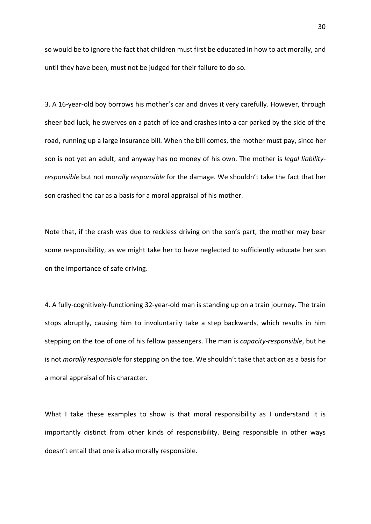so would be to ignore the fact that children must first be educated in how to act morally, and until they have been, must not be judged for their failure to do so.

3. A 16-year-old boy borrows his mother's car and drives it very carefully. However, through sheer bad luck, he swerves on a patch of ice and crashes into a car parked by the side of the road, running up a large insurance bill. When the bill comes, the mother must pay, since her son is not yet an adult, and anyway has no money of his own. The mother is *legal liabilityresponsible* but not *morally responsible* for the damage. We shouldn't take the fact that her son crashed the car as a basis for a moral appraisal of his mother.

Note that, if the crash was due to reckless driving on the son's part, the mother may bear some responsibility, as we might take her to have neglected to sufficiently educate her son on the importance of safe driving.

4. A fully-cognitively-functioning 32-year-old man is standing up on a train journey. The train stops abruptly, causing him to involuntarily take a step backwards, which results in him stepping on the toe of one of his fellow passengers. The man is *capacity-responsible*, but he is not *morally responsible* for stepping on the toe. We shouldn't take that action as a basis for a moral appraisal of his character.

What I take these examples to show is that moral responsibility as I understand it is importantly distinct from other kinds of responsibility. Being responsible in other ways doesn't entail that one is also morally responsible.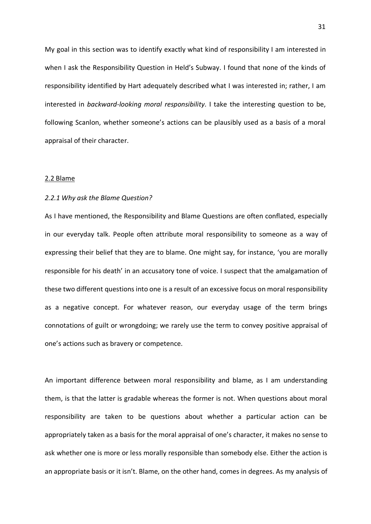My goal in this section was to identify exactly what kind of responsibility I am interested in when I ask the Responsibility Question in Held's Subway. I found that none of the kinds of responsibility identified by Hart adequately described what I was interested in; rather, I am interested in *backward-looking moral responsibility*. I take the interesting question to be, following Scanlon, whether someone's actions can be plausibly used as a basis of a moral appraisal of their character.

#### 2.2 Blame

#### *2.2.1 Why ask the Blame Question?*

As I have mentioned, the Responsibility and Blame Questions are often conflated, especially in our everyday talk. People often attribute moral responsibility to someone as a way of expressing their belief that they are to blame. One might say, for instance, 'you are morally responsible for his death' in an accusatory tone of voice. I suspect that the amalgamation of these two different questions into one is a result of an excessive focus on moral responsibility as a negative concept. For whatever reason, our everyday usage of the term brings connotations of guilt or wrongdoing; we rarely use the term to convey positive appraisal of one's actions such as bravery or competence.

An important difference between moral responsibility and blame, as I am understanding them, is that the latter is gradable whereas the former is not. When questions about moral responsibility are taken to be questions about whether a particular action can be appropriately taken as a basis for the moral appraisal of one's character, it makes no sense to ask whether one is more or less morally responsible than somebody else. Either the action is an appropriate basis or it isn't. Blame, on the other hand, comes in degrees. As my analysis of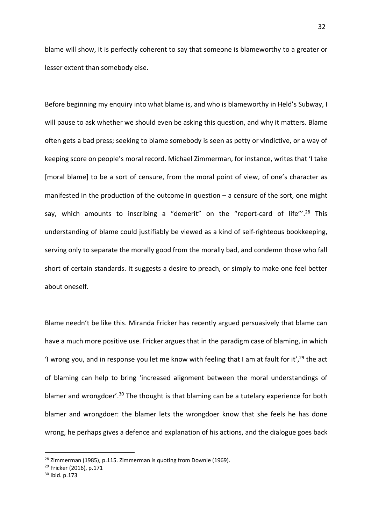blame will show, it is perfectly coherent to say that someone is blameworthy to a greater or lesser extent than somebody else.

Before beginning my enquiry into what blame is, and who is blameworthy in Held's Subway, I will pause to ask whether we should even be asking this question, and why it matters. Blame often gets a bad press; seeking to blame somebody is seen as petty or vindictive, or a way of keeping score on people's moral record. Michael Zimmerman, for instance, writes that 'I take [moral blame] to be a sort of censure, from the moral point of view, of one's character as manifested in the production of the outcome in question – a censure of the sort, one might say, which amounts to inscribing a "demerit" on the "report-card of life"'.<sup>28</sup> This understanding of blame could justifiably be viewed as a kind of self-righteous bookkeeping, serving only to separate the morally good from the morally bad, and condemn those who fall short of certain standards. It suggests a desire to preach, or simply to make one feel better about oneself.

Blame needn't be like this. Miranda Fricker has recently argued persuasively that blame can have a much more positive use. Fricker argues that in the paradigm case of blaming, in which 'I wrong you, and in response you let me know with feeling that I am at fault for it',  $29$  the act of blaming can help to bring 'increased alignment between the moral understandings of blamer and wrongdoer'.<sup>30</sup> The thought is that blaming can be a tutelary experience for both blamer and wrongdoer: the blamer lets the wrongdoer know that she feels he has done wrong, he perhaps gives a defence and explanation of his actions, and the dialogue goes back

<sup>&</sup>lt;sup>28</sup> Zimmerman (1985), p.115. Zimmerman is quoting from Downie (1969).<br><sup>29</sup> Fricker (2016), p.171

<sup>30</sup> Ibid. p.173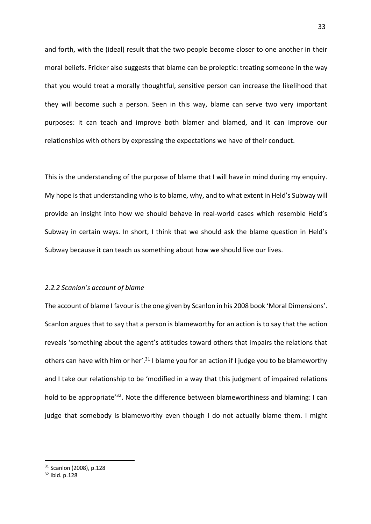and forth, with the (ideal) result that the two people become closer to one another in their moral beliefs. Fricker also suggests that blame can be proleptic: treating someone in the way that you would treat a morally thoughtful, sensitive person can increase the likelihood that they will become such a person. Seen in this way, blame can serve two very important purposes: it can teach and improve both blamer and blamed, and it can improve our relationships with others by expressing the expectations we have of their conduct.

This is the understanding of the purpose of blame that I will have in mind during my enquiry. My hope is that understanding who is to blame, why, and to what extent in Held's Subway will provide an insight into how we should behave in real-world cases which resemble Held's Subway in certain ways. In short, I think that we should ask the blame question in Held's Subway because it can teach us something about how we should live our lives.

#### *2.2.2 Scanlon's account of blame*

The account of blame I favour is the one given by Scanlon in his 2008 book 'Moral Dimensions'. Scanlon argues that to say that a person is blameworthy for an action is to say that the action reveals 'something about the agent's attitudes toward others that impairs the relations that others can have with him or her'.<sup>31</sup> I blame you for an action if I judge you to be blameworthy and I take our relationship to be 'modified in a way that this judgment of impaired relations hold to be appropriate<sup>'32</sup>. Note the difference between blameworthiness and blaming: I can judge that somebody is blameworthy even though I do not actually blame them. I might

<sup>&</sup>lt;sup>31</sup> Scanlon (2008), p.128

<sup>32</sup> Ibid. p.128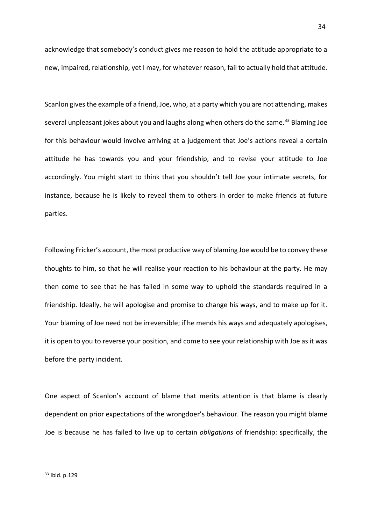acknowledge that somebody's conduct gives me reason to hold the attitude appropriate to a new, impaired, relationship, yet I may, for whatever reason, fail to actually hold that attitude.

Scanlon gives the example of a friend, Joe, who, at a party which you are not attending, makes several unpleasant jokes about you and laughs along when others do the same.<sup>33</sup> Blaming Joe for this behaviour would involve arriving at a judgement that Joe's actions reveal a certain attitude he has towards you and your friendship, and to revise your attitude to Joe accordingly. You might start to think that you shouldn't tell Joe your intimate secrets, for instance, because he is likely to reveal them to others in order to make friends at future parties.

Following Fricker's account, the most productive way of blaming Joe would be to convey these thoughts to him, so that he will realise your reaction to his behaviour at the party. He may then come to see that he has failed in some way to uphold the standards required in a friendship. Ideally, he will apologise and promise to change his ways, and to make up for it. Your blaming of Joe need not be irreversible; if he mends his ways and adequately apologises, it is open to you to reverse your position, and come to see your relationship with Joe as it was before the party incident.

One aspect of Scanlon's account of blame that merits attention is that blame is clearly dependent on prior expectations of the wrongdoer's behaviour. The reason you might blame Joe is because he has failed to live up to certain *obligations* of friendship: specifically, the

 <sup>33</sup> Ibid. p.129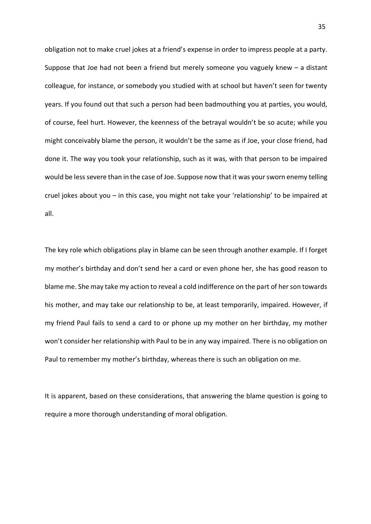obligation not to make cruel jokes at a friend's expense in order to impress people at a party. Suppose that Joe had not been a friend but merely someone you vaguely knew – a distant colleague, for instance, or somebody you studied with at school but haven't seen for twenty years. If you found out that such a person had been badmouthing you at parties, you would, of course, feel hurt. However, the keenness of the betrayal wouldn't be so acute; while you might conceivably blame the person, it wouldn't be the same as if Joe, your close friend, had done it. The way you took your relationship, such as it was, with that person to be impaired would be less severe than in the case of Joe. Suppose now that it was your sworn enemy telling cruel jokes about you – in this case, you might not take your 'relationship' to be impaired at all.

The key role which obligations play in blame can be seen through another example. If I forget my mother's birthday and don't send her a card or even phone her, she has good reason to blame me. She may take my action to reveal a cold indifference on the part of her son towards his mother, and may take our relationship to be, at least temporarily, impaired. However, if my friend Paul fails to send a card to or phone up my mother on her birthday, my mother won't consider her relationship with Paul to be in any way impaired. There is no obligation on Paul to remember my mother's birthday, whereas there is such an obligation on me.

It is apparent, based on these considerations, that answering the blame question is going to require a more thorough understanding of moral obligation.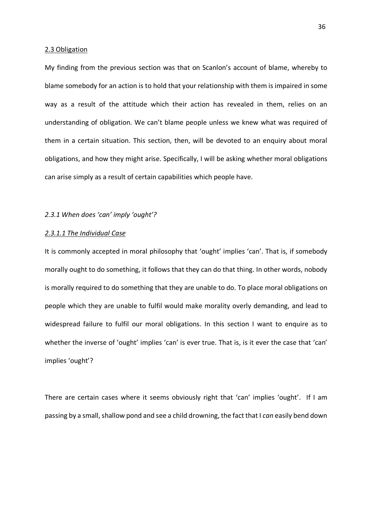#### 2.3 Obligation

My finding from the previous section was that on Scanlon's account of blame, whereby to blame somebody for an action is to hold that your relationship with them is impaired in some way as a result of the attitude which their action has revealed in them, relies on an understanding of obligation. We can't blame people unless we knew what was required of them in a certain situation. This section, then, will be devoted to an enquiry about moral obligations, and how they might arise. Specifically, I will be asking whether moral obligations can arise simply as a result of certain capabilities which people have.

#### *2.3.1 When does 'can' imply 'ought'?*

#### *2.3.1.1 The Individual Case*

It is commonly accepted in moral philosophy that 'ought' implies 'can'. That is, if somebody morally ought to do something, it follows that they can do that thing. In other words, nobody is morally required to do something that they are unable to do. To place moral obligations on people which they are unable to fulfil would make morality overly demanding, and lead to widespread failure to fulfil our moral obligations. In this section I want to enquire as to whether the inverse of 'ought' implies 'can' is ever true. That is, is it ever the case that 'can' implies 'ought'?

There are certain cases where it seems obviously right that 'can' implies 'ought'. If I am passing by a small, shallow pond and see a child drowning, the fact that I *can* easily bend down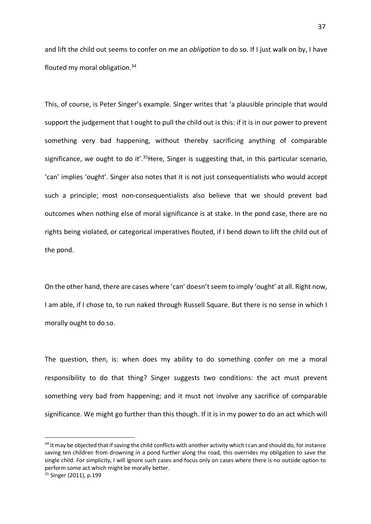and lift the child out seems to confer on me an *obligation* to do so. If I just walk on by, I have flouted my moral obligation.34

This, of course, is Peter Singer's example. Singer writes that 'a plausible principle that would support the judgement that I ought to pull the child out is this: if it is in our power to prevent something very bad happening, without thereby sacrificing anything of comparable significance, we ought to do it'.<sup>35</sup>Here, Singer is suggesting that, in this particular scenario, 'can' implies 'ought'. Singer also notes that it is not just consequentialists who would accept such a principle; most non-consequentialists also believe that we should prevent bad outcomes when nothing else of moral significance is at stake. In the pond case, there are no rights being violated, or categorical imperatives flouted, if I bend down to lift the child out of the pond.

On the other hand, there are cases where 'can' doesn't seem to imply 'ought' at all. Right now, I am able, if I chose to, to run naked through Russell Square. But there is no sense in which I morally ought to do so.

The question, then, is: when does my ability to do something confer on me a moral responsibility to do that thing? Singer suggests two conditions: the act must prevent something very bad from happening; and it must not involve any sacrifice of comparable significance. We might go further than this though. If it is in my power to do an act which will

 $34$  It may be objected that if saving the child conflicts with another activity which I can and should do, for instance saving ten children from drowning in a pond further along the road, this overrides my obligation to save the single child. For simplicity, I will ignore such cases and focus only on cases where there is no outside option to perform some act which might be morally better.

<sup>&</sup>lt;sup>35</sup> Singer (2011), p.199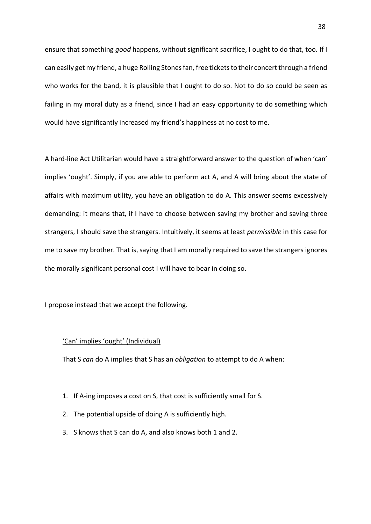ensure that something *good* happens, without significant sacrifice, I ought to do that, too. If I can easily get my friend, a huge Rolling Stones fan, free tickets to their concert through a friend who works for the band, it is plausible that I ought to do so. Not to do so could be seen as failing in my moral duty as a friend, since I had an easy opportunity to do something which would have significantly increased my friend's happiness at no cost to me.

A hard-line Act Utilitarian would have a straightforward answer to the question of when 'can' implies 'ought'. Simply, if you are able to perform act A, and A will bring about the state of affairs with maximum utility, you have an obligation to do A. This answer seems excessively demanding: it means that, if I have to choose between saving my brother and saving three strangers, I should save the strangers. Intuitively, it seems at least *permissible* in this case for me to save my brother. That is, saying that I am morally required to save the strangers ignores the morally significant personal cost I will have to bear in doing so.

I propose instead that we accept the following.

## 'Can' implies 'ought' (Individual)

That S *can* do A implies that S has an *obligation* to attempt to do A when:

- 1. If A-ing imposes a cost on S, that cost is sufficiently small for S.
- 2. The potential upside of doing A is sufficiently high.
- 3. S knows that S can do A, and also knows both 1 and 2.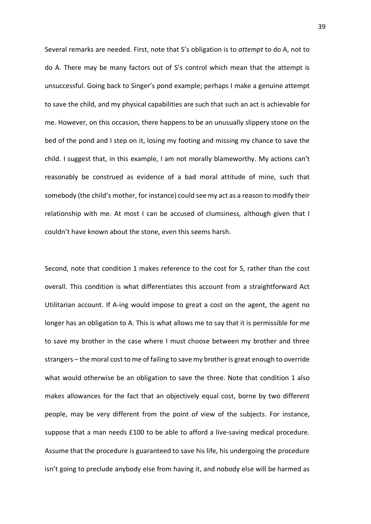Several remarks are needed. First, note that S's obligation is to *attempt* to do A, not to do A. There may be many factors out of S's control which mean that the attempt is unsuccessful. Going back to Singer's pond example; perhaps I make a genuine attempt to save the child, and my physical capabilities are such that such an act is achievable for me. However, on this occasion, there happens to be an unusually slippery stone on the bed of the pond and I step on it, losing my footing and missing my chance to save the child. I suggest that, in this example, I am not morally blameworthy. My actions can't reasonably be construed as evidence of a bad moral attitude of mine, such that somebody (the child's mother, for instance) could see my act as a reason to modify their relationship with me. At most I can be accused of clumsiness, although given that I couldn't have known about the stone, even this seems harsh.

Second, note that condition 1 makes reference to the cost for S, rather than the cost overall. This condition is what differentiates this account from a straightforward Act Utilitarian account. If A-ing would impose to great a cost on the agent, the agent no longer has an obligation to A. This is what allows me to say that it is permissible for me to save my brother in the case where I must choose between my brother and three strangers – the moral cost to me of failing to save my brother is great enough to override what would otherwise be an obligation to save the three. Note that condition 1 also makes allowances for the fact that an objectively equal cost, borne by two different people, may be very different from the point of view of the subjects. For instance, suppose that a man needs £100 to be able to afford a live-saving medical procedure. Assume that the procedure is guaranteed to save his life, his undergoing the procedure isn't going to preclude anybody else from having it, and nobody else will be harmed as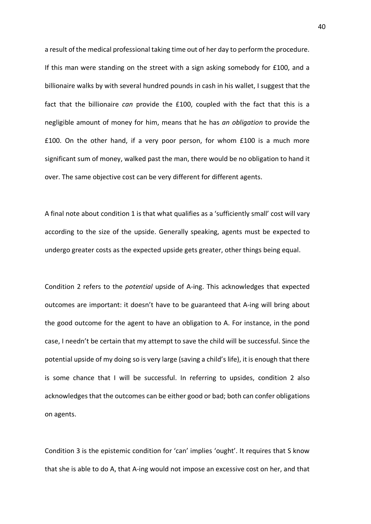a result of the medical professional taking time out of her day to perform the procedure. If this man were standing on the street with a sign asking somebody for £100, and a billionaire walks by with several hundred pounds in cash in his wallet, I suggest that the fact that the billionaire *can* provide the £100, coupled with the fact that this is a negligible amount of money for him, means that he has *an obligation* to provide the £100. On the other hand, if a very poor person, for whom £100 is a much more significant sum of money, walked past the man, there would be no obligation to hand it over. The same objective cost can be very different for different agents.

A final note about condition 1 is that what qualifies as a 'sufficiently small' cost will vary according to the size of the upside. Generally speaking, agents must be expected to undergo greater costs as the expected upside gets greater, other things being equal.

Condition 2 refers to the *potential* upside of A-ing. This acknowledges that expected outcomes are important: it doesn't have to be guaranteed that A-ing will bring about the good outcome for the agent to have an obligation to A. For instance, in the pond case, I needn't be certain that my attempt to save the child will be successful. Since the potential upside of my doing so is very large (saving a child's life), it is enough that there is some chance that I will be successful. In referring to upsides, condition 2 also acknowledges that the outcomes can be either good or bad; both can confer obligations on agents.

Condition 3 is the epistemic condition for 'can' implies 'ought'. It requires that S know that she is able to do A, that A-ing would not impose an excessive cost on her, and that 40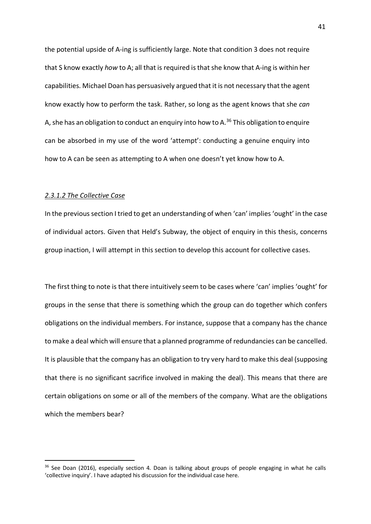the potential upside of A-ing is sufficiently large. Note that condition 3 does not require that S know exactly *how* to A; all that is required is that she know that A-ing is within her capabilities. Michael Doan has persuasively argued that it is not necessary that the agent know exactly how to perform the task. Rather, so long as the agent knows that she *can* A, she has an obligation to conduct an enquiry into how to  $A<sup>36</sup>$  This obligation to enquire can be absorbed in my use of the word 'attempt': conducting a genuine enquiry into how to A can be seen as attempting to A when one doesn't yet know how to A.

### *2.3.1.2 The Collective Case*

In the previous section I tried to get an understanding of when 'can' implies 'ought' in the case of individual actors. Given that Held's Subway, the object of enquiry in this thesis, concerns group inaction, I will attempt in this section to develop this account for collective cases.

The first thing to note is that there intuitively seem to be cases where 'can' implies 'ought' for groups in the sense that there is something which the group can do together which confers obligations on the individual members. For instance, suppose that a company has the chance to make a deal which will ensure that a planned programme of redundancies can be cancelled. It is plausible that the company has an obligation to try very hard to make this deal (supposing that there is no significant sacrifice involved in making the deal). This means that there are certain obligations on some or all of the members of the company. What are the obligations which the members bear?

<sup>&</sup>lt;sup>36</sup> See Doan (2016), especially section 4. Doan is talking about groups of people engaging in what he calls 'collective inquiry'. I have adapted his discussion for the individual case here.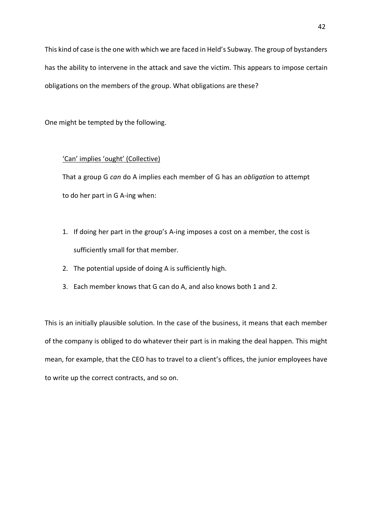This kind of case is the one with which we are faced in Held's Subway. The group of bystanders has the ability to intervene in the attack and save the victim. This appears to impose certain obligations on the members of the group. What obligations are these?

One might be tempted by the following.

# 'Can' implies 'ought' (Collective)

That a group G *can* do A implies each member of G has an *obligation* to attempt to do her part in G A-ing when:

- 1. If doing her part in the group's A-ing imposes a cost on a member, the cost is sufficiently small for that member.
- 2. The potential upside of doing A is sufficiently high.
- 3. Each member knows that G can do A, and also knows both 1 and 2.

This is an initially plausible solution. In the case of the business, it means that each member of the company is obliged to do whatever their part is in making the deal happen. This might mean, for example, that the CEO has to travel to a client's offices, the junior employees have to write up the correct contracts, and so on.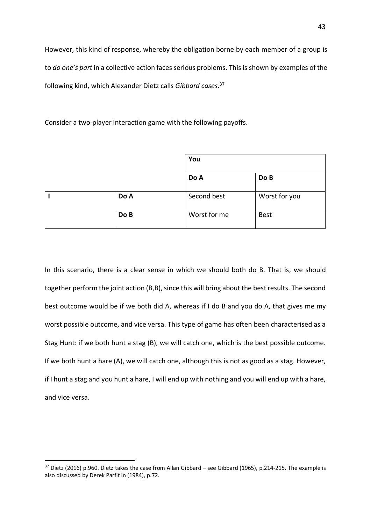However, this kind of response, whereby the obligation borne by each member of a group is to *do one's part* in a collective action faces serious problems. This is shown by examples of the following kind, which Alexander Dietz calls *Gibbard cases*. 37

Consider a two-player interaction game with the following payoffs.

|  |      | You          |               |
|--|------|--------------|---------------|
|  |      | Do A         | Do B          |
|  | Do A | Second best  | Worst for you |
|  | Do B | Worst for me | <b>Best</b>   |

In this scenario, there is a clear sense in which we should both do B. That is, we should together perform the joint action (B,B), since this will bring about the best results. The second best outcome would be if we both did A, whereas if I do B and you do A, that gives me my worst possible outcome, and vice versa. This type of game has often been characterised as a Stag Hunt: if we both hunt a stag (B), we will catch one, which is the best possible outcome. If we both hunt a hare (A), we will catch one, although this is not as good as a stag. However, if I hunt a stag and you hunt a hare, I will end up with nothing and you will end up with a hare, and vice versa.

<sup>&</sup>lt;sup>37</sup> Dietz (2016) p.960. Dietz takes the case from Allan Gibbard – see Gibbard (1965), p.214-215. The example is also discussed by Derek Parfit in (1984), p.72.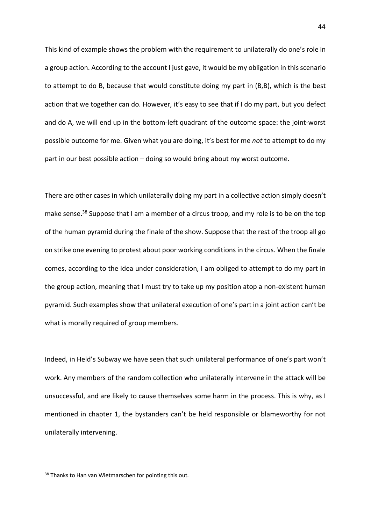This kind of example shows the problem with the requirement to unilaterally do one's role in a group action. According to the account I just gave, it would be my obligation in this scenario to attempt to do B, because that would constitute doing my part in (B,B), which is the best action that we together can do. However, it's easy to see that if I do my part, but you defect and do A, we will end up in the bottom-left quadrant of the outcome space: the joint-worst possible outcome for me. Given what you are doing, it's best for me *not* to attempt to do my part in our best possible action – doing so would bring about my worst outcome.

There are other cases in which unilaterally doing my part in a collective action simply doesn't make sense.<sup>38</sup> Suppose that I am a member of a circus troop, and my role is to be on the top of the human pyramid during the finale of the show. Suppose that the rest of the troop all go on strike one evening to protest about poor working conditions in the circus. When the finale comes, according to the idea under consideration, I am obliged to attempt to do my part in the group action, meaning that I must try to take up my position atop a non-existent human pyramid. Such examples show that unilateral execution of one's part in a joint action can't be what is morally required of group members.

Indeed, in Held's Subway we have seen that such unilateral performance of one's part won't work. Any members of the random collection who unilaterally intervene in the attack will be unsuccessful, and are likely to cause themselves some harm in the process. This is why, as I mentioned in chapter 1, the bystanders can't be held responsible or blameworthy for not unilaterally intervening.

<sup>&</sup>lt;sup>38</sup> Thanks to Han van Wietmarschen for pointing this out.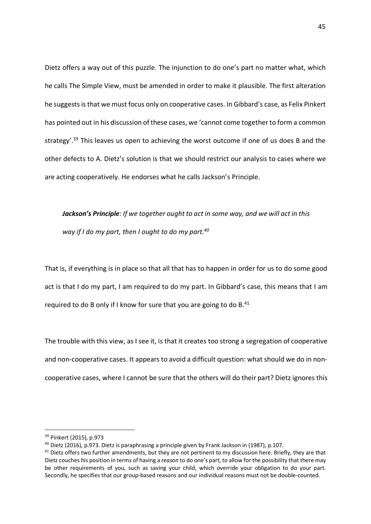Dietz offers a way out of this puzzle. The injunction to do one's part no matter what, which he calls The Simple View, must be amended in order to make it plausible. The first alteration he suggests is that we must focus only on cooperative cases. In Gibbard's case, as Felix Pinkert has pointed out in his discussion of these cases, we 'cannot come together to form a common strategy'.<sup>39</sup> This leaves us open to achieving the worst outcome if one of us does B and the other defects to A. Dietz's solution is that we should restrict our analysis to cases where we are acting cooperatively. He endorses what he calls Jackson's Principle.

*Jackson's Principle: If we together ought to act in some way, and we will act in this way if I do my part, then I ought to do my part.40*

That is, if everything is in place so that all that has to happen in order for us to do some good act is that I do my part, I am required to do my part. In Gibbard's case, this means that I am required to do B only if I know for sure that you are going to do B.<sup>41</sup>

The trouble with this view, as I see it, is that it creates too strong a segregation of cooperative and non-cooperative cases. It appears to avoid a difficult question: what should we do in noncooperative cases, where I cannot be sure that the others will do their part? Dietz ignores this

 <sup>39</sup> Pinkert (2015), p.973

<sup>&</sup>lt;sup>40</sup> Dietz (2016), p.973. Dietz is paraphrasing a principle given by Frank Jackson in (1987), p.107.

<sup>&</sup>lt;sup>41</sup> Dietz offers two further amendments, but they are not pertinent to my discussion here. Briefly, they are that Dietz couches his position in terms of having a *reason* to do one's part, to allow for the possibility that there may be other requirements of you, such as saving your child, which override your obligation to do your part. Secondly, he specifies that our group-based reasons and our individual reasons must not be double-counted.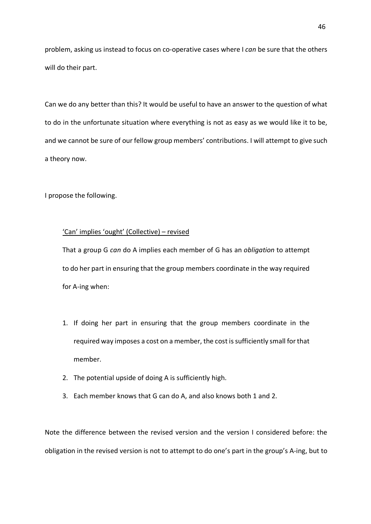problem, asking us instead to focus on co-operative cases where I *can* be sure that the others will do their part.

Can we do any better than this? It would be useful to have an answer to the question of what to do in the unfortunate situation where everything is not as easy as we would like it to be, and we cannot be sure of our fellow group members' contributions. I will attempt to give such a theory now.

I propose the following.

## 'Can' implies 'ought' (Collective) – revised

That a group G *can* do A implies each member of G has an *obligation* to attempt to do her part in ensuring that the group members coordinate in the way required for A-ing when:

- 1. If doing her part in ensuring that the group members coordinate in the required way imposes a cost on a member, the cost is sufficiently small for that member.
- 2. The potential upside of doing A is sufficiently high.
- 3. Each member knows that G can do A, and also knows both 1 and 2.

Note the difference between the revised version and the version I considered before: the obligation in the revised version is not to attempt to do one's part in the group's A-ing, but to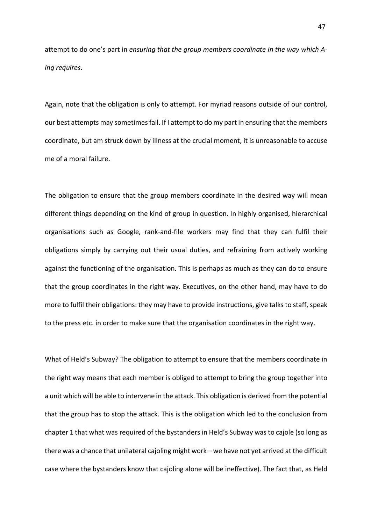attempt to do one's part in *ensuring that the group members coordinate in the way which Aing requires*.

Again, note that the obligation is only to attempt. For myriad reasons outside of our control, our best attempts may sometimes fail. If I attempt to do my part in ensuring that the members coordinate, but am struck down by illness at the crucial moment, it is unreasonable to accuse me of a moral failure.

The obligation to ensure that the group members coordinate in the desired way will mean different things depending on the kind of group in question. In highly organised, hierarchical organisations such as Google, rank-and-file workers may find that they can fulfil their obligations simply by carrying out their usual duties, and refraining from actively working against the functioning of the organisation. This is perhaps as much as they can do to ensure that the group coordinates in the right way. Executives, on the other hand, may have to do more to fulfil their obligations: they may have to provide instructions, give talks to staff, speak to the press etc. in order to make sure that the organisation coordinates in the right way.

What of Held's Subway? The obligation to attempt to ensure that the members coordinate in the right way means that each member is obliged to attempt to bring the group together into a unit which will be able to intervene in the attack. This obligation is derived from the potential that the group has to stop the attack. This is the obligation which led to the conclusion from chapter 1 that what was required of the bystanders in Held's Subway was to cajole (so long as there was a chance that unilateral cajoling might work – we have not yet arrived at the difficult case where the bystanders know that cajoling alone will be ineffective). The fact that, as Held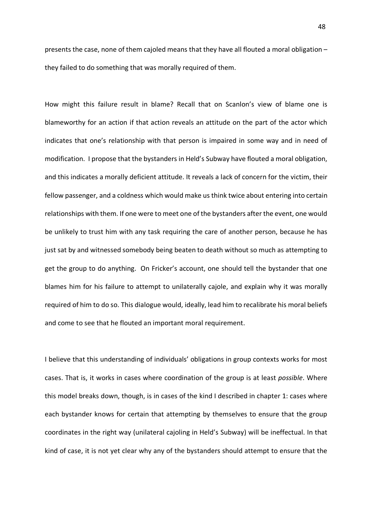presents the case, none of them cajoled means that they have all flouted a moral obligation – they failed to do something that was morally required of them.

How might this failure result in blame? Recall that on Scanlon's view of blame one is blameworthy for an action if that action reveals an attitude on the part of the actor which indicates that one's relationship with that person is impaired in some way and in need of modification. I propose that the bystanders in Held's Subway have flouted a moral obligation, and this indicates a morally deficient attitude. It reveals a lack of concern for the victim, their fellow passenger, and a coldness which would make us think twice about entering into certain relationships with them. If one were to meet one of the bystanders after the event, one would be unlikely to trust him with any task requiring the care of another person, because he has just sat by and witnessed somebody being beaten to death without so much as attempting to get the group to do anything. On Fricker's account, one should tell the bystander that one blames him for his failure to attempt to unilaterally cajole, and explain why it was morally required of him to do so. This dialogue would, ideally, lead him to recalibrate his moral beliefs and come to see that he flouted an important moral requirement.

I believe that this understanding of individuals' obligations in group contexts works for most cases. That is, it works in cases where coordination of the group is at least *possible*. Where this model breaks down, though, is in cases of the kind I described in chapter 1: cases where each bystander knows for certain that attempting by themselves to ensure that the group coordinates in the right way (unilateral cajoling in Held's Subway) will be ineffectual. In that kind of case, it is not yet clear why any of the bystanders should attempt to ensure that the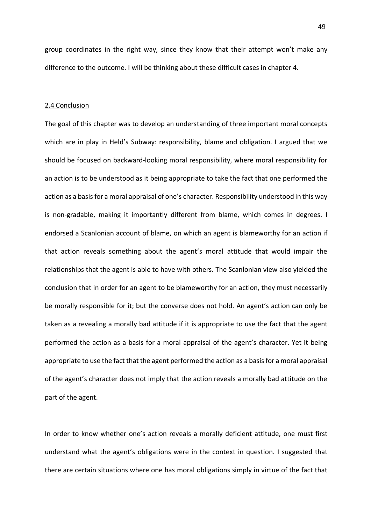group coordinates in the right way, since they know that their attempt won't make any difference to the outcome. I will be thinking about these difficult cases in chapter 4.

#### 2.4 Conclusion

The goal of this chapter was to develop an understanding of three important moral concepts which are in play in Held's Subway: responsibility, blame and obligation. I argued that we should be focused on backward-looking moral responsibility, where moral responsibility for an action is to be understood as it being appropriate to take the fact that one performed the action as a basis for a moral appraisal of one's character. Responsibility understood in this way is non-gradable, making it importantly different from blame, which comes in degrees. I endorsed a Scanlonian account of blame, on which an agent is blameworthy for an action if that action reveals something about the agent's moral attitude that would impair the relationships that the agent is able to have with others. The Scanlonian view also yielded the conclusion that in order for an agent to be blameworthy for an action, they must necessarily be morally responsible for it; but the converse does not hold. An agent's action can only be taken as a revealing a morally bad attitude if it is appropriate to use the fact that the agent performed the action as a basis for a moral appraisal of the agent's character. Yet it being appropriate to use the fact that the agent performed the action as a basis for a moral appraisal of the agent's character does not imply that the action reveals a morally bad attitude on the part of the agent.

In order to know whether one's action reveals a morally deficient attitude, one must first understand what the agent's obligations were in the context in question. I suggested that there are certain situations where one has moral obligations simply in virtue of the fact that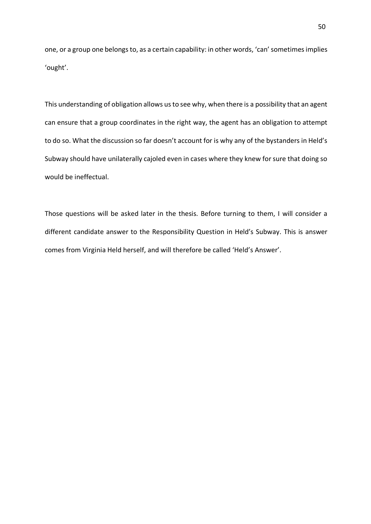one, or a group one belongs to, as a certain capability: in other words, 'can' sometimes implies 'ought'.

This understanding of obligation allows us to see why, when there is a possibility that an agent can ensure that a group coordinates in the right way, the agent has an obligation to attempt to do so. What the discussion so far doesn't account for is why any of the bystanders in Held's Subway should have unilaterally cajoled even in cases where they knew for sure that doing so would be ineffectual.

Those questions will be asked later in the thesis. Before turning to them, I will consider a different candidate answer to the Responsibility Question in Held's Subway. This is answer comes from Virginia Held herself, and will therefore be called 'Held's Answer'.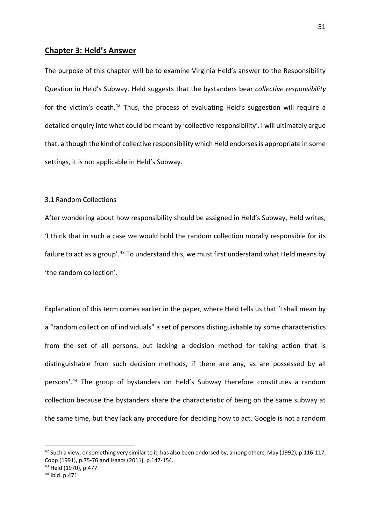## **Chapter 3: Held's Answer**

The purpose of this chapter will be to examine Virginia Held's answer to the Responsibility Question in Held's Subway. Held suggests that the bystanders bear *collective responsibility* for the victim's death.<sup>42</sup> Thus, the process of evaluating Held's suggestion will require a detailed enquiry into what could be meant by 'collective responsibility'. I will ultimately argue that, although the kind of collective responsibility which Held endorses is appropriate in some settings, it is not applicable in Held's Subway.

### 3.1 Random Collections

After wondering about how responsibility should be assigned in Held's Subway, Held writes, 'I think that in such a case we would hold the random collection morally responsible for its failure to act as a group'.<sup>43</sup> To understand this, we must first understand what Held means by 'the random collection'.

Explanation of this term comes earlier in the paper, where Held tells us that 'I shall mean by a "random collection of individuals" a set of persons distinguishable by some characteristics from the set of all persons, but lacking a decision method for taking action that is distinguishable from such decision methods, if there are any, as are possessed by all persons'.44 The group of bystanders on Held's Subway therefore constitutes a random collection because the bystanders share the characteristic of being on the same subway at the same time, but they lack any procedure for deciding how to act. Google is not a random

 $42$  Such a view, or something very similar to it, has also been endorsed by, among others, May (1992), p.116-117, Copp (1991), p.75-76 and Isaacs (2011), p.147-154.

<sup>43</sup> Held (1970), p.477

<sup>44</sup> Ibid. p.471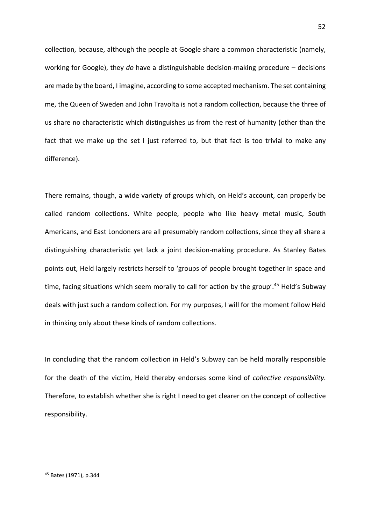collection, because, although the people at Google share a common characteristic (namely, working for Google), they *do* have a distinguishable decision-making procedure – decisions are made by the board, I imagine, according to some accepted mechanism. The set containing me, the Queen of Sweden and John Travolta is not a random collection, because the three of us share no characteristic which distinguishes us from the rest of humanity (other than the fact that we make up the set I just referred to, but that fact is too trivial to make any difference).

There remains, though, a wide variety of groups which, on Held's account, can properly be called random collections. White people, people who like heavy metal music, South Americans, and East Londoners are all presumably random collections, since they all share a distinguishing characteristic yet lack a joint decision-making procedure. As Stanley Bates points out, Held largely restricts herself to 'groups of people brought together in space and time, facing situations which seem morally to call for action by the group'.<sup>45</sup> Held's Subway deals with just such a random collection. For my purposes, I will for the moment follow Held in thinking only about these kinds of random collections.

In concluding that the random collection in Held's Subway can be held morally responsible for the death of the victim, Held thereby endorses some kind of *collective responsibility*. Therefore, to establish whether she is right I need to get clearer on the concept of collective responsibility.

 <sup>45</sup> Bates (1971), p.344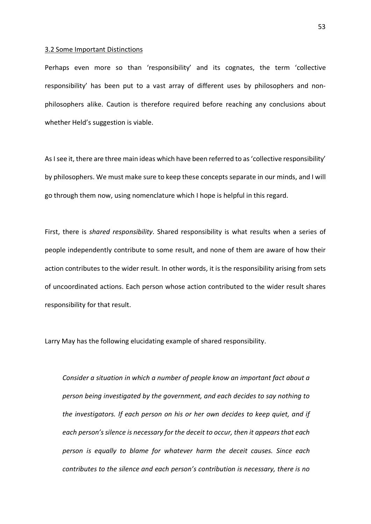#### 3.2 Some Important Distinctions

Perhaps even more so than 'responsibility' and its cognates, the term 'collective responsibility' has been put to a vast array of different uses by philosophers and nonphilosophers alike. Caution is therefore required before reaching any conclusions about whether Held's suggestion is viable.

As I see it, there are three main ideas which have been referred to as 'collective responsibility' by philosophers. We must make sure to keep these concepts separate in our minds, and I will go through them now, using nomenclature which I hope is helpful in this regard.

First, there is *shared responsibility*. Shared responsibility is what results when a series of people independently contribute to some result, and none of them are aware of how their action contributes to the wider result. In other words, it is the responsibility arising from sets of uncoordinated actions. Each person whose action contributed to the wider result shares responsibility for that result.

Larry May has the following elucidating example of shared responsibility.

*Consider a situation in which a number of people know an important fact about a person being investigated by the government, and each decides to say nothing to the investigators. If each person on his or her own decides to keep quiet, and if each person's silence is necessary for the deceit to occur, then it appears that each person is equally to blame for whatever harm the deceit causes. Since each contributes to the silence and each person's contribution is necessary, there is no*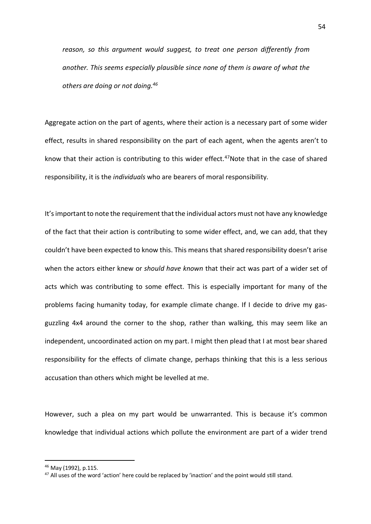*reason, so this argument would suggest, to treat one person differently from another. This seems especially plausible since none of them is aware of what the others are doing or not doing.46*

Aggregate action on the part of agents, where their action is a necessary part of some wider effect, results in shared responsibility on the part of each agent, when the agents aren't to know that their action is contributing to this wider effect.<sup>47</sup>Note that in the case of shared responsibility, it is the *individuals* who are bearers of moral responsibility.

It's important to note the requirement that the individual actors must not have any knowledge of the fact that their action is contributing to some wider effect, and, we can add, that they couldn't have been expected to know this. This means that shared responsibility doesn't arise when the actors either knew or *should have known* that their act was part of a wider set of acts which was contributing to some effect. This is especially important for many of the problems facing humanity today, for example climate change. If I decide to drive my gasguzzling 4x4 around the corner to the shop, rather than walking, this may seem like an independent, uncoordinated action on my part. I might then plead that I at most bear shared responsibility for the effects of climate change, perhaps thinking that this is a less serious accusation than others which might be levelled at me.

However, such a plea on my part would be unwarranted. This is because it's common knowledge that individual actions which pollute the environment are part of a wider trend

<sup>&</sup>lt;sup>46</sup> May (1992), p.115.<br><sup>47</sup> All uses of the word 'action' here could be replaced by 'inaction' and the point would still stand.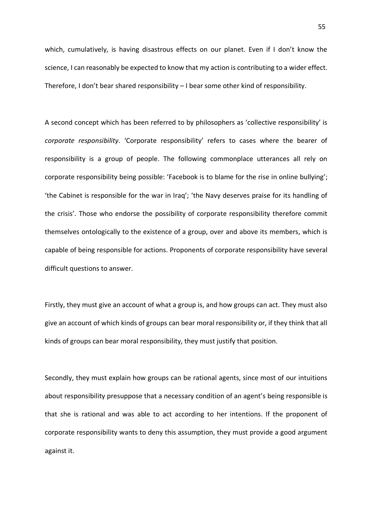which, cumulatively, is having disastrous effects on our planet. Even if I don't know the science, I can reasonably be expected to know that my action is contributing to a wider effect. Therefore, I don't bear shared responsibility – I bear some other kind of responsibility.

A second concept which has been referred to by philosophers as 'collective responsibility' is *corporate responsibility*. 'Corporate responsibility' refers to cases where the bearer of responsibility is a group of people. The following commonplace utterances all rely on corporate responsibility being possible: 'Facebook is to blame for the rise in online bullying'; 'the Cabinet is responsible for the war in Iraq'; 'the Navy deserves praise for its handling of the crisis'. Those who endorse the possibility of corporate responsibility therefore commit themselves ontologically to the existence of a group, over and above its members, which is capable of being responsible for actions. Proponents of corporate responsibility have several difficult questions to answer.

Firstly, they must give an account of what a group is, and how groups can act. They must also give an account of which kinds of groups can bear moral responsibility or, if they think that all kinds of groups can bear moral responsibility, they must justify that position.

Secondly, they must explain how groups can be rational agents, since most of our intuitions about responsibility presuppose that a necessary condition of an agent's being responsible is that she is rational and was able to act according to her intentions. If the proponent of corporate responsibility wants to deny this assumption, they must provide a good argument against it.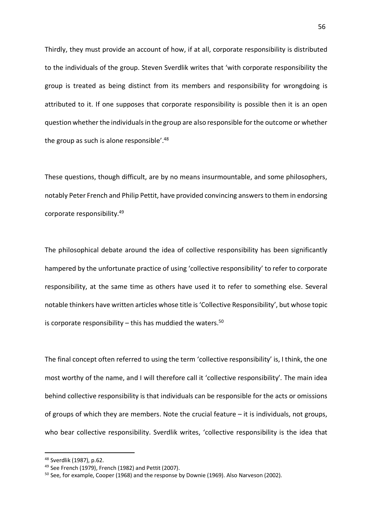Thirdly, they must provide an account of how, if at all, corporate responsibility is distributed to the individuals of the group. Steven Sverdlik writes that 'with corporate responsibility the group is treated as being distinct from its members and responsibility for wrongdoing is attributed to it. If one supposes that corporate responsibility is possible then it is an open question whether the individuals in the group are also responsible for the outcome or whether the group as such is alone responsible'.<sup>48</sup>

These questions, though difficult, are by no means insurmountable, and some philosophers, notably Peter French and Philip Pettit, have provided convincing answers to them in endorsing corporate responsibility.49

The philosophical debate around the idea of collective responsibility has been significantly hampered by the unfortunate practice of using 'collective responsibility' to refer to corporate responsibility, at the same time as others have used it to refer to something else. Several notable thinkers have written articles whose title is 'Collective Responsibility', but whose topic is corporate responsibility – this has muddied the waters. $50$ 

The final concept often referred to using the term 'collective responsibility' is, I think, the one most worthy of the name, and I will therefore call it 'collective responsibility'*.* The main idea behind collective responsibility is that individuals can be responsible for the acts or omissions of groups of which they are members. Note the crucial feature – it is individuals, not groups, who bear collective responsibility. Sverdlik writes, 'collective responsibility is the idea that

<sup>&</sup>lt;sup>48</sup> Sverdlik (1987), p.62.<br><sup>49</sup> See French (1979), French (1982) and Pettit (2007).

<sup>&</sup>lt;sup>50</sup> See, for example, Cooper (1968) and the response by Downie (1969). Also Narveson (2002).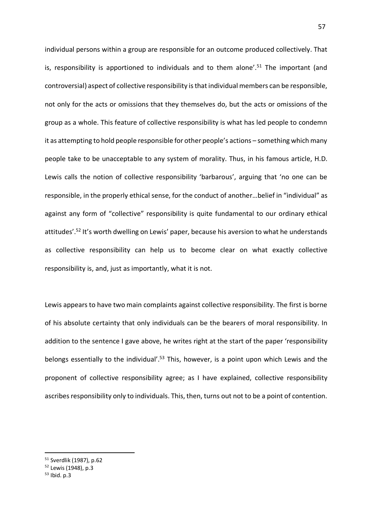individual persons within a group are responsible for an outcome produced collectively. That is, responsibility is apportioned to individuals and to them alone'.<sup>51</sup> The important (and controversial) aspect of collective responsibility is that individual members can be responsible, not only for the acts or omissions that they themselves do, but the acts or omissions of the group as a whole. This feature of collective responsibility is what has led people to condemn it as attempting to hold people responsible for other people's actions – something which many people take to be unacceptable to any system of morality. Thus, in his famous article, H.D. Lewis calls the notion of collective responsibility 'barbarous', arguing that 'no one can be responsible, in the properly ethical sense, for the conduct of another…belief in "individual" as against any form of "collective" responsibility is quite fundamental to our ordinary ethical attitudes'.<sup>52</sup> It's worth dwelling on Lewis' paper, because his aversion to what he understands as collective responsibility can help us to become clear on what exactly collective responsibility is, and, just as importantly, what it is not.

Lewis appears to have two main complaints against collective responsibility. The first is borne of his absolute certainty that only individuals can be the bearers of moral responsibility. In addition to the sentence I gave above, he writes right at the start of the paper 'responsibility belongs essentially to the individual'.<sup>53</sup> This, however, is a point upon which Lewis and the proponent of collective responsibility agree; as I have explained, collective responsibility ascribes responsibility only to individuals. This, then, turns out not to be a point of contention.

 <sup>51</sup> Sverdlik (1987), p.62

<sup>52</sup> Lewis (1948), p.3

 $53$  Ibid. p.3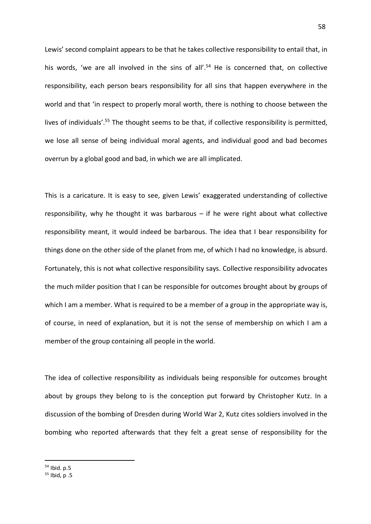Lewis' second complaint appears to be that he takes collective responsibility to entail that, in his words, 'we are all involved in the sins of all'.<sup>54</sup> He is concerned that, on collective responsibility, each person bears responsibility for all sins that happen everywhere in the world and that 'in respect to properly moral worth, there is nothing to choose between the lives of individuals'.55 The thought seems to be that, if collective responsibility is permitted, we lose all sense of being individual moral agents, and individual good and bad becomes overrun by a global good and bad, in which we are all implicated.

This is a caricature. It is easy to see, given Lewis' exaggerated understanding of collective responsibility, why he thought it was barbarous – if he were right about what collective responsibility meant, it would indeed be barbarous. The idea that I bear responsibility for things done on the other side of the planet from me, of which I had no knowledge, is absurd. Fortunately, this is not what collective responsibility says. Collective responsibility advocates the much milder position that I can be responsible for outcomes brought about by groups of which I am a member. What is required to be a member of a group in the appropriate way is, of course, in need of explanation, but it is not the sense of membership on which I am a member of the group containing all people in the world.

The idea of collective responsibility as individuals being responsible for outcomes brought about by groups they belong to is the conception put forward by Christopher Kutz. In a discussion of the bombing of Dresden during World War 2, Kutz cites soldiers involved in the bombing who reported afterwards that they felt a great sense of responsibility for the

 <sup>54</sup> Ibid. p.5

 $55$  Ibid, p  $.5$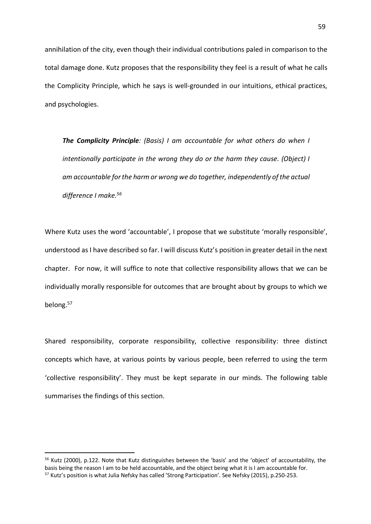annihilation of the city, even though their individual contributions paled in comparison to the total damage done. Kutz proposes that the responsibility they feel is a result of what he calls the Complicity Principle, which he says is well-grounded in our intuitions, ethical practices, and psychologies.

*The Complicity Principle: (Basis) I am accountable for what others do when I intentionally participate in the wrong they do or the harm they cause. (Object) I am accountable for the harm or wrong we do together, independently of the actual difference I make.56*

Where Kutz uses the word 'accountable', I propose that we substitute 'morally responsible', understood as I have described so far. I will discuss Kutz's position in greater detail in the next chapter. For now, it will suffice to note that collective responsibility allows that we can be individually morally responsible for outcomes that are brought about by groups to which we belong. 57

Shared responsibility, corporate responsibility, collective responsibility: three distinct concepts which have, at various points by various people, been referred to using the term 'collective responsibility'. They must be kept separate in our minds. The following table summarises the findings of this section.

 <sup>56</sup> Kutz (2000), p.122. Note that Kutz distinguishes between the 'basis' and the 'object' of accountability, the basis being the reason I am to be held accountable, and the object being what it is I am accountable for. <sup>57</sup> Kutz's position is what Julia Nefsky has called 'Strong Participation'. See Nefsky (2015), p.250-253.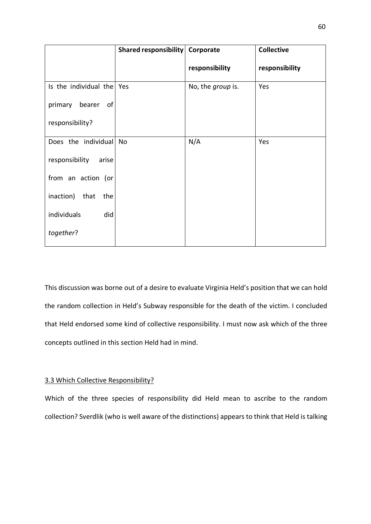|                           | Shared responsibility   Corporate |                   | <b>Collective</b> |
|---------------------------|-----------------------------------|-------------------|-------------------|
|                           |                                   | responsibility    | responsibility    |
| Is the individual the Yes |                                   | No, the group is. | Yes               |
| primary bearer<br>of      |                                   |                   |                   |
| responsibility?           |                                   |                   |                   |
| Does the individual       | <b>No</b>                         | N/A               | Yes               |
| responsibility<br>arise   |                                   |                   |                   |
| from an action (or        |                                   |                   |                   |
| inaction)<br>that<br>the  |                                   |                   |                   |
| individuals<br>did        |                                   |                   |                   |
| together?                 |                                   |                   |                   |

This discussion was borne out of a desire to evaluate Virginia Held's position that we can hold the random collection in Held's Subway responsible for the death of the victim. I concluded that Held endorsed some kind of collective responsibility. I must now ask which of the three concepts outlined in this section Held had in mind.

## 3.3 Which Collective Responsibility?

Which of the three species of responsibility did Held mean to ascribe to the random collection? Sverdlik (who is well aware of the distinctions) appears to think that Held is talking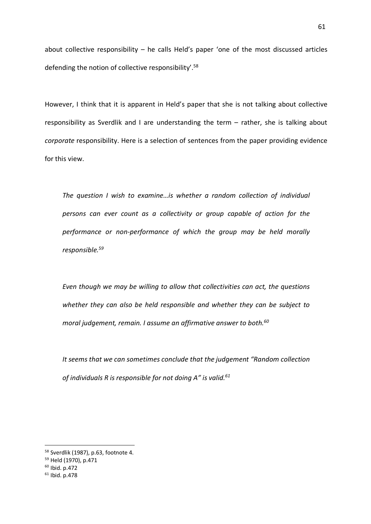about collective responsibility – he calls Held's paper 'one of the most discussed articles defending the notion of collective responsibility'.<sup>58</sup>

However, I think that it is apparent in Held's paper that she is not talking about collective responsibility as Sverdlik and I are understanding the term – rather, she is talking about *corporate* responsibility. Here is a selection of sentences from the paper providing evidence for this view.

*The question I wish to examine…is whether a random collection of individual persons can ever count as a collectivity or group capable of action for the performance or non-performance of which the group may be held morally responsible.59*

*Even though we may be willing to allow that collectivities can act, the questions whether they can also be held responsible and whether they can be subject to moral judgement, remain. I assume an affirmative answer to both.60*

*It seems that we can sometimes conclude that the judgement "Random collection of individuals R is responsible for not doing A" is valid.61*

 <sup>58</sup> Sverdlik (1987), p.63, footnote 4.

<sup>59</sup> Held (1970), p.471

<sup>60</sup> Ibid. p.472

<sup>61</sup> Ibid. p.478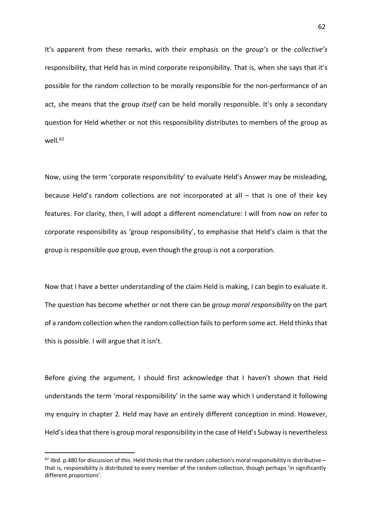It's apparent from these remarks, with their emphasis on the *group's* or the *collective's* responsibility, that Held has in mind corporate responsibility. That is, when she says that it's possible for the random collection to be morally responsible for the non-performance of an act, she means that the group *itself* can be held morally responsible. It's only a secondary question for Held whether or not this responsibility distributes to members of the group as well.62

Now, using the term 'corporate responsibility' to evaluate Held's Answer may be misleading, because Held's random collections are not incorporated at all – that is one of their key features. For clarity, then, I will adopt a different nomenclature: I will from now on refer to corporate responsibility as 'group responsibility', to emphasise that Held's claim is that the group is responsible *qua* group, even though the group is not a corporation.

Now that I have a better understanding of the claim Held is making, I can begin to evaluate it. The question has become whether or not there can be *group moral responsibility* on the part of a random collection when the random collection fails to perform some act. Held thinks that this is possible. I will argue that it isn't.

Before giving the argument, I should first acknowledge that I haven't shown that Held understands the term 'moral responsibility' in the same way which I understand it following my enquiry in chapter 2. Held may have an entirely different conception in mind. However, Held's idea that there is group moral responsibility in the case of Held's Subway is nevertheless

 $62$  Ibid. p.480 for discussion of this. Held thinks that the random collection's moral responsibility is distributive – that is, responsibility is distributed to every member of the random collection, though perhaps 'in significantly different proportions'.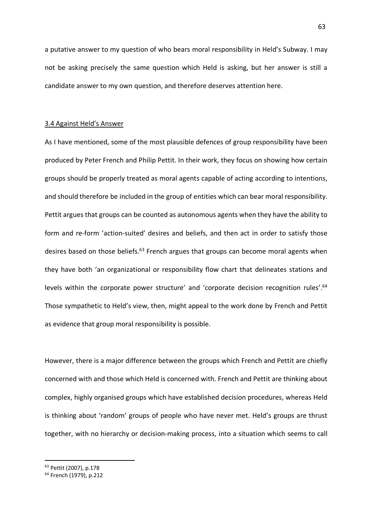a putative answer to my question of who bears moral responsibility in Held's Subway. I may not be asking precisely the same question which Held is asking, but her answer is still a candidate answer to my own question, and therefore deserves attention here.

### 3.4 Against Held's Answer

As I have mentioned, some of the most plausible defences of group responsibility have been produced by Peter French and Philip Pettit. In their work, they focus on showing how certain groups should be properly treated as moral agents capable of acting according to intentions, and should therefore be included in the group of entities which can bear moral responsibility. Pettit argues that groups can be counted as autonomous agents when they have the ability to form and re-form 'action-suited' desires and beliefs, and then act in order to satisfy those desires based on those beliefs.<sup>63</sup> French argues that groups can become moral agents when they have both 'an organizational or responsibility flow chart that delineates stations and levels within the corporate power structure' and 'corporate decision recognition rules'.<sup>64</sup> Those sympathetic to Held's view, then, might appeal to the work done by French and Pettit as evidence that group moral responsibility is possible.

However, there is a major difference between the groups which French and Pettit are chiefly concerned with and those which Held is concerned with. French and Pettit are thinking about complex, highly organised groups which have established decision procedures, whereas Held is thinking about 'random' groups of people who have never met. Held's groups are thrust together, with no hierarchy or decision-making process, into a situation which seems to call

 <sup>63</sup> Pettit (2007), p.178

<sup>64</sup> French (1979), p.212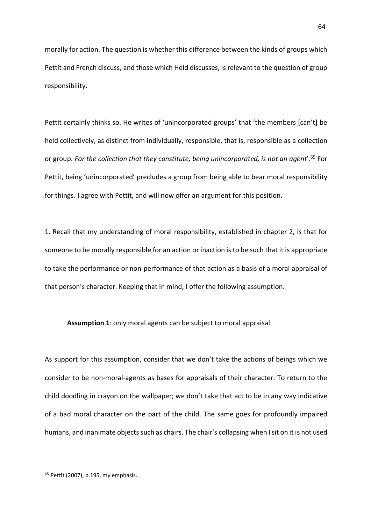morally for action. The question is whether this difference between the kinds of groups which Pettit and French discuss, and those which Held discusses, is relevant to the question of group responsibility.

Pettit certainly thinks so. He writes of 'unincorporated groups' that 'the members [can't] be held collectively, as distinct from individually, responsible, that is, responsible as a collection or group. *For the collection that they constitute, being unincorporated, is not an agent*'. <sup>65</sup> For Pettit, being 'unincorporated' precludes a group from being able to bear moral responsibility for things. I agree with Pettit, and will now offer an argument for this position.

1. Recall that my understanding of moral responsibility, established in chapter 2, is that for someone to be morally responsible for an action or inaction is to be such that it is appropriate to take the performance or non-performance of that action as a basis of a moral appraisal of that person's character. Keeping that in mind, I offer the following assumption.

**Assumption 1**: only moral agents can be subject to moral appraisal.

As support for this assumption, consider that we don't take the actions of beings which we consider to be non-moral-agents as bases for appraisals of their character. To return to the child doodling in crayon on the wallpaper; we don't take that act to be in any way indicative of a bad moral character on the part of the child. The same goes for profoundly impaired humans, and inanimate objects such as chairs. The chair's collapsing when I sit on it is not used

 $65$  Pettit (2007), p.195, my emphasis.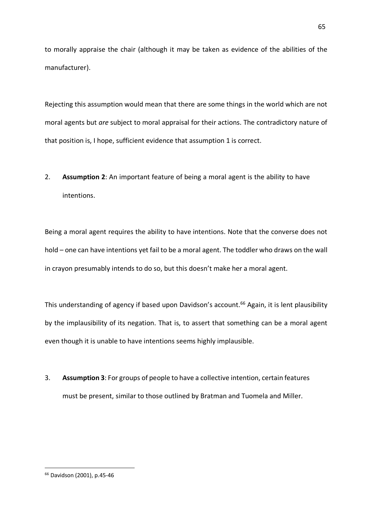to morally appraise the chair (although it may be taken as evidence of the abilities of the manufacturer).

Rejecting this assumption would mean that there are some things in the world which are not moral agents but *are* subject to moral appraisal for their actions. The contradictory nature of that position is, I hope, sufficient evidence that assumption 1 is correct.

2. **Assumption 2**: An important feature of being a moral agent is the ability to have intentions.

Being a moral agent requires the ability to have intentions. Note that the converse does not hold – one can have intentions yet fail to be a moral agent. The toddler who draws on the wall in crayon presumably intends to do so, but this doesn't make her a moral agent.

This understanding of agency if based upon Davidson's account.<sup>66</sup> Again, it is lent plausibility by the implausibility of its negation. That is, to assert that something can be a moral agent even though it is unable to have intentions seems highly implausible.

3. **Assumption 3**: For groups of people to have a collective intention, certain features must be present, similar to those outlined by Bratman and Tuomela and Miller.

 <sup>66</sup> Davidson (2001), p.45-46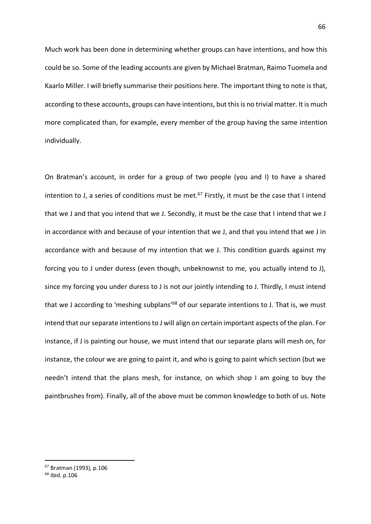Much work has been done in determining whether groups can have intentions, and how this could be so. Some of the leading accounts are given by Michael Bratman, Raimo Tuomela and Kaarlo Miller. I will briefly summarise their positions here. The important thing to note is that, according to these accounts, groups can have intentions, but this is no trivial matter. It is much more complicated than, for example, every member of the group having the same intention individually.

On Bratman's account, in order for a group of two people (you and I) to have a shared intention to J, a series of conditions must be met.<sup>67</sup> Firstly, it must be the case that I intend that we J and that you intend that we J. Secondly, it must be the case that I intend that we J in accordance with and because of your intention that we J, and that you intend that we J in accordance with and because of my intention that we J. This condition guards against my forcing you to J under duress (even though, unbeknownst to me, you actually intend to J), since my forcing you under duress to J is not our jointly intending to J. Thirdly, I must intend that we J according to 'meshing subplans<sup>'68</sup> of our separate intentions to J. That is, we must intend that our separate intentions to J will align on certain important aspects of the plan. For instance, if J is painting our house, we must intend that our separate plans will mesh on, for instance, the colour we are going to paint it, and who is going to paint which section (but we needn't intend that the plans mesh, for instance, on which shop I am going to buy the paintbrushes from). Finally, all of the above must be common knowledge to both of us. Note

 <sup>67</sup> Bratman (1993), p.106

<sup>68</sup> Ibid. p.106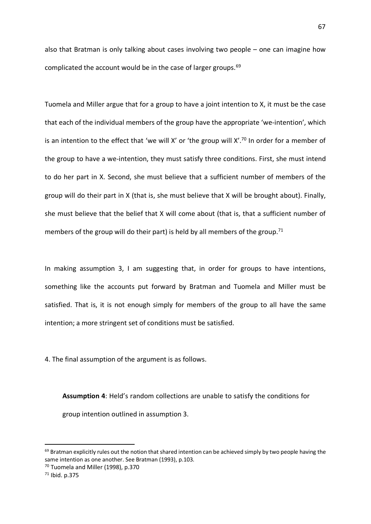also that Bratman is only talking about cases involving two people – one can imagine how complicated the account would be in the case of larger groups.<sup>69</sup>

Tuomela and Miller argue that for a group to have a joint intention to X, it must be the case that each of the individual members of the group have the appropriate 'we-intention', which is an intention to the effect that 'we will X' or 'the group will  $X<sup>'70</sup>$  In order for a member of the group to have a we-intention, they must satisfy three conditions. First, she must intend to do her part in X. Second, she must believe that a sufficient number of members of the group will do their part in X (that is, she must believe that X will be brought about). Finally, she must believe that the belief that X will come about (that is, that a sufficient number of members of the group will do their part) is held by all members of the group.<sup>71</sup>

In making assumption 3, I am suggesting that, in order for groups to have intentions, something like the accounts put forward by Bratman and Tuomela and Miller must be satisfied. That is, it is not enough simply for members of the group to all have the same intention; a more stringent set of conditions must be satisfied.

4. The final assumption of the argument is as follows.

**Assumption 4**: Held's random collections are unable to satisfy the conditions for group intention outlined in assumption 3.

 $69$  Bratman explicitly rules out the notion that shared intention can be achieved simply by two people having the same intention as one another. See Bratman (1993), p.103.

<sup>70</sup> Tuomela and Miller (1998), p.370

<sup>71</sup> Ibid. p.375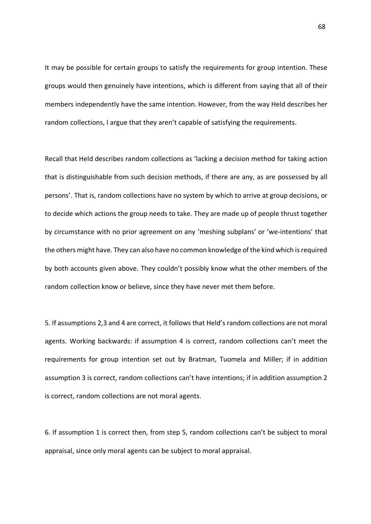It may be possible for certain groups to satisfy the requirements for group intention. These groups would then genuinely have intentions, which is different from saying that all of their members independently have the same intention. However, from the way Held describes her random collections, I argue that they aren't capable of satisfying the requirements.

Recall that Held describes random collections as 'lacking a decision method for taking action that is distinguishable from such decision methods, if there are any, as are possessed by all persons'. That is, random collections have no system by which to arrive at group decisions, or to decide which actions the group needs to take. They are made up of people thrust together by circumstance with no prior agreement on any 'meshing subplans' or 'we-intentions' that the others might have. They can also have no common knowledge of the kind which is required by both accounts given above. They couldn't possibly know what the other members of the random collection know or believe, since they have never met them before.

5. If assumptions 2,3 and 4 are correct, it follows that Held's random collections are not moral agents. Working backwards: if assumption 4 is correct, random collections can't meet the requirements for group intention set out by Bratman, Tuomela and Miller; if in addition assumption 3 is correct, random collections can't have intentions; if in addition assumption 2 is correct, random collections are not moral agents.

6. If assumption 1 is correct then, from step 5, random collections can't be subject to moral appraisal, since only moral agents can be subject to moral appraisal.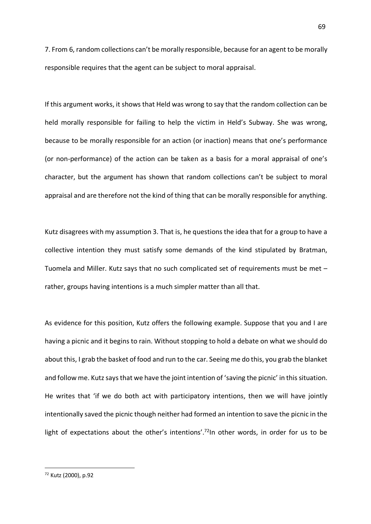7. From 6, random collections can't be morally responsible, because for an agent to be morally responsible requires that the agent can be subject to moral appraisal.

If this argument works, it shows that Held was wrong to say that the random collection can be held morally responsible for failing to help the victim in Held's Subway. She was wrong, because to be morally responsible for an action (or inaction) means that one's performance (or non-performance) of the action can be taken as a basis for a moral appraisal of one's character, but the argument has shown that random collections can't be subject to moral appraisal and are therefore not the kind of thing that can be morally responsible for anything.

Kutz disagrees with my assumption 3. That is, he questions the idea that for a group to have a collective intention they must satisfy some demands of the kind stipulated by Bratman, Tuomela and Miller. Kutz says that no such complicated set of requirements must be met – rather, groups having intentions is a much simpler matter than all that.

As evidence for this position, Kutz offers the following example. Suppose that you and I are having a picnic and it begins to rain. Without stopping to hold a debate on what we should do about this, I grab the basket of food and run to the car. Seeing me do this, you grab the blanket and follow me. Kutz says that we have the joint intention of 'saving the picnic' in this situation. He writes that 'if we do both act with participatory intentions, then we will have jointly intentionally saved the picnic though neither had formed an intention to save the picnic in the light of expectations about the other's intentions'.<sup>72</sup>In other words, in order for us to be

 <sup>72</sup> Kutz (2000), p.92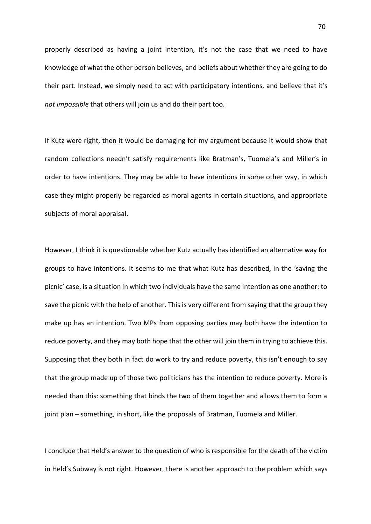properly described as having a joint intention, it's not the case that we need to have knowledge of what the other person believes, and beliefs about whether they are going to do their part. Instead, we simply need to act with participatory intentions, and believe that it's *not impossible* that others will join us and do their part too.

If Kutz were right, then it would be damaging for my argument because it would show that random collections needn't satisfy requirements like Bratman's, Tuomela's and Miller's in order to have intentions. They may be able to have intentions in some other way, in which case they might properly be regarded as moral agents in certain situations, and appropriate subjects of moral appraisal.

However, I think it is questionable whether Kutz actually has identified an alternative way for groups to have intentions. It seems to me that what Kutz has described, in the 'saving the picnic' case, is a situation in which two individuals have the same intention as one another: to save the picnic with the help of another. This is very different from saying that the group they make up has an intention. Two MPs from opposing parties may both have the intention to reduce poverty, and they may both hope that the other will join them in trying to achieve this. Supposing that they both in fact do work to try and reduce poverty, this isn't enough to say that the group made up of those two politicians has the intention to reduce poverty. More is needed than this: something that binds the two of them together and allows them to form a joint plan – something, in short, like the proposals of Bratman, Tuomela and Miller.

I conclude that Held's answer to the question of who is responsible for the death of the victim in Held's Subway is not right. However, there is another approach to the problem which says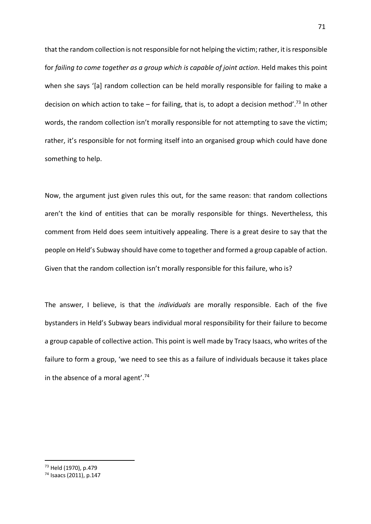that the random collection is not responsible for not helping the victim; rather, it is responsible for *failing to come together as a group which is capable of joint action*. Held makes this point when she says '[a] random collection can be held morally responsible for failing to make a decision on which action to take – for failing, that is, to adopt a decision method'.<sup>73</sup> In other words, the random collection isn't morally responsible for not attempting to save the victim; rather, it's responsible for not forming itself into an organised group which could have done something to help.

Now, the argument just given rules this out, for the same reason: that random collections aren't the kind of entities that can be morally responsible for things. Nevertheless, this comment from Held does seem intuitively appealing. There is a great desire to say that the people on Held's Subway should have come to together and formed a group capable of action. Given that the random collection isn't morally responsible for this failure, who is?

The answer, I believe, is that the *individuals* are morally responsible. Each of the five bystanders in Held's Subway bears individual moral responsibility for their failure to become a group capable of collective action. This point is well made by Tracy Isaacs, who writes of the failure to form a group, 'we need to see this as a failure of individuals because it takes place in the absence of a moral agent'.<sup>74</sup>

 <sup>73</sup> Held (1970), p.479

<sup>74</sup> Isaacs (2011), p.147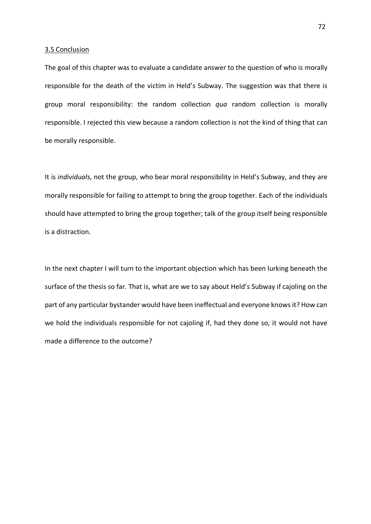#### 3.5 Conclusion

The goal of this chapter was to evaluate a candidate answer to the question of who is morally responsible for the death of the victim in Held's Subway. The suggestion was that there is group moral responsibility: the random collection *qua* random collection is morally responsible. I rejected this view because a random collection is not the kind of thing that can be morally responsible.

It is *individuals*, not the group, who bear moral responsibility in Held's Subway, and they are morally responsible for failing to attempt to bring the group together. Each of the individuals should have attempted to bring the group together; talk of the group itself being responsible is a distraction.

In the next chapter I will turn to the important objection which has been lurking beneath the surface of the thesis so far. That is, what are we to say about Held's Subway if cajoling on the part of any particular bystander would have been ineffectual and everyone knows it? How can we hold the individuals responsible for not cajoling if, had they done so, it would not have made a difference to the outcome?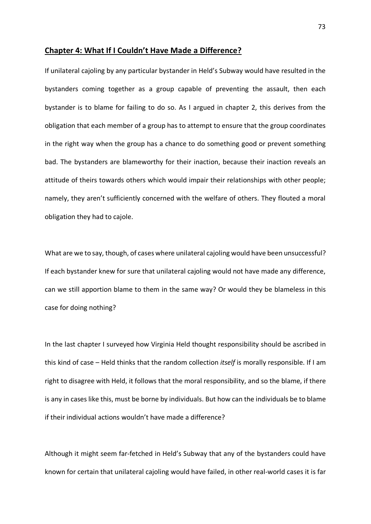## **Chapter 4: What If I Couldn't Have Made a Difference?**

If unilateral cajoling by any particular bystander in Held's Subway would have resulted in the bystanders coming together as a group capable of preventing the assault, then each bystander is to blame for failing to do so. As I argued in chapter 2, this derives from the obligation that each member of a group has to attempt to ensure that the group coordinates in the right way when the group has a chance to do something good or prevent something bad. The bystanders are blameworthy for their inaction, because their inaction reveals an attitude of theirs towards others which would impair their relationships with other people; namely, they aren't sufficiently concerned with the welfare of others. They flouted a moral obligation they had to cajole.

What are we to say, though, of cases where unilateral cajoling would have been unsuccessful? If each bystander knew for sure that unilateral cajoling would not have made any difference, can we still apportion blame to them in the same way? Or would they be blameless in this case for doing nothing?

In the last chapter I surveyed how Virginia Held thought responsibility should be ascribed in this kind of case – Held thinks that the random collection *itself* is morally responsible. If I am right to disagree with Held, it follows that the moral responsibility, and so the blame, if there is any in cases like this, must be borne by individuals. But how can the individuals be to blame if their individual actions wouldn't have made a difference?

Although it might seem far-fetched in Held's Subway that any of the bystanders could have known for certain that unilateral cajoling would have failed, in other real-world cases it is far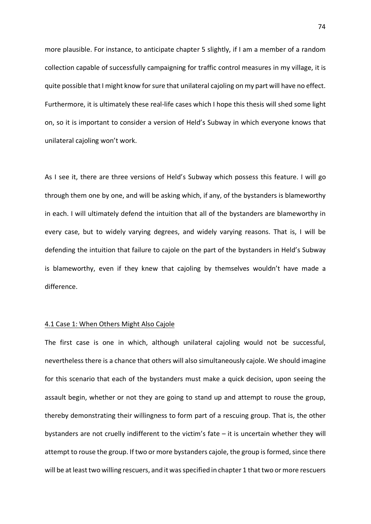more plausible. For instance, to anticipate chapter 5 slightly, if I am a member of a random collection capable of successfully campaigning for traffic control measures in my village, it is quite possible that I might know for sure that unilateral cajoling on my part will have no effect. Furthermore, it is ultimately these real-life cases which I hope this thesis will shed some light on, so it is important to consider a version of Held's Subway in which everyone knows that unilateral cajoling won't work.

As I see it, there are three versions of Held's Subway which possess this feature. I will go through them one by one, and will be asking which, if any, of the bystanders is blameworthy in each. I will ultimately defend the intuition that all of the bystanders are blameworthy in every case, but to widely varying degrees, and widely varying reasons. That is, I will be defending the intuition that failure to cajole on the part of the bystanders in Held's Subway is blameworthy, even if they knew that cajoling by themselves wouldn't have made a difference.

## 4.1 Case 1: When Others Might Also Cajole

The first case is one in which, although unilateral cajoling would not be successful, nevertheless there is a chance that others will also simultaneously cajole. We should imagine for this scenario that each of the bystanders must make a quick decision, upon seeing the assault begin, whether or not they are going to stand up and attempt to rouse the group, thereby demonstrating their willingness to form part of a rescuing group. That is, the other bystanders are not cruelly indifferent to the victim's fate – it is uncertain whether they will attempt to rouse the group. If two or more bystanders cajole, the group is formed, since there will be at least two willing rescuers, and it was specified in chapter 1 that two or more rescuers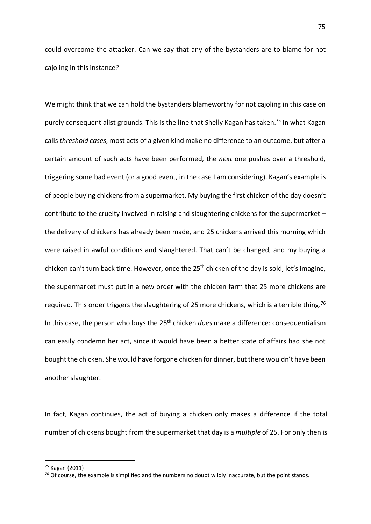could overcome the attacker. Can we say that any of the bystanders are to blame for not cajoling in this instance?

We might think that we can hold the bystanders blameworthy for not cajoling in this case on purely consequentialist grounds. This is the line that Shelly Kagan has taken.<sup>75</sup> In what Kagan calls *threshold cases*, most acts of a given kind make no difference to an outcome, but after a certain amount of such acts have been performed, the *next* one pushes over a threshold, triggering some bad event (or a good event, in the case I am considering). Kagan's example is of people buying chickens from a supermarket. My buying the first chicken of the day doesn't contribute to the cruelty involved in raising and slaughtering chickens for the supermarket – the delivery of chickens has already been made, and 25 chickens arrived this morning which were raised in awful conditions and slaughtered. That can't be changed, and my buying a chicken can't turn back time. However, once the 25<sup>th</sup> chicken of the day is sold, let's imagine, the supermarket must put in a new order with the chicken farm that 25 more chickens are required. This order triggers the slaughtering of 25 more chickens, which is a terrible thing.<sup>76</sup> In this case, the person who buys the 25<sup>th</sup> chicken *does* make a difference: consequentialism can easily condemn her act, since it would have been a better state of affairs had she not bought the chicken. She would have forgone chicken for dinner, but there wouldn't have been another slaughter.

In fact, Kagan continues, the act of buying a chicken only makes a difference if the total number of chickens bought from the supermarket that day is a *multiple* of 25. For only then is

 <sup>75</sup> Kagan (2011)

 $76$  Of course, the example is simplified and the numbers no doubt wildly inaccurate, but the point stands.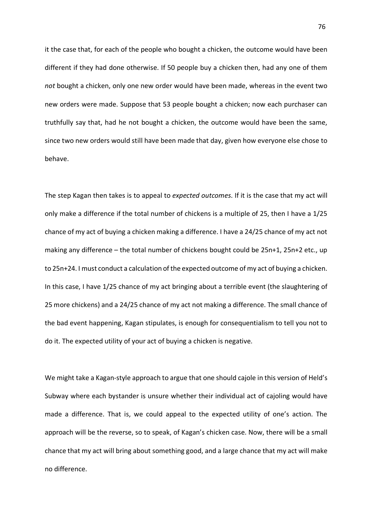it the case that, for each of the people who bought a chicken, the outcome would have been different if they had done otherwise. If 50 people buy a chicken then, had any one of them *not* bought a chicken, only one new order would have been made, whereas in the event two new orders were made. Suppose that 53 people bought a chicken; now each purchaser can truthfully say that, had he not bought a chicken, the outcome would have been the same, since two new orders would still have been made that day, given how everyone else chose to behave.

The step Kagan then takes is to appeal to *expected outcomes*. If it is the case that my act will only make a difference if the total number of chickens is a multiple of 25, then I have a 1/25 chance of my act of buying a chicken making a difference. I have a 24/25 chance of my act not making any difference – the total number of chickens bought could be 25n+1, 25n+2 etc., up to 25n+24. I must conduct a calculation of the expected outcome of my act of buying a chicken. In this case, I have 1/25 chance of my act bringing about a terrible event (the slaughtering of 25 more chickens) and a 24/25 chance of my act not making a difference. The small chance of the bad event happening, Kagan stipulates, is enough for consequentialism to tell you not to do it. The expected utility of your act of buying a chicken is negative.

We might take a Kagan-style approach to argue that one should cajole in this version of Held's Subway where each bystander is unsure whether their individual act of cajoling would have made a difference. That is, we could appeal to the expected utility of one's action. The approach will be the reverse, so to speak, of Kagan's chicken case. Now, there will be a small chance that my act will bring about something good, and a large chance that my act will make no difference.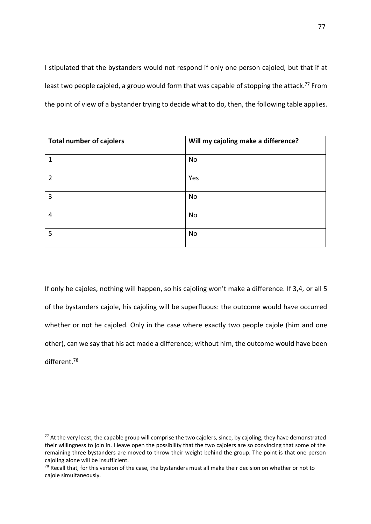I stipulated that the bystanders would not respond if only one person cajoled, but that if at least two people cajoled, a group would form that was capable of stopping the attack.<sup>77</sup> From the point of view of a bystander trying to decide what to do, then, the following table applies.

| <b>Total number of cajolers</b> | Will my cajoling make a difference? |
|---------------------------------|-------------------------------------|
| 1                               | No                                  |
| $\mathfrak{p}$                  | Yes                                 |
| 3                               | No                                  |
| 4                               | No                                  |
| 5                               | No                                  |

If only he cajoles, nothing will happen, so his cajoling won't make a difference. If 3,4, or all 5 of the bystanders cajole, his cajoling will be superfluous: the outcome would have occurred whether or not he cajoled. Only in the case where exactly two people cajole (him and one other), can we say that his act made a difference; without him, the outcome would have been different<sup>78</sup>

 $77$  At the very least, the capable group will comprise the two cajolers, since, by cajoling, they have demonstrated their willingness to join in. I leave open the possibility that the two cajolers are so convincing that some of the remaining three bystanders are moved to throw their weight behind the group. The point is that one person cajoling alone will be insufficient.

<sup>&</sup>lt;sup>78</sup> Recall that, for this version of the case, the bystanders must all make their decision on whether or not to cajole simultaneously.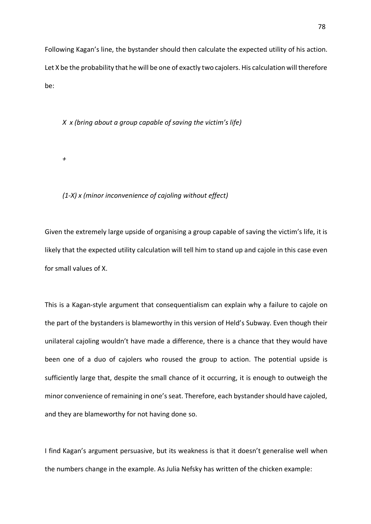Following Kagan's line, the bystander should then calculate the expected utility of his action. Let X be the probability that he will be one of exactly two cajolers. His calculation will therefore be:

*X x (bring about a group capable of saving the victim's life)*

*+*

## *(1-X) x (minor inconvenience of cajoling without effect)*

Given the extremely large upside of organising a group capable of saving the victim's life, it is likely that the expected utility calculation will tell him to stand up and cajole in this case even for small values of X.

This is a Kagan-style argument that consequentialism can explain why a failure to cajole on the part of the bystanders is blameworthy in this version of Held's Subway. Even though their unilateral cajoling wouldn't have made a difference, there is a chance that they would have been one of a duo of cajolers who roused the group to action. The potential upside is sufficiently large that, despite the small chance of it occurring, it is enough to outweigh the minor convenience of remaining in one's seat. Therefore, each bystander should have cajoled, and they are blameworthy for not having done so.

I find Kagan's argument persuasive, but its weakness is that it doesn't generalise well when the numbers change in the example. As Julia Nefsky has written of the chicken example: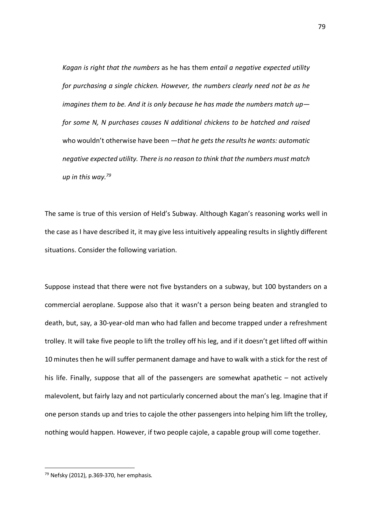*Kagan is right that the numbers* as he has them *entail a negative expected utility for purchasing a single chicken. However, the numbers clearly need not be as he imagines them to be. And it is only because he has made the numbers match up for some N, N purchases causes N additional chickens to be hatched and raised*  who wouldn't otherwise have been *—that he gets the results he wants: automatic negative expected utility. There is no reason to think that the numbers must match up in this way. 79*

The same is true of this version of Held's Subway. Although Kagan's reasoning works well in the case as I have described it, it may give less intuitively appealing results in slightly different situations. Consider the following variation.

Suppose instead that there were not five bystanders on a subway, but 100 bystanders on a commercial aeroplane. Suppose also that it wasn't a person being beaten and strangled to death, but, say, a 30-year-old man who had fallen and become trapped under a refreshment trolley. It will take five people to lift the trolley off his leg, and if it doesn't get lifted off within 10 minutes then he will suffer permanent damage and have to walk with a stick for the rest of his life. Finally, suppose that all of the passengers are somewhat apathetic – not actively malevolent, but fairly lazy and not particularly concerned about the man's leg. Imagine that if one person stands up and tries to cajole the other passengers into helping him lift the trolley, nothing would happen. However, if two people cajole, a capable group will come together.

 $79$  Nefsky (2012), p.369-370, her emphasis.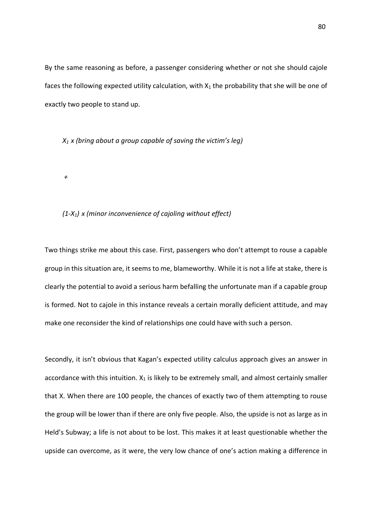By the same reasoning as before, a passenger considering whether or not she should cajole faces the following expected utility calculation, with  $X_1$  the probability that she will be one of exactly two people to stand up.

*X1 x (bring about a group capable of saving the victim's leg)*

*+*

### *(1-X1) x (minor inconvenience of cajoling without effect)*

Two things strike me about this case. First, passengers who don't attempt to rouse a capable group in this situation are, it seems to me, blameworthy. While it is not a life at stake, there is clearly the potential to avoid a serious harm befalling the unfortunate man if a capable group is formed. Not to cajole in this instance reveals a certain morally deficient attitude, and may make one reconsider the kind of relationships one could have with such a person.

Secondly, it isn't obvious that Kagan's expected utility calculus approach gives an answer in accordance with this intuition.  $X_1$  is likely to be extremely small, and almost certainly smaller that X. When there are 100 people, the chances of exactly two of them attempting to rouse the group will be lower than if there are only five people. Also, the upside is not as large as in Held's Subway; a life is not about to be lost. This makes it at least questionable whether the upside can overcome, as it were, the very low chance of one's action making a difference in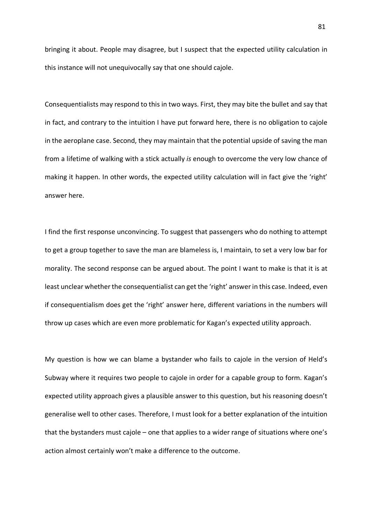bringing it about. People may disagree, but I suspect that the expected utility calculation in this instance will not unequivocally say that one should cajole.

Consequentialists may respond to this in two ways. First, they may bite the bullet and say that in fact, and contrary to the intuition I have put forward here, there is no obligation to cajole in the aeroplane case. Second, they may maintain that the potential upside of saving the man from a lifetime of walking with a stick actually *is* enough to overcome the very low chance of making it happen. In other words, the expected utility calculation will in fact give the 'right' answer here.

I find the first response unconvincing. To suggest that passengers who do nothing to attempt to get a group together to save the man are blameless is, I maintain, to set a very low bar for morality. The second response can be argued about. The point I want to make is that it is at least unclear whether the consequentialist can get the 'right' answer in this case. Indeed, even if consequentialism does get the 'right' answer here, different variations in the numbers will throw up cases which are even more problematic for Kagan's expected utility approach.

My question is how we can blame a bystander who fails to cajole in the version of Held's Subway where it requires two people to cajole in order for a capable group to form. Kagan's expected utility approach gives a plausible answer to this question, but his reasoning doesn't generalise well to other cases. Therefore, I must look for a better explanation of the intuition that the bystanders must cajole – one that applies to a wider range of situations where one's action almost certainly won't make a difference to the outcome.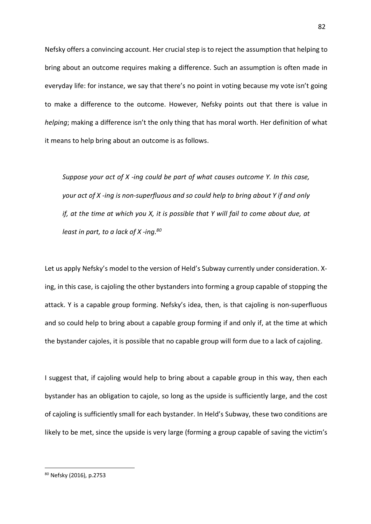Nefsky offers a convincing account. Her crucial step is to reject the assumption that helping to bring about an outcome requires making a difference. Such an assumption is often made in everyday life: for instance, we say that there's no point in voting because my vote isn't going to make a difference to the outcome. However, Nefsky points out that there is value in *helping*; making a difference isn't the only thing that has moral worth. Her definition of what it means to help bring about an outcome is as follows.

*Suppose your act of X -ing could be part of what causes outcome Y. In this case, your act of X -ing is non-superfluous and so could help to bring about Y if and only if, at the time at which you X, it is possible that Y will fail to come about due, at least in part, to a lack of X -ing.80*

Let us apply Nefsky's model to the version of Held's Subway currently under consideration. Xing, in this case, is cajoling the other bystanders into forming a group capable of stopping the attack. Y is a capable group forming. Nefsky's idea, then, is that cajoling is non-superfluous and so could help to bring about a capable group forming if and only if, at the time at which the bystander cajoles, it is possible that no capable group will form due to a lack of cajoling.

I suggest that, if cajoling would help to bring about a capable group in this way, then each bystander has an obligation to cajole, so long as the upside is sufficiently large, and the cost of cajoling is sufficiently small for each bystander. In Held's Subway, these two conditions are likely to be met, since the upside is very large (forming a group capable of saving the victim's

 <sup>80</sup> Nefsky (2016), p.2753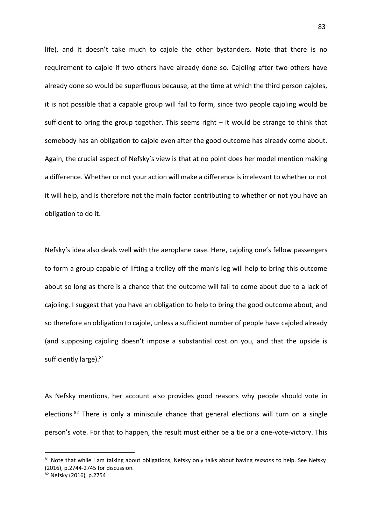life), and it doesn't take much to cajole the other bystanders. Note that there is no requirement to cajole if two others have already done so. Cajoling after two others have already done so would be superfluous because, at the time at which the third person cajoles, it is not possible that a capable group will fail to form, since two people cajoling would be sufficient to bring the group together. This seems right  $-$  it would be strange to think that somebody has an obligation to cajole even after the good outcome has already come about. Again, the crucial aspect of Nefsky's view is that at no point does her model mention making a difference. Whether or not your action will make a difference is irrelevant to whether or not it will help, and is therefore not the main factor contributing to whether or not you have an obligation to do it.

Nefsky's idea also deals well with the aeroplane case. Here, cajoling one's fellow passengers to form a group capable of lifting a trolley off the man's leg will help to bring this outcome about so long as there is a chance that the outcome will fail to come about due to a lack of cajoling. I suggest that you have an obligation to help to bring the good outcome about, and so therefore an obligation to cajole, unless a sufficient number of people have cajoled already (and supposing cajoling doesn't impose a substantial cost on you, and that the upside is sufficiently large). 81

As Nefsky mentions, her account also provides good reasons why people should vote in elections.<sup>82</sup> There is only a miniscule chance that general elections will turn on a single person's vote. For that to happen, the result must either be a tie or a one-vote-victory. This

 <sup>81</sup> Note that while I am talking about obligations, Nefsky only talks about having *reasons* to help. See Nefsky (2016), p.2744-2745 for discussion.

<sup>82</sup> Nefsky (2016), p.2754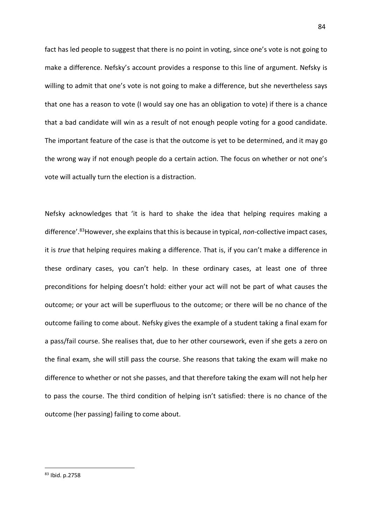fact has led people to suggest that there is no point in voting, since one's vote is not going to make a difference. Nefsky's account provides a response to this line of argument. Nefsky is willing to admit that one's vote is not going to make a difference, but she nevertheless says that one has a reason to vote (I would say one has an obligation to vote) if there is a chance that a bad candidate will win as a result of not enough people voting for a good candidate. The important feature of the case is that the outcome is yet to be determined, and it may go the wrong way if not enough people do a certain action. The focus on whether or not one's vote will actually turn the election is a distraction.

Nefsky acknowledges that 'it is hard to shake the idea that helping requires making a difference'.83However, she explains that this is because in typical, *non*-collective impact cases, it is *true* that helping requires making a difference. That is, if you can't make a difference in these ordinary cases, you can't help. In these ordinary cases, at least one of three preconditions for helping doesn't hold: either your act will not be part of what causes the outcome; or your act will be superfluous to the outcome; or there will be no chance of the outcome failing to come about. Nefsky gives the example of a student taking a final exam for a pass/fail course. She realises that, due to her other coursework, even if she gets a zero on the final exam, she will still pass the course. She reasons that taking the exam will make no difference to whether or not she passes, and that therefore taking the exam will not help her to pass the course. The third condition of helping isn't satisfied: there is no chance of the outcome (her passing) failing to come about.

 <sup>83</sup> Ibid. p.2758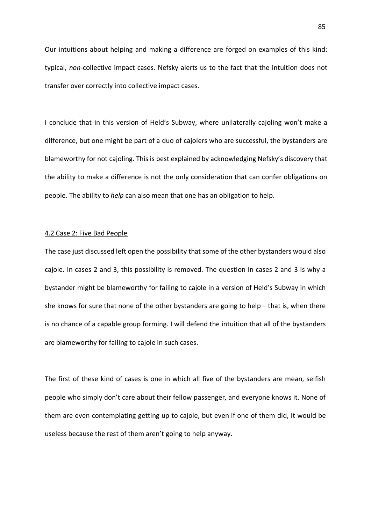Our intuitions about helping and making a difference are forged on examples of this kind: typical, *non*-collective impact cases. Nefsky alerts us to the fact that the intuition does not transfer over correctly into collective impact cases.

I conclude that in this version of Held's Subway, where unilaterally cajoling won't make a difference, but one might be part of a duo of cajolers who are successful, the bystanders are blameworthy for not cajoling. This is best explained by acknowledging Nefsky's discovery that the ability to make a difference is not the only consideration that can confer obligations on people. The ability to *help* can also mean that one has an obligation to help.

### 4.2 Case 2: Five Bad People

The case just discussed left open the possibility that some of the other bystanders would also cajole. In cases 2 and 3, this possibility is removed. The question in cases 2 and 3 is why a bystander might be blameworthy for failing to cajole in a version of Held's Subway in which she knows for sure that none of the other bystanders are going to help – that is, when there is no chance of a capable group forming. I will defend the intuition that all of the bystanders are blameworthy for failing to cajole in such cases.

The first of these kind of cases is one in which all five of the bystanders are mean, selfish people who simply don't care about their fellow passenger, and everyone knows it. None of them are even contemplating getting up to cajole, but even if one of them did, it would be useless because the rest of them aren't going to help anyway.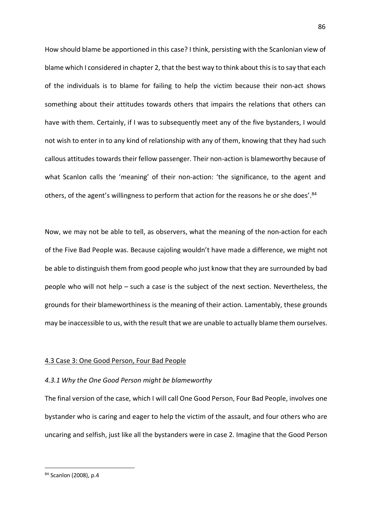How should blame be apportioned in this case? I think, persisting with the Scanlonian view of blame which I considered in chapter 2, that the best way to think about this is to say that each of the individuals is to blame for failing to help the victim because their non-act shows something about their attitudes towards others that impairs the relations that others can have with them. Certainly, if I was to subsequently meet any of the five bystanders, I would not wish to enter in to any kind of relationship with any of them, knowing that they had such callous attitudes towards their fellow passenger. Their non-action is blameworthy because of what Scanlon calls the 'meaning' of their non-action: 'the significance, to the agent and others, of the agent's willingness to perform that action for the reasons he or she does'.<sup>84</sup>

Now, we may not be able to tell, as observers, what the meaning of the non-action for each of the Five Bad People was. Because cajoling wouldn't have made a difference, we might not be able to distinguish them from good people who just know that they are surrounded by bad people who will not help – such a case is the subject of the next section. Nevertheless, the grounds for their blameworthiness is the meaning of their action. Lamentably, these grounds may be inaccessible to us, with the result that we are unable to actually blame them ourselves.

# 4.3 Case 3: One Good Person, Four Bad People

# *4.3.1 Why the One Good Person might be blameworthy*

The final version of the case, which I will call One Good Person, Four Bad People, involves one bystander who is caring and eager to help the victim of the assault, and four others who are uncaring and selfish, just like all the bystanders were in case 2. Imagine that the Good Person

 <sup>84</sup> Scanlon (2008), p.4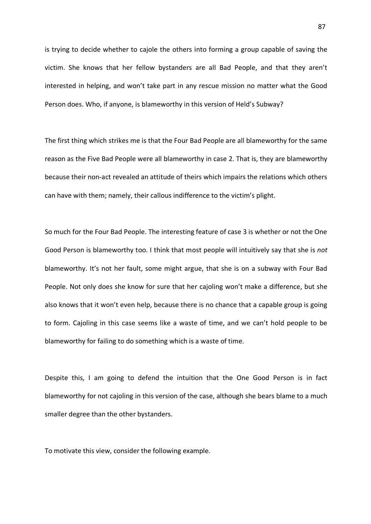is trying to decide whether to cajole the others into forming a group capable of saving the victim. She knows that her fellow bystanders are all Bad People, and that they aren't interested in helping, and won't take part in any rescue mission no matter what the Good Person does. Who, if anyone, is blameworthy in this version of Held's Subway?

The first thing which strikes me is that the Four Bad People are all blameworthy for the same reason as the Five Bad People were all blameworthy in case 2. That is, they are blameworthy because their non-act revealed an attitude of theirs which impairs the relations which others can have with them; namely, their callous indifference to the victim's plight.

So much for the Four Bad People. The interesting feature of case 3 is whether or not the One Good Person is blameworthy too. I think that most people will intuitively say that she is *not* blameworthy. It's not her fault, some might argue, that she is on a subway with Four Bad People. Not only does she know for sure that her cajoling won't make a difference, but she also knows that it won't even help, because there is no chance that a capable group is going to form. Cajoling in this case seems like a waste of time, and we can't hold people to be blameworthy for failing to do something which is a waste of time.

Despite this, I am going to defend the intuition that the One Good Person is in fact blameworthy for not cajoling in this version of the case, although she bears blame to a much smaller degree than the other bystanders.

To motivate this view, consider the following example.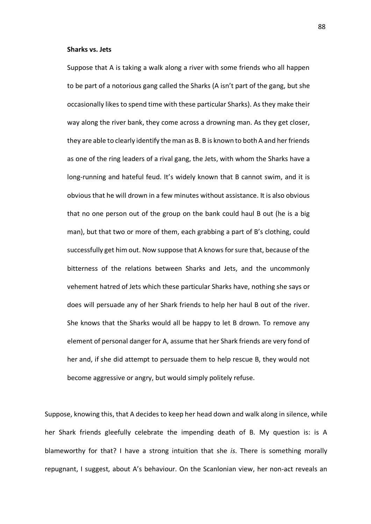### **Sharks vs. Jets**

Suppose that A is taking a walk along a river with some friends who all happen to be part of a notorious gang called the Sharks (A isn't part of the gang, but she occasionally likes to spend time with these particular Sharks). As they make their way along the river bank, they come across a drowning man. As they get closer, they are able to clearly identify the man as B. B is known to both A and her friends as one of the ring leaders of a rival gang, the Jets, with whom the Sharks have a long-running and hateful feud. It's widely known that B cannot swim, and it is obvious that he will drown in a few minutes without assistance. It is also obvious that no one person out of the group on the bank could haul B out (he is a big man), but that two or more of them, each grabbing a part of B's clothing, could successfully get him out. Now suppose that A knows for sure that, because of the bitterness of the relations between Sharks and Jets, and the uncommonly vehement hatred of Jets which these particular Sharks have, nothing she says or does will persuade any of her Shark friends to help her haul B out of the river. She knows that the Sharks would all be happy to let B drown. To remove any element of personal danger for A, assume that her Shark friends are very fond of her and, if she did attempt to persuade them to help rescue B, they would not become aggressive or angry, but would simply politely refuse.

Suppose, knowing this, that A decides to keep her head down and walk along in silence, while her Shark friends gleefully celebrate the impending death of B. My question is: is A blameworthy for that? I have a strong intuition that she *is*. There is something morally repugnant, I suggest, about A's behaviour. On the Scanlonian view, her non-act reveals an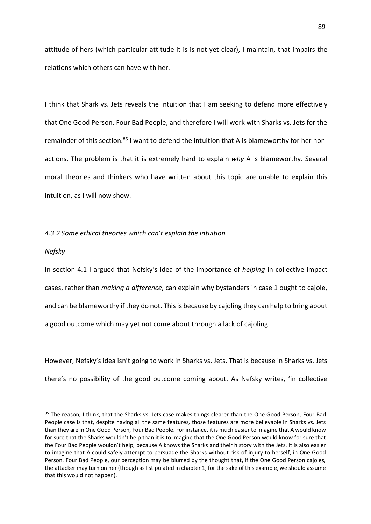attitude of hers (which particular attitude it is is not yet clear), I maintain, that impairs the relations which others can have with her.

I think that Shark vs. Jets reveals the intuition that I am seeking to defend more effectively that One Good Person, Four Bad People, and therefore I will work with Sharks vs. Jets for the remainder of this section.<sup>85</sup> I want to defend the intuition that A is blameworthy for her nonactions. The problem is that it is extremely hard to explain *why* A is blameworthy. Several moral theories and thinkers who have written about this topic are unable to explain this intuition, as I will now show.

*4.3.2 Some ethical theories which can't explain the intuition*

### *Nefsky*

In section 4.1 I argued that Nefsky's idea of the importance of *helping* in collective impact cases, rather than *making a difference*, can explain why bystanders in case 1 ought to cajole, and can be blameworthy if they do not. This is because by cajoling they can help to bring about a good outcome which may yet not come about through a lack of cajoling.

However, Nefsky's idea isn't going to work in Sharks vs. Jets. That is because in Sharks vs. Jets there's no possibility of the good outcome coming about. As Nefsky writes, 'in collective

<sup>85</sup> The reason, I think, that the Sharks vs. Jets case makes things clearer than the One Good Person, Four Bad People case is that, despite having all the same features, those features are more believable in Sharks vs. Jets than they are in One Good Person, Four Bad People. For instance, it is much easier to imagine that A would know for sure that the Sharks wouldn't help than it is to imagine that the One Good Person would know for sure that the Four Bad People wouldn't help, because A knows the Sharks and their history with the Jets. It is also easier to imagine that A could safely attempt to persuade the Sharks without risk of injury to herself; in One Good Person, Four Bad People, our perception may be blurred by the thought that, if the One Good Person cajoles, the attacker may turn on her (though as I stipulated in chapter 1, for the sake of this example, we should assume that this would not happen).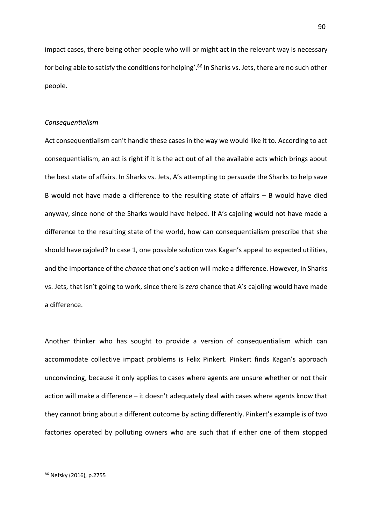impact cases, there being other people who will or might act in the relevant way is necessary for being able to satisfy the conditions for helping'.<sup>86</sup> In Sharks vs. Jets, there are no such other people.

### *Consequentialism*

Act consequentialism can't handle these cases in the way we would like it to. According to act consequentialism, an act is right if it is the act out of all the available acts which brings about the best state of affairs. In Sharks vs. Jets, A's attempting to persuade the Sharks to help save B would not have made a difference to the resulting state of affairs  $-$  B would have died anyway, since none of the Sharks would have helped. If A's cajoling would not have made a difference to the resulting state of the world, how can consequentialism prescribe that she should have cajoled? In case 1, one possible solution was Kagan's appeal to expected utilities, and the importance of the *chance* that one's action will make a difference. However, in Sharks vs. Jets, that isn't going to work, since there is *zero* chance that A's cajoling would have made a difference.

Another thinker who has sought to provide a version of consequentialism which can accommodate collective impact problems is Felix Pinkert. Pinkert finds Kagan's approach unconvincing, because it only applies to cases where agents are unsure whether or not their action will make a difference – it doesn't adequately deal with cases where agents know that they cannot bring about a different outcome by acting differently. Pinkert's example is of two factories operated by polluting owners who are such that if either one of them stopped

 <sup>86</sup> Nefsky (2016), p.2755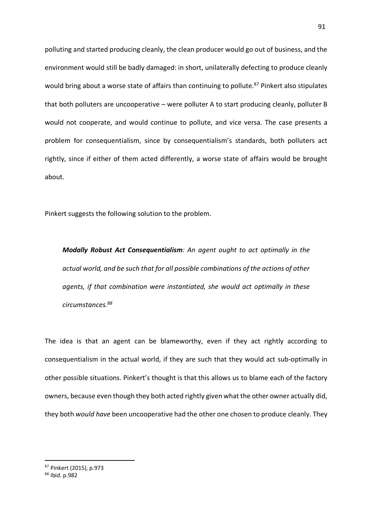polluting and started producing cleanly, the clean producer would go out of business, and the environment would still be badly damaged: in short, unilaterally defecting to produce cleanly would bring about a worse state of affairs than continuing to pollute.<sup>87</sup> Pinkert also stipulates that both polluters are uncooperative – were polluter A to start producing cleanly, polluter B would not cooperate, and would continue to pollute, and vice versa. The case presents a problem for consequentialism, since by consequentialism's standards, both polluters act rightly, since if either of them acted differently, a worse state of affairs would be brought about.

Pinkert suggests the following solution to the problem.

*Modally Robust Act Consequentialism: An agent ought to act optimally in the actual world, and be such that for all possible combinations of the actions of other agents, if that combination were instantiated, she would act optimally in these circumstances.88*

The idea is that an agent can be blameworthy, even if they act rightly according to consequentialism in the actual world, if they are such that they would act sub-optimally in other possible situations. Pinkert's thought is that this allows us to blame each of the factory owners, because even though they both acted rightly given what the other owner actually did, they both *would have* been uncooperative had the other one chosen to produce cleanly. They

 <sup>87</sup> Pinkert (2015), p.973

<sup>88</sup> Ibid. p.982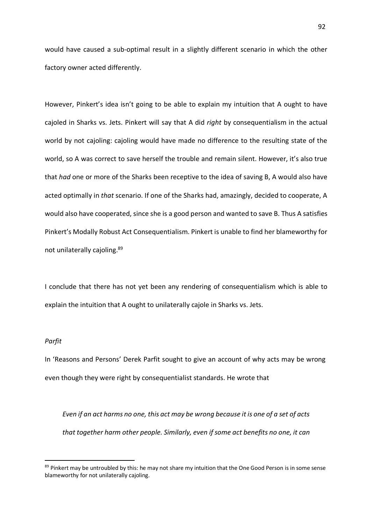would have caused a sub-optimal result in a slightly different scenario in which the other factory owner acted differently.

However, Pinkert's idea isn't going to be able to explain my intuition that A ought to have cajoled in Sharks vs. Jets. Pinkert will say that A did *right* by consequentialism in the actual world by not cajoling: cajoling would have made no difference to the resulting state of the world, so A was correct to save herself the trouble and remain silent. However, it's also true that *had* one or more of the Sharks been receptive to the idea of saving B, A would also have acted optimally in *that* scenario. If one of the Sharks had, amazingly, decided to cooperate, A would also have cooperated, since she is a good person and wanted to save B. Thus A satisfies Pinkert's Modally Robust Act Consequentialism. Pinkert is unable to find her blameworthy for not unilaterally cajoling.89

I conclude that there has not yet been any rendering of consequentialism which is able to explain the intuition that A ought to unilaterally cajole in Sharks vs. Jets.

# *Parfit*

In 'Reasons and Persons' Derek Parfit sought to give an account of why acts may be wrong even though they were right by consequentialist standards. He wrote that

*Even if an act harms no one, this act may be wrong because it is one of a set of acts that together harm other people. Similarly, even if some act benefits no one, it can* 

<sup>89</sup> Pinkert may be untroubled by this: he may not share my intuition that the One Good Person is in some sense blameworthy for not unilaterally cajoling.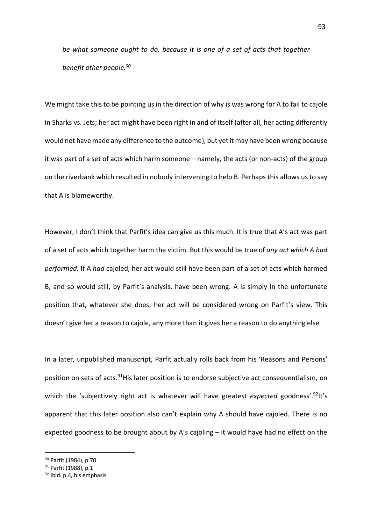*be what someone ought to do, because it is one of a set of acts that together benefit other people.90*

We might take this to be pointing us in the direction of why is was wrong for A to fail to cajole in Sharks vs. Jets; her act might have been right in and of itself (after all, her acting differently would not have made any difference to the outcome), but yet it may have been wrong because it was part of a set of acts which harm someone – namely, the acts (or non-acts) of the group on the riverbank which resulted in nobody intervening to help B. Perhaps this allows us to say that A is blameworthy.

However, I don't think that Parfit's idea can give us this much. It is true that A's act was part of a set of acts which together harm the victim. But this would be true of *any act which A had performed.* If A *had* cajoled, her act would still have been part of a set of acts which harmed B, and so would still, by Parfit's analysis, have been wrong. A is simply in the unfortunate position that, whatever she does, her act will be considered wrong on Parfit's view. This doesn't give her a reason to cajole, any more than it gives her a reason to do anything else.

In a later, unpublished manuscript, Parfit actually rolls back from his 'Reasons and Persons' position on sets of acts.<sup>91</sup>His later position is to endorse subjective act consequentialism, on which the 'subjectively right act is whatever will have greatest *expected* goodness'.<sup>92</sup>It's apparent that this later position also can't explain why A should have cajoled. There is no expected goodness to be brought about by A's cajoling – it would have had no effect on the

 <sup>90</sup> Parfit (1984), p.70

<sup>91</sup> Parfit (1988), p.1

<sup>&</sup>lt;sup>92</sup> Ibid. p.4, his emphasis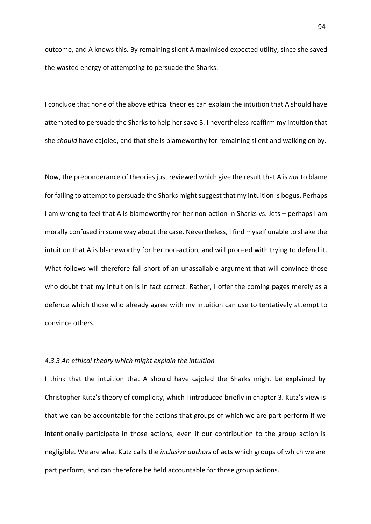outcome, and A knows this. By remaining silent A maximised expected utility, since she saved the wasted energy of attempting to persuade the Sharks.

I conclude that none of the above ethical theories can explain the intuition that A should have attempted to persuade the Sharks to help her save B. I nevertheless reaffirm my intuition that she *should* have cajoled, and that she is blameworthy for remaining silent and walking on by.

Now, the preponderance of theories just reviewed which give the result that A is *not* to blame for failing to attempt to persuade the Sharks might suggest that my intuition is bogus. Perhaps I am wrong to feel that A is blameworthy for her non-action in Sharks vs. Jets – perhaps I am morally confused in some way about the case. Nevertheless, I find myself unable to shake the intuition that A is blameworthy for her non-action, and will proceed with trying to defend it. What follows will therefore fall short of an unassailable argument that will convince those who doubt that my intuition is in fact correct. Rather, I offer the coming pages merely as a defence which those who already agree with my intuition can use to tentatively attempt to convince others.

### *4.3.3 An ethical theory which might explain the intuition*

I think that the intuition that A should have cajoled the Sharks might be explained by Christopher Kutz's theory of complicity, which I introduced briefly in chapter 3. Kutz's view is that we can be accountable for the actions that groups of which we are part perform if we intentionally participate in those actions, even if our contribution to the group action is negligible. We are what Kutz calls the *inclusive authors* of acts which groups of which we are part perform, and can therefore be held accountable for those group actions.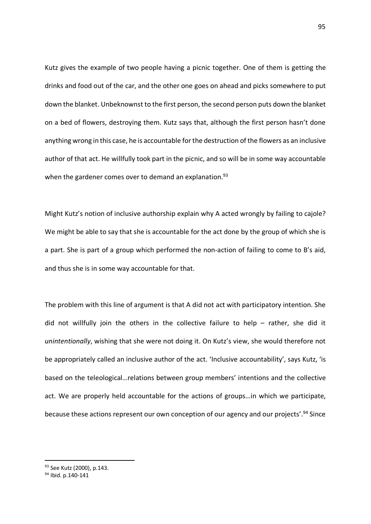Kutz gives the example of two people having a picnic together. One of them is getting the drinks and food out of the car, and the other one goes on ahead and picks somewhere to put down the blanket. Unbeknownst to the first person, the second person puts down the blanket on a bed of flowers, destroying them. Kutz says that, although the first person hasn't done anything wrong in this case, he is accountable for the destruction of the flowers as an inclusive author of that act. He willfully took part in the picnic, and so will be in some way accountable when the gardener comes over to demand an explanation. $93$ 

Might Kutz's notion of inclusive authorship explain why A acted wrongly by failing to cajole? We might be able to say that she is accountable for the act done by the group of which she is a part. She is part of a group which performed the non-action of failing to come to B's aid, and thus she is in some way accountable for that.

The problem with this line of argument is that A did not act with participatory intention. She did not willfully join the others in the collective failure to help  $-$  rather, she did it *unintentionally*, wishing that she were not doing it. On Kutz's view, she would therefore not be appropriately called an inclusive author of the act. 'Inclusive accountability', says Kutz, 'is based on the teleological…relations between group members' intentions and the collective act. We are properly held accountable for the actions of groups…in which we participate, because these actions represent our own conception of our agency and our projects'.<sup>94</sup> Since

93 See Kutz (2000), p.143.

<sup>94</sup> Ibid. p.140-141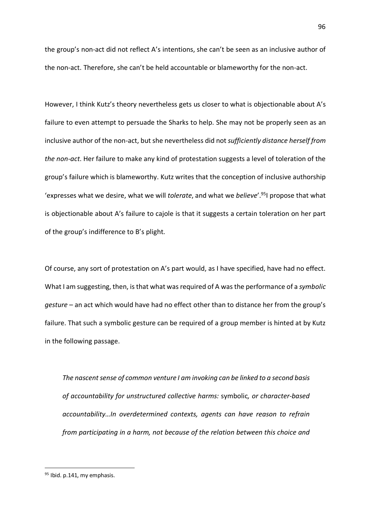the group's non-act did not reflect A's intentions, she can't be seen as an inclusive author of the non-act. Therefore, she can't be held accountable or blameworthy for the non-act.

However, I think Kutz's theory nevertheless gets us closer to what is objectionable about A's failure to even attempt to persuade the Sharks to help. She may not be properly seen as an inclusive author of the non-act, but she nevertheless did not *sufficiently distance herself from the non-act*. Her failure to make any kind of protestation suggests a level of toleration of the group's failure which is blameworthy. Kutz writes that the conception of inclusive authorship 'expresses what we desire, what we will *tolerate*, and what we *believe*'.95I propose that what is objectionable about A's failure to cajole is that it suggests a certain toleration on her part of the group's indifference to B's plight.

Of course, any sort of protestation on A's part would, as I have specified, have had no effect. What I am suggesting, then, is that what was required of A was the performance of a *symbolic gesture* – an act which would have had no effect other than to distance her from the group's failure. That such a symbolic gesture can be required of a group member is hinted at by Kutz in the following passage.

*The nascent sense of common venture I am invoking can be linked to a second basis of accountability for unstructured collective harms:* symbolic*, or character-based accountability…In overdetermined contexts, agents can have reason to refrain from participating in a harm, not because of the relation between this choice and* 

<sup>&</sup>lt;sup>95</sup> Ibid. p.141, my emphasis.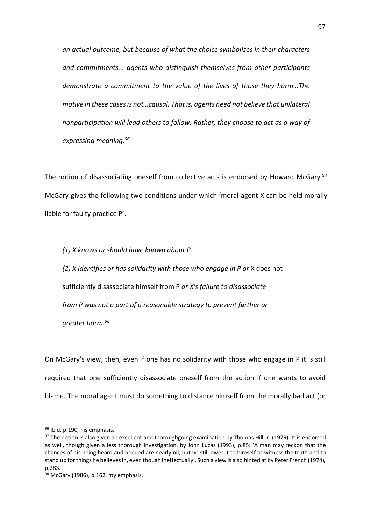*an actual outcome, but because of what the choice symbolizes in their characters and commitments... agents who distinguish themselves from other participants demonstrate a commitment to the value of the lives of those they harm…The motive in these cases is not…causal. That is, agents need not believe that unilateral nonparticipation will lead others to follow. Rather, they choose to act as a way of expressing meaning.96*

The notion of disassociating oneself from collective acts is endorsed by Howard McGary.<sup>97</sup> McGary gives the following two conditions under which 'moral agent X can be held morally liable for faulty practice P'.

*(1) X knows or should have known about P.*

*(2) X identifies or has solidarity with those who engage in P or* X does not sufficiently disassociate himself from P *or X's failure to disassociate from P was not a part of a reasonable strategy to prevent further or greater harm.98*

On McGary's view, then, even if one has no solidarity with those who engage in P it is still required that one sufficiently disassociate oneself from the action if one wants to avoid blame. The moral agent must do something to distance himself from the morally bad act (or

<sup>96</sup> Ibid. p.190, his emphasis.

 $97$  The notion is also given an excellent and thoroughgoing examination by Thomas Hill Jr. (1979). It is endorsed as well, though given a less thorough investigation, by John Lucas (1993), p.85: 'A man may reckon that the chances of his being heard and heeded are nearly nil, but he still owes it to himself to witness the truth and to stand up for things he believes in, even though ineffectually'. Such a view is also hinted at by Peter French (1974), p.283.

<sup>98</sup> McGary (1986), p.162, my emphasis.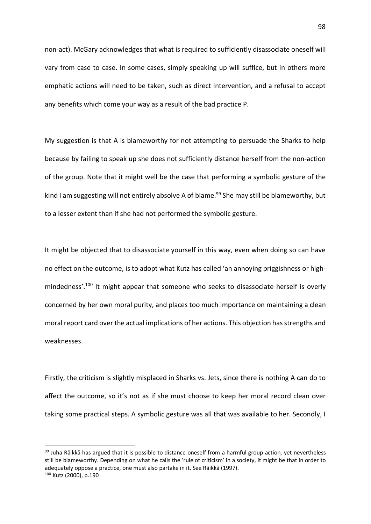non-act). McGary acknowledges that what is required to sufficiently disassociate oneself will vary from case to case. In some cases, simply speaking up will suffice, but in others more emphatic actions will need to be taken, such as direct intervention, and a refusal to accept any benefits which come your way as a result of the bad practice P.

My suggestion is that A is blameworthy for not attempting to persuade the Sharks to help because by failing to speak up she does not sufficiently distance herself from the non-action of the group. Note that it might well be the case that performing a symbolic gesture of the kind I am suggesting will not entirely absolve A of blame.<sup>99</sup> She may still be blameworthy, but to a lesser extent than if she had not performed the symbolic gesture.

It might be objected that to disassociate yourself in this way, even when doing so can have no effect on the outcome, is to adopt what Kutz has called 'an annoying priggishness or highmindedness'.100 It might appear that someone who seeks to disassociate herself is overly concerned by her own moral purity, and places too much importance on maintaining a clean moral report card over the actual implications of her actions. This objection has strengths and weaknesses.

Firstly, the criticism is slightly misplaced in Sharks vs. Jets, since there is nothing A can do to affect the outcome, so it's not as if she must choose to keep her moral record clean over taking some practical steps. A symbolic gesture was all that was available to her. Secondly, I

<sup>99</sup> Juha Räikkä has argued that it is possible to distance oneself from a harmful group action, yet nevertheless still be blameworthy. Depending on what he calls the 'rule of criticism' in a society, it might be that in order to adequately oppose a practice, one must also partake in it. See Räikkä (1997). <sup>100</sup> Kutz (2000), p.190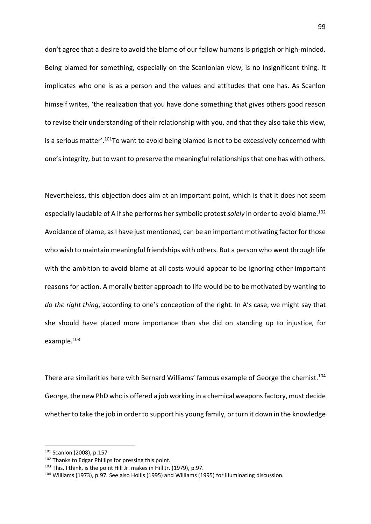don't agree that a desire to avoid the blame of our fellow humans is priggish or high-minded. Being blamed for something, especially on the Scanlonian view, is no insignificant thing. It implicates who one is as a person and the values and attitudes that one has. As Scanlon himself writes, 'the realization that you have done something that gives others good reason to revise their understanding of their relationship with you, and that they also take this view, is a serious matter'.<sup>101</sup>To want to avoid being blamed is not to be excessively concerned with one's integrity, but to want to preserve the meaningful relationships that one has with others.

Nevertheless, this objection does aim at an important point, which is that it does not seem especially laudable of A if she performs her symbolic protest *solely* in order to avoid blame.102 Avoidance of blame, as I have just mentioned, can be an important motivating factor for those who wish to maintain meaningful friendships with others. But a person who went through life with the ambition to avoid blame at all costs would appear to be ignoring other important reasons for action. A morally better approach to life would be to be motivated by wanting to *do the right thing*, according to one's conception of the right. In A's case, we might say that she should have placed more importance than she did on standing up to injustice, for example.103

There are similarities here with Bernard Williams' famous example of George the chemist.<sup>104</sup> George, the new PhD who is offered a job working in a chemical weapons factory, must decide whether to take the job in order to support his young family, or turn it down in the knowledge

 <sup>101</sup> Scanlon (2008), p.157

<sup>102</sup> Thanks to Edgar Phillips for pressing this point.

<sup>103</sup> This, I think, is the point Hill Jr. makes in Hill Jr. (1979), p.97.

<sup>104</sup> Williams (1973), p.97. See also Hollis (1995) and Williams (1995) for illuminating discussion.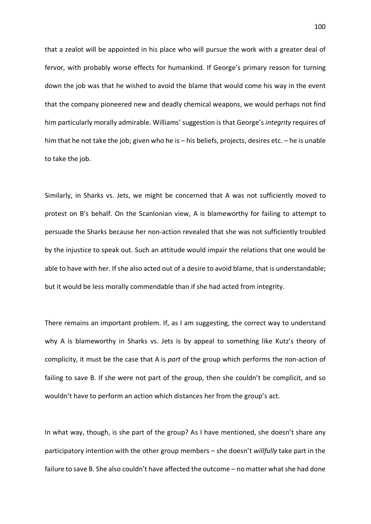that a zealot will be appointed in his place who will pursue the work with a greater deal of fervor, with probably worse effects for humankind. If George's primary reason for turning down the job was that he wished to avoid the blame that would come his way in the event that the company pioneered new and deadly chemical weapons, we would perhaps not find him particularly morally admirable. Williams' suggestion is that George's *integrity* requires of him that he not take the job; given who he is – his beliefs, projects, desires etc. – he is unable to take the job.

Similarly, in Sharks vs. Jets, we might be concerned that A was not sufficiently moved to protest on B's behalf. On the Scanlonian view, A is blameworthy for failing to attempt to persuade the Sharks because her non-action revealed that she was not sufficiently troubled by the injustice to speak out. Such an attitude would impair the relations that one would be able to have with her. If she also acted out of a desire to avoid blame, that is understandable; but it would be less morally commendable than if she had acted from integrity.

There remains an important problem. If, as I am suggesting, the correct way to understand why A is blameworthy in Sharks vs. Jets is by appeal to something like Kutz's theory of complicity, it must be the case that A is *part* of the group which performs the non-action of failing to save B. If she were not part of the group, then she couldn't be complicit, and so wouldn't have to perform an action which distances her from the group's act.

In what way, though, is she part of the group? As I have mentioned, she doesn't share any participatory intention with the other group members – she doesn't *willfully* take part in the failure to save B. She also couldn't have affected the outcome – no matter what she had done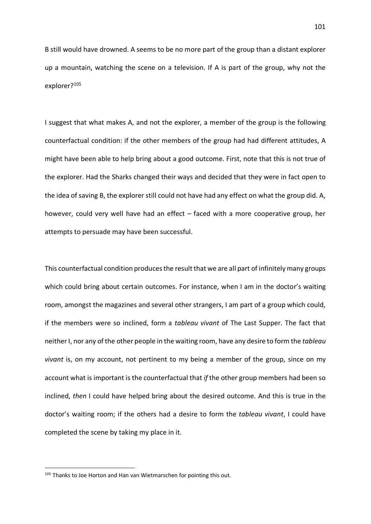B still would have drowned. A seems to be no more part of the group than a distant explorer up a mountain, watching the scene on a television. If A is part of the group, why not the explorer?105

I suggest that what makes A, and not the explorer, a member of the group is the following counterfactual condition: if the other members of the group had had different attitudes, A might have been able to help bring about a good outcome. First, note that this is not true of the explorer. Had the Sharks changed their ways and decided that they were in fact open to the idea of saving B, the explorer still could not have had any effect on what the group did. A, however, could very well have had an effect – faced with a more cooperative group, her attempts to persuade may have been successful.

This counterfactual condition produces the result that we are all part of infinitely many groups which could bring about certain outcomes. For instance, when I am in the doctor's waiting room, amongst the magazines and several other strangers, I am part of a group which could, if the members were so inclined, form a *tableau vivant* of The Last Supper. The fact that neither I, nor any of the other people in the waiting room, have any desire to form the *tableau vivant* is, on my account, not pertinent to my being a member of the group, since on my account what is important is the counterfactual that *if* the other group members had been so inclined, *then* I could have helped bring about the desired outcome. And this is true in the doctor's waiting room; if the others had a desire to form the *tableau vivant*, I could have completed the scene by taking my place in it.

<sup>&</sup>lt;sup>105</sup> Thanks to Joe Horton and Han van Wietmarschen for pointing this out.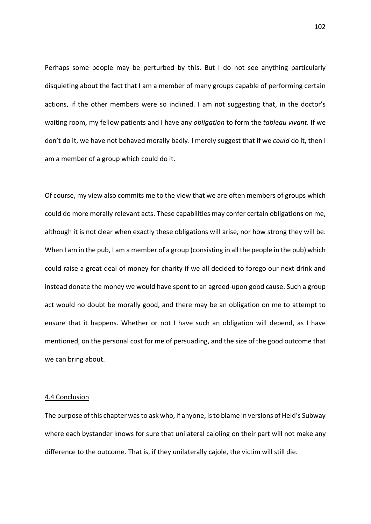Perhaps some people may be perturbed by this. But I do not see anything particularly disquieting about the fact that I am a member of many groups capable of performing certain actions, if the other members were so inclined. I am not suggesting that, in the doctor's waiting room, my fellow patients and I have any *obligation* to form the *tableau vivant*. If we don't do it, we have not behaved morally badly. I merely suggest that if we *could* do it, then I am a member of a group which could do it.

Of course, my view also commits me to the view that we are often members of groups which could do more morally relevant acts. These capabilities may confer certain obligations on me, although it is not clear when exactly these obligations will arise, nor how strong they will be. When I am in the pub, I am a member of a group (consisting in all the people in the pub) which could raise a great deal of money for charity if we all decided to forego our next drink and instead donate the money we would have spent to an agreed-upon good cause. Such a group act would no doubt be morally good, and there may be an obligation on me to attempt to ensure that it happens. Whether or not I have such an obligation will depend, as I have mentioned, on the personal cost for me of persuading, and the size of the good outcome that we can bring about.

#### 4.4 Conclusion

The purpose of this chapter was to ask who, if anyone, is to blame in versions of Held's Subway where each bystander knows for sure that unilateral cajoling on their part will not make any difference to the outcome. That is, if they unilaterally cajole, the victim will still die.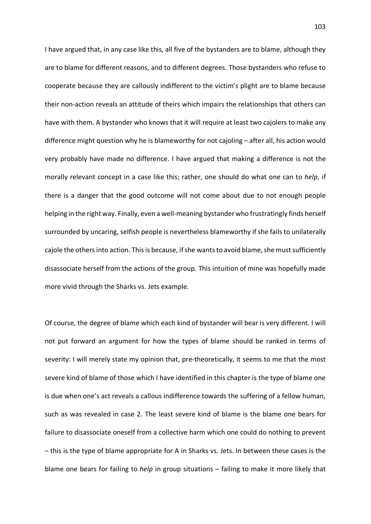I have argued that, in any case like this, all five of the bystanders are to blame, although they are to blame for different reasons, and to different degrees. Those bystanders who refuse to cooperate because they are callously indifferent to the victim's plight are to blame because their non-action reveals an attitude of theirs which impairs the relationships that others can have with them. A bystander who knows that it will require at least two cajolers to make any difference might question why he is blameworthy for not cajoling – after all, his action would very probably have made no difference. I have argued that making a difference is not the morally relevant concept in a case like this; rather, one should do what one can to *help*, if there is a danger that the good outcome will not come about due to not enough people helping in the right way. Finally, even a well-meaning bystander who frustratingly finds herself surrounded by uncaring, selfish people is nevertheless blameworthy if she fails to unilaterally cajole the others into action. This is because, if she wants to avoid blame, she must sufficiently disassociate herself from the actions of the group. This intuition of mine was hopefully made more vivid through the Sharks vs. Jets example.

Of course, the degree of blame which each kind of bystander will bear is very different. I will not put forward an argument for how the types of blame should be ranked in terms of severity: I will merely state my opinion that, pre-theoretically, it seems to me that the most severe kind of blame of those which I have identified in this chapter is the type of blame one is due when one's act reveals a callous indifference towards the suffering of a fellow human, such as was revealed in case 2. The least severe kind of blame is the blame one bears for failure to disassociate oneself from a collective harm which one could do nothing to prevent – this is the type of blame appropriate for A in Sharks vs. Jets. In between these cases is the blame one bears for failing to *help* in group situations – failing to make it more likely that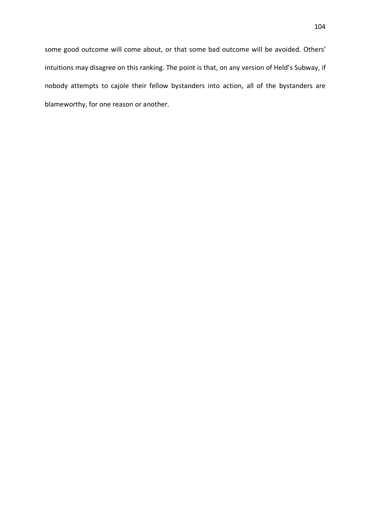some good outcome will come about, or that some bad outcome will be avoided. Others' intuitions may disagree on this ranking. The point is that, on any version of Held's Subway, if nobody attempts to cajole their fellow bystanders into action, all of the bystanders are blameworthy, for one reason or another.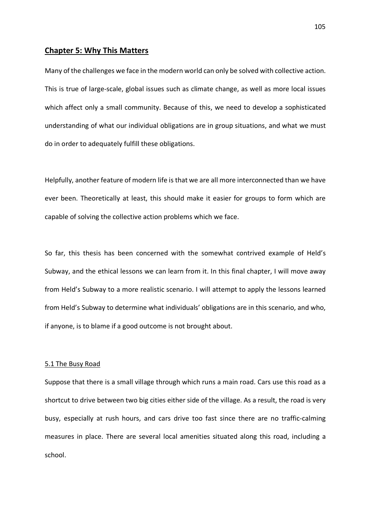# **Chapter 5: Why This Matters**

Many of the challenges we face in the modern world can only be solved with collective action. This is true of large-scale, global issues such as climate change, as well as more local issues which affect only a small community. Because of this, we need to develop a sophisticated understanding of what our individual obligations are in group situations, and what we must do in order to adequately fulfill these obligations.

Helpfully, another feature of modern life is that we are all more interconnected than we have ever been. Theoretically at least, this should make it easier for groups to form which are capable of solving the collective action problems which we face.

So far, this thesis has been concerned with the somewhat contrived example of Held's Subway, and the ethical lessons we can learn from it. In this final chapter, I will move away from Held's Subway to a more realistic scenario. I will attempt to apply the lessons learned from Held's Subway to determine what individuals' obligations are in this scenario, and who, if anyone, is to blame if a good outcome is not brought about.

## 5.1 The Busy Road

Suppose that there is a small village through which runs a main road. Cars use this road as a shortcut to drive between two big cities either side of the village. As a result, the road is very busy, especially at rush hours, and cars drive too fast since there are no traffic-calming measures in place. There are several local amenities situated along this road, including a school.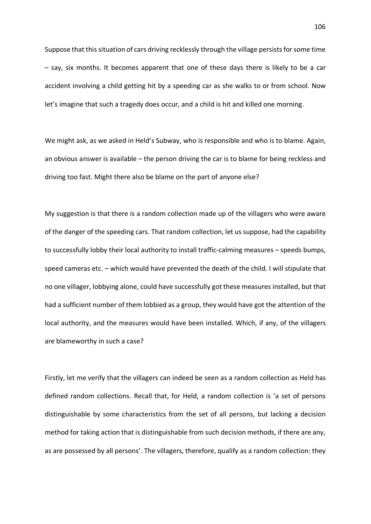Suppose that this situation of cars driving recklessly through the village persists for some time – say, six months. It becomes apparent that one of these days there is likely to be a car accident involving a child getting hit by a speeding car as she walks to or from school. Now let's imagine that such a tragedy does occur, and a child is hit and killed one morning.

We might ask, as we asked in Held's Subway, who is responsible and who is to blame. Again, an obvious answer is available – the person driving the car is to blame for being reckless and driving too fast. Might there also be blame on the part of anyone else?

My suggestion is that there is a random collection made up of the villagers who were aware of the danger of the speeding cars. That random collection, let us suppose, had the capability to successfully lobby their local authority to install traffic-calming measures – speeds bumps, speed cameras etc. – which would have prevented the death of the child. I will stipulate that no one villager, lobbying alone, could have successfully got these measures installed, but that had a sufficient number of them lobbied as a group, they would have got the attention of the local authority, and the measures would have been installed. Which, if any, of the villagers are blameworthy in such a case?

Firstly, let me verify that the villagers can indeed be seen as a random collection as Held has defined random collections. Recall that, for Held, a random collection is 'a set of persons distinguishable by some characteristics from the set of all persons, but lacking a decision method for taking action that is distinguishable from such decision methods, if there are any, as are possessed by all persons'. The villagers, therefore, qualify as a random collection: they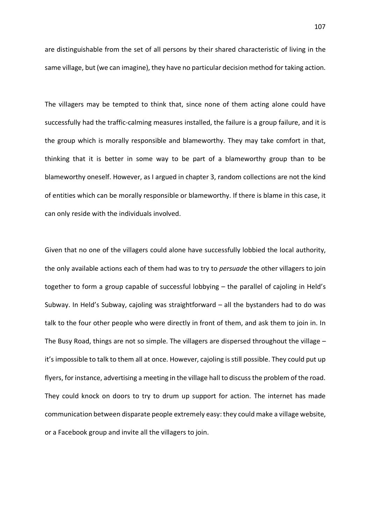are distinguishable from the set of all persons by their shared characteristic of living in the same village, but (we can imagine), they have no particular decision method for taking action.

The villagers may be tempted to think that, since none of them acting alone could have successfully had the traffic-calming measures installed, the failure is a group failure, and it is the group which is morally responsible and blameworthy. They may take comfort in that, thinking that it is better in some way to be part of a blameworthy group than to be blameworthy oneself. However, as I argued in chapter 3, random collections are not the kind of entities which can be morally responsible or blameworthy. If there is blame in this case, it can only reside with the individuals involved.

Given that no one of the villagers could alone have successfully lobbied the local authority, the only available actions each of them had was to try to *persuade* the other villagers to join together to form a group capable of successful lobbying – the parallel of cajoling in Held's Subway. In Held's Subway, cajoling was straightforward – all the bystanders had to do was talk to the four other people who were directly in front of them, and ask them to join in. In The Busy Road, things are not so simple. The villagers are dispersed throughout the village – it's impossible to talk to them all at once. However, cajoling is still possible. They could put up flyers, for instance, advertising a meeting in the village hall to discuss the problem of the road. They could knock on doors to try to drum up support for action. The internet has made communication between disparate people extremely easy: they could make a village website, or a Facebook group and invite all the villagers to join.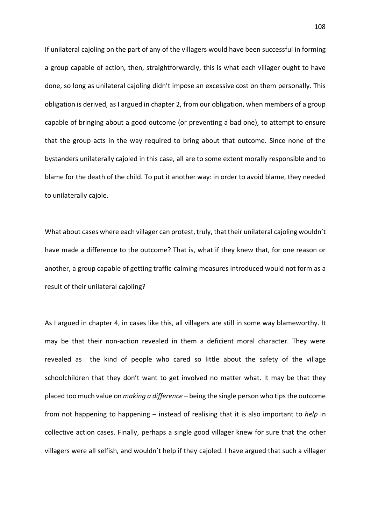If unilateral cajoling on the part of any of the villagers would have been successful in forming a group capable of action, then, straightforwardly, this is what each villager ought to have done, so long as unilateral cajoling didn't impose an excessive cost on them personally. This obligation is derived, as I argued in chapter 2, from our obligation, when members of a group capable of bringing about a good outcome (or preventing a bad one), to attempt to ensure that the group acts in the way required to bring about that outcome. Since none of the bystanders unilaterally cajoled in this case, all are to some extent morally responsible and to blame for the death of the child. To put it another way: in order to avoid blame, they needed to unilaterally cajole.

What about cases where each villager can protest, truly, that their unilateral cajoling wouldn't have made a difference to the outcome? That is, what if they knew that, for one reason or another, a group capable of getting traffic-calming measures introduced would not form as a result of their unilateral cajoling?

As I argued in chapter 4, in cases like this, all villagers are still in some way blameworthy. It may be that their non-action revealed in them a deficient moral character. They were revealed as the kind of people who cared so little about the safety of the village schoolchildren that they don't want to get involved no matter what. It may be that they placed too much value on *making a difference* – being the single person who tips the outcome from not happening to happening – instead of realising that it is also important to *help* in collective action cases. Finally, perhaps a single good villager knew for sure that the other villagers were all selfish, and wouldn't help if they cajoled. I have argued that such a villager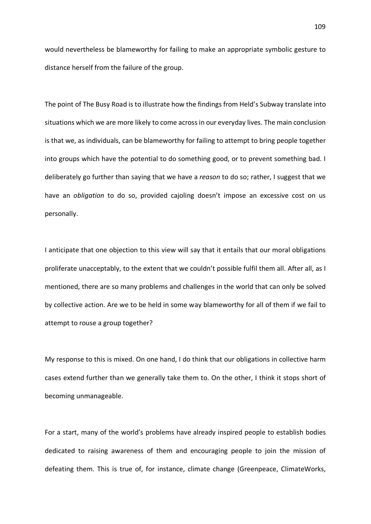would nevertheless be blameworthy for failing to make an appropriate symbolic gesture to distance herself from the failure of the group.

The point of The Busy Road is to illustrate how the findings from Held's Subway translate into situations which we are more likely to come across in our everyday lives. The main conclusion is that we, as individuals, can be blameworthy for failing to attempt to bring people together into groups which have the potential to do something good, or to prevent something bad. I deliberately go further than saying that we have a *reason* to do so; rather, I suggest that we have an *obligation* to do so, provided cajoling doesn't impose an excessive cost on us personally.

I anticipate that one objection to this view will say that it entails that our moral obligations proliferate unacceptably, to the extent that we couldn't possible fulfil them all. After all, as I mentioned, there are so many problems and challenges in the world that can only be solved by collective action. Are we to be held in some way blameworthy for all of them if we fail to attempt to rouse a group together?

My response to this is mixed. On one hand, I do think that our obligations in collective harm cases extend further than we generally take them to. On the other, I think it stops short of becoming unmanageable.

For a start, many of the world's problems have already inspired people to establish bodies dedicated to raising awareness of them and encouraging people to join the mission of defeating them. This is true of, for instance, climate change (Greenpeace, ClimateWorks,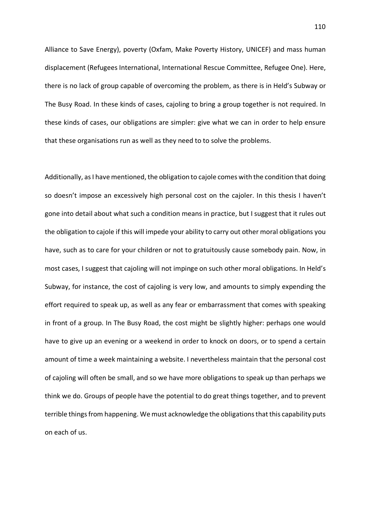Alliance to Save Energy), poverty (Oxfam, Make Poverty History, UNICEF) and mass human displacement (Refugees International, International Rescue Committee, Refugee One). Here, there is no lack of group capable of overcoming the problem, as there is in Held's Subway or The Busy Road. In these kinds of cases, cajoling to bring a group together is not required. In these kinds of cases, our obligations are simpler: give what we can in order to help ensure that these organisations run as well as they need to to solve the problems.

Additionally, as I have mentioned, the obligation to cajole comes with the condition that doing so doesn't impose an excessively high personal cost on the cajoler. In this thesis I haven't gone into detail about what such a condition means in practice, but I suggest that it rules out the obligation to cajole if this will impede your ability to carry out other moral obligations you have, such as to care for your children or not to gratuitously cause somebody pain. Now, in most cases, I suggest that cajoling will not impinge on such other moral obligations. In Held's Subway, for instance, the cost of cajoling is very low, and amounts to simply expending the effort required to speak up, as well as any fear or embarrassment that comes with speaking in front of a group. In The Busy Road, the cost might be slightly higher: perhaps one would have to give up an evening or a weekend in order to knock on doors, or to spend a certain amount of time a week maintaining a website. I nevertheless maintain that the personal cost of cajoling will often be small, and so we have more obligations to speak up than perhaps we think we do. Groups of people have the potential to do great things together, and to prevent terrible things from happening. We must acknowledge the obligations that this capability puts on each of us.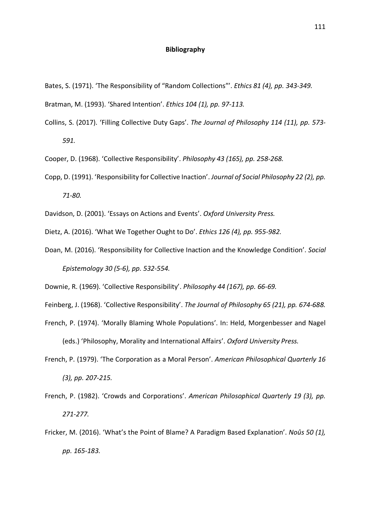## **Bibliography**

- Bates, S. (1971). 'The Responsibility of "Random Collections"'. *Ethics 81 (4), pp. 343-349.*
- Bratman, M. (1993). 'Shared Intention'. *Ethics 104 (1), pp. 97-113.*
- Collins, S. (2017). 'Filling Collective Duty Gaps'. *The Journal of Philosophy 114 (11), pp. 573- 591.*

Cooper, D. (1968). 'Collective Responsibility'. *Philosophy 43 (165), pp. 258-268.*

Copp, D. (1991). 'Responsibility for Collective Inaction'. *Journal of Social Philosophy 22 (2), pp. 71-80.*

Davidson, D. (2001). 'Essays on Actions and Events'. *Oxford University Press.*

Dietz, A. (2016). 'What We Together Ought to Do'. *Ethics 126 (4), pp. 955-982.*

Doan, M. (2016). 'Responsibility for Collective Inaction and the Knowledge Condition'. *Social Epistemology 30 (5-6), pp. 532-554.*

Downie, R. (1969). 'Collective Responsibility'. *Philosophy 44 (167), pp. 66-69.*

Feinberg, J. (1968). 'Collective Responsibility'. *The Journal of Philosophy 65 (21), pp. 674-688.*

- French, P. (1974). 'Morally Blaming Whole Populations'. In: Held, Morgenbesser and Nagel (eds.) 'Philosophy, Morality and International Affairs'. *Oxford University Press.*
- French, P. (1979). 'The Corporation as a Moral Person'. *American Philosophical Quarterly 16 (3), pp. 207-215.*
- French, P. (1982). 'Crowds and Corporations'. *American Philosophical Quarterly 19 (3), pp. 271-277.*
- Fricker, M. (2016). 'What's the Point of Blame? A Paradigm Based Explanation'. *Noûs 50 (1), pp. 165-183.*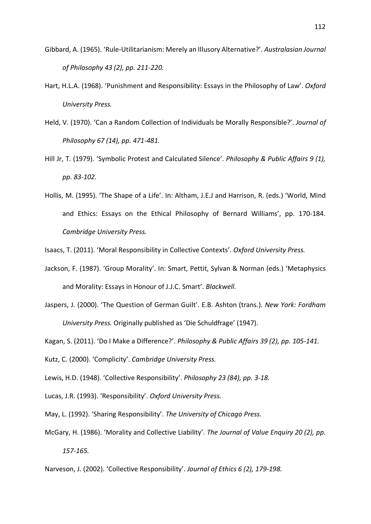- Gibbard, A. (1965). 'Rule-Utilitarianism: Merely an Illusory Alternative?'. *Australasian Journal of Philosophy 43 (2), pp. 211-220.*
- Hart, H.L.A. (1968). 'Punishment and Responsibility: Essays in the Philosophy of Law'. *Oxford University Press.*
- Held, V. (1970). 'Can a Random Collection of Individuals be Morally Responsible?'. *Journal of Philosophy 67 (14), pp. 471-481.*
- Hill Jr, T. (1979). 'Symbolic Protest and Calculated Silence'. *Philosophy & Public Affairs 9 (1), pp. 83-102.*
- Hollis, M. (1995). 'The Shape of a Life'. In: Altham, J.E.J and Harrison, R. (eds.) 'World, Mind and Ethics: Essays on the Ethical Philosophy of Bernard Williams', pp. 170-184. *Cambridge University Press.*

Isaacs, T. (2011). 'Moral Responsibility in Collective Contexts'. *Oxford University Press.*

- Jackson, F. (1987). 'Group Morality'. In: Smart, Pettit, Sylvan & Norman (eds.) 'Metaphysics and Morality: Essays in Honour of J.J.C. Smart'. *Blackwell.*
- Jaspers, J. (2000). 'The Question of German Guilt'. E.B. Ashton (trans.)*. New York: Fordham University Press.* Originally published as 'Die Schuldfrage' (1947).

Kagan, S. (2011). 'Do I Make a Difference?'. *Philosophy & Public Affairs 39 (2), pp. 105-141.*

Kutz, C. (2000). 'Complicity'. *Cambridge University Press.*

Lewis, H.D. (1948). 'Collective Responsibility'. *Philosophy 23 (84), pp. 3-18.*

- Lucas, J.R. (1993). 'Responsibility'. *Oxford University Press.*
- May, L. (1992). 'Sharing Responsibility'. *The University of Chicago Press.*
- McGary, H. (1986). 'Morality and Collective Liability'. *The Journal of Value Enquiry 20 (2), pp.*

*157-165.*

Narveson, J. (2002). 'Collective Responsibility'. *Journal of Ethics 6 (2), 179-198.*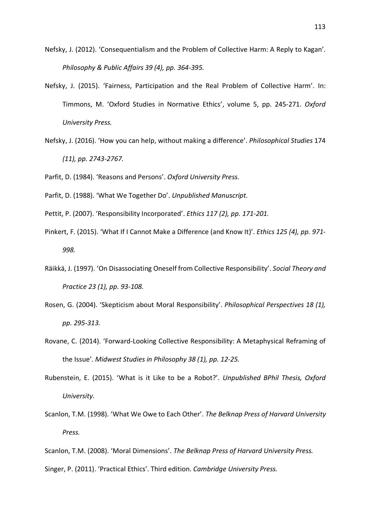- Nefsky, J. (2012). 'Consequentialism and the Problem of Collective Harm: A Reply to Kagan'. *Philosophy & Public Affairs 39 (4), pp. 364-395.*
- Nefsky, J. (2015). 'Fairness, Participation and the Real Problem of Collective Harm'. In: Timmons, M. 'Oxford Studies in Normative Ethics', volume 5, pp. 245-271. *Oxford University Press.*
- Nefsky, J. (2016). 'How you can help, without making a difference'. *Philosophical Studies* 174 *(11), pp. 2743-2767.*
- Parfit, D. (1984). 'Reasons and Persons'. *Oxford University Press.*
- Parfit, D. (1988). 'What We Together Do'. *Unpublished Manuscript.*
- Pettit, P. (2007). 'Responsibility Incorporated'. *Ethics 117 (2), pp. 171-201.*
- Pinkert, F. (2015). 'What If I Cannot Make a Difference (and Know It)'. *Ethics 125 (4), pp. 971- 998.*
- Räikkä, J. (1997). 'On Disassociating Oneself from Collective Responsibility'. *Social Theory and Practice 23 (1), pp. 93-108.*
- Rosen, G. (2004). 'Skepticism about Moral Responsibility'. *Philosophical Perspectives 18 (1), pp. 295-313.*
- Rovane, C. (2014). 'Forward-Looking Collective Responsibility: A Metaphysical Reframing of the Issue'. *Midwest Studies in Philosophy 38 (1), pp. 12-25.*
- Rubenstein, E. (2015). 'What is it Like to be a Robot?'. *Unpublished BPhil Thesis, Oxford University.*
- Scanlon, T.M. (1998). 'What We Owe to Each Other'. *The Belknap Press of Harvard University Press.*
- Scanlon, T.M. (2008). 'Moral Dimensions'. *The Belknap Press of Harvard University Press.* Singer, P. (2011). 'Practical Ethics'. Third edition. *Cambridge University Press.*